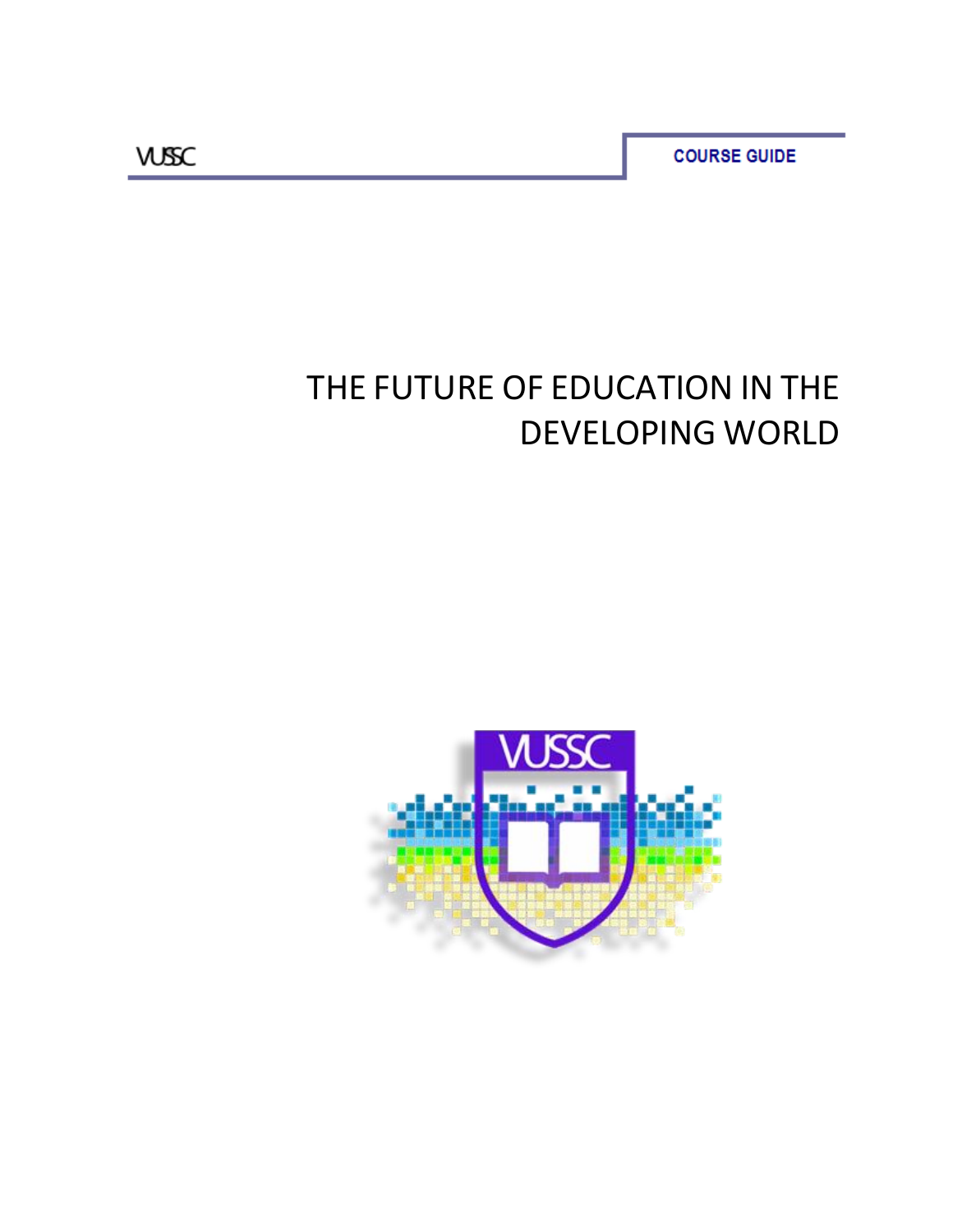**COURSE GUIDE** 

# THE FUTURE OF EDUCATION IN THE DEVELOPING WORLD

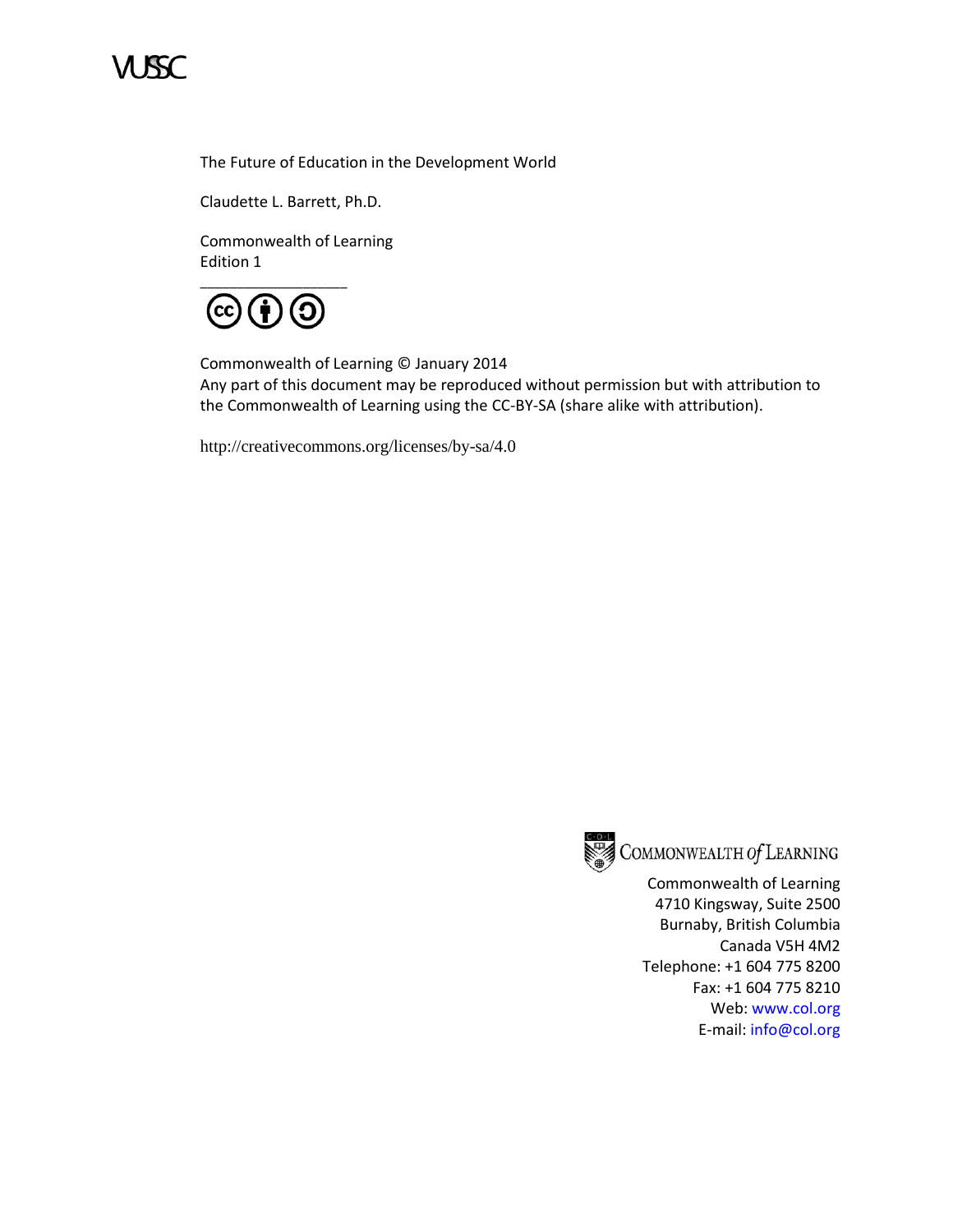

The Future of Education in the Development World

Claudette L. Barrett, Ph.D.

Commonwealth of Learning Edition 1



Commonwealth of Learning © January 2014 Any part of this document may be reproduced without permission but with attribution to the Commonwealth of Learning using the CC-BY-SA (share alike with attribution).

<http://creativecommons.org/licenses/by-sa/4.0>



COMMONWEALTH Of LEARNING

Commonwealth of Learning 4710 Kingsway, Suite 2500 Burnaby, British Columbia Canada V5H 4M2 Telephone: +1 604 775 8200 Fax: +1 604 775 8210 Web: www.col.org E-mail: info@col.org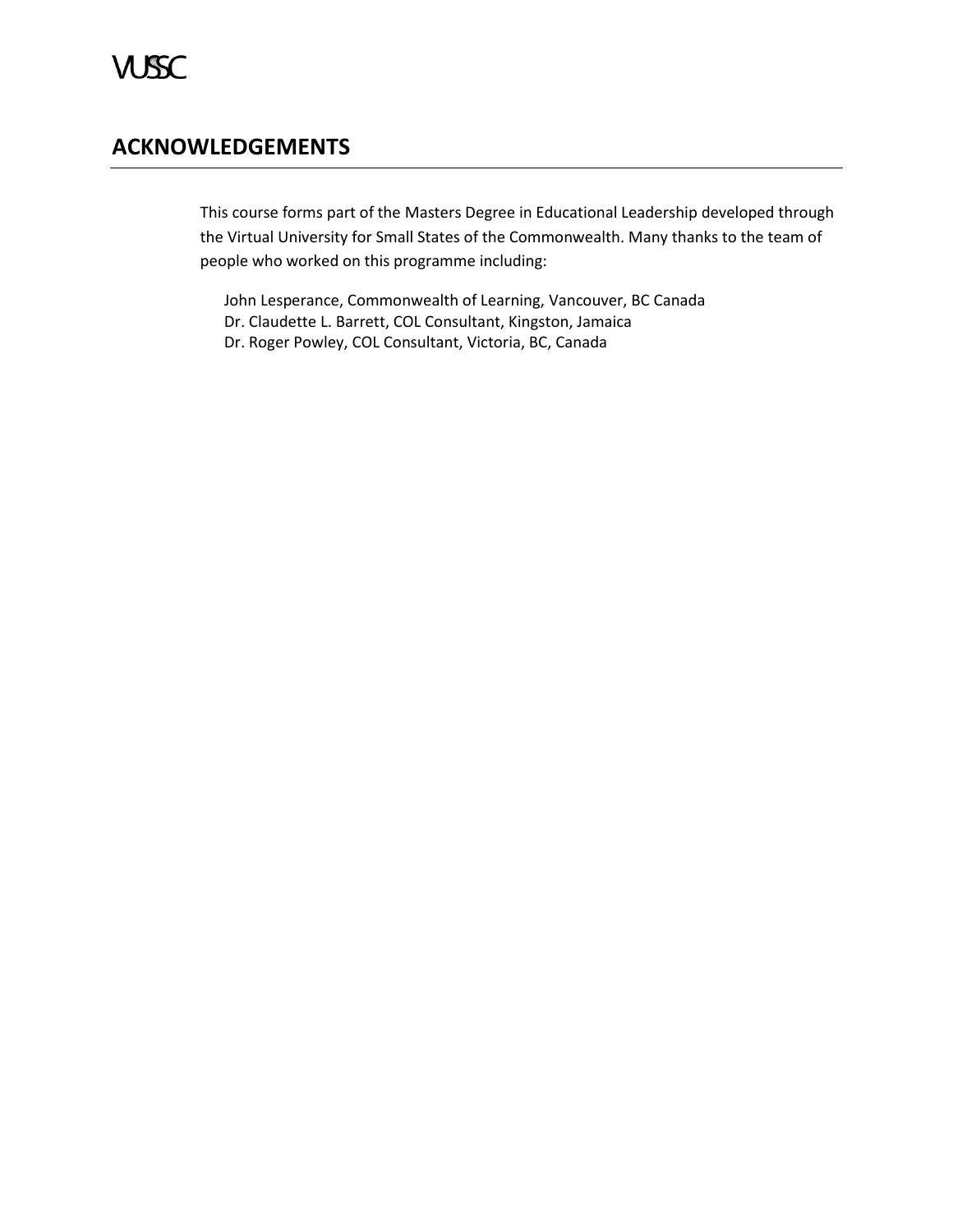# **ACKNOWLEDGEMENTS**

This course forms part of the Masters Degree in Educational Leadership developed through the Virtual University for Small States of the Commonwealth. Many thanks to the team of people who worked on this programme including:

John Lesperance, Commonwealth of Learning, Vancouver, BC Canada Dr. Claudette L. Barrett, COL Consultant, Kingston, Jamaica Dr. Roger Powley, COL Consultant, Victoria, BC, Canada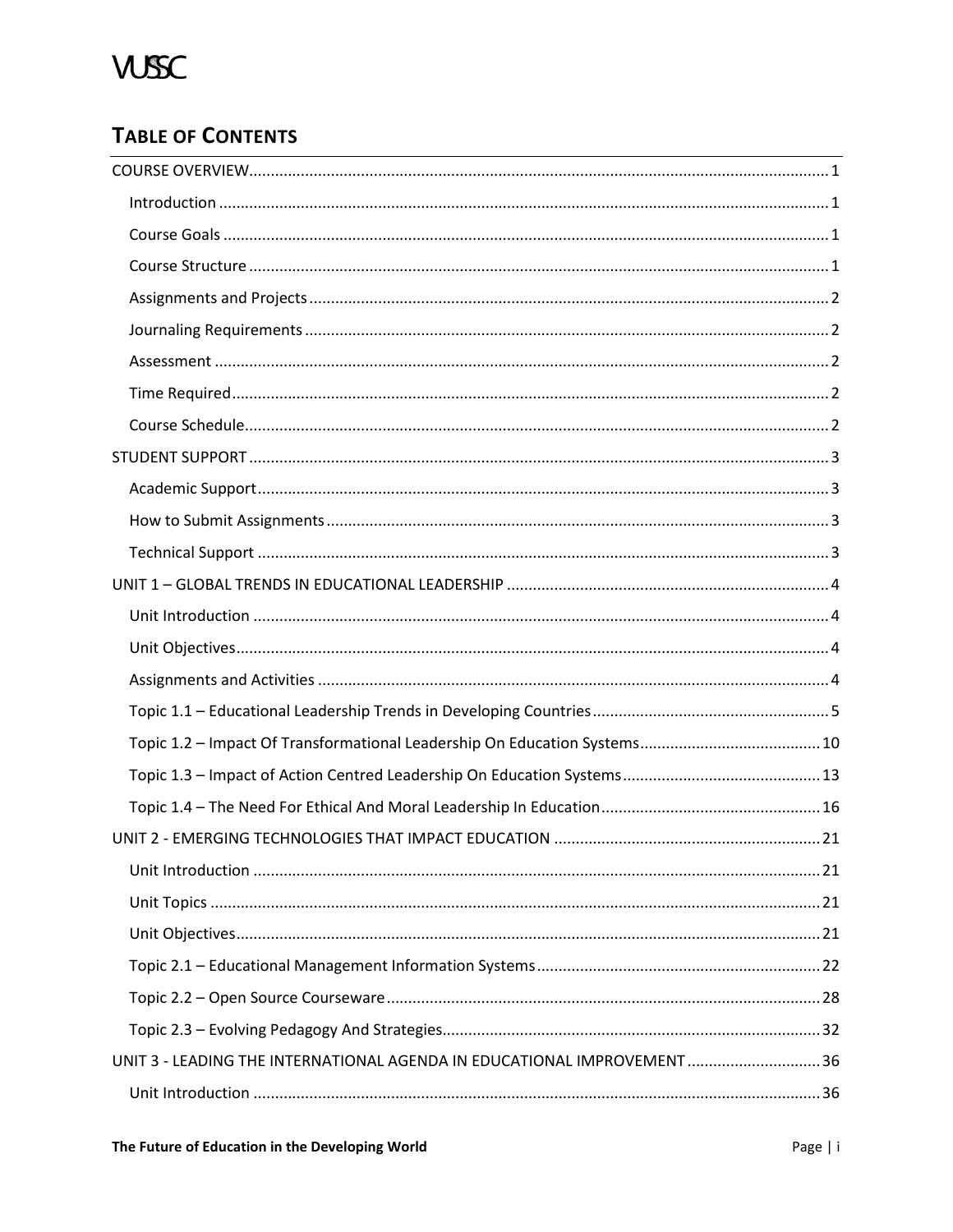# **TABLE OF CONTENTS**

| UNIT 3 - LEADING THE INTERNATIONAL AGENDA IN EDUCATIONAL IMPROVEMENT  36 |  |
|--------------------------------------------------------------------------|--|
|                                                                          |  |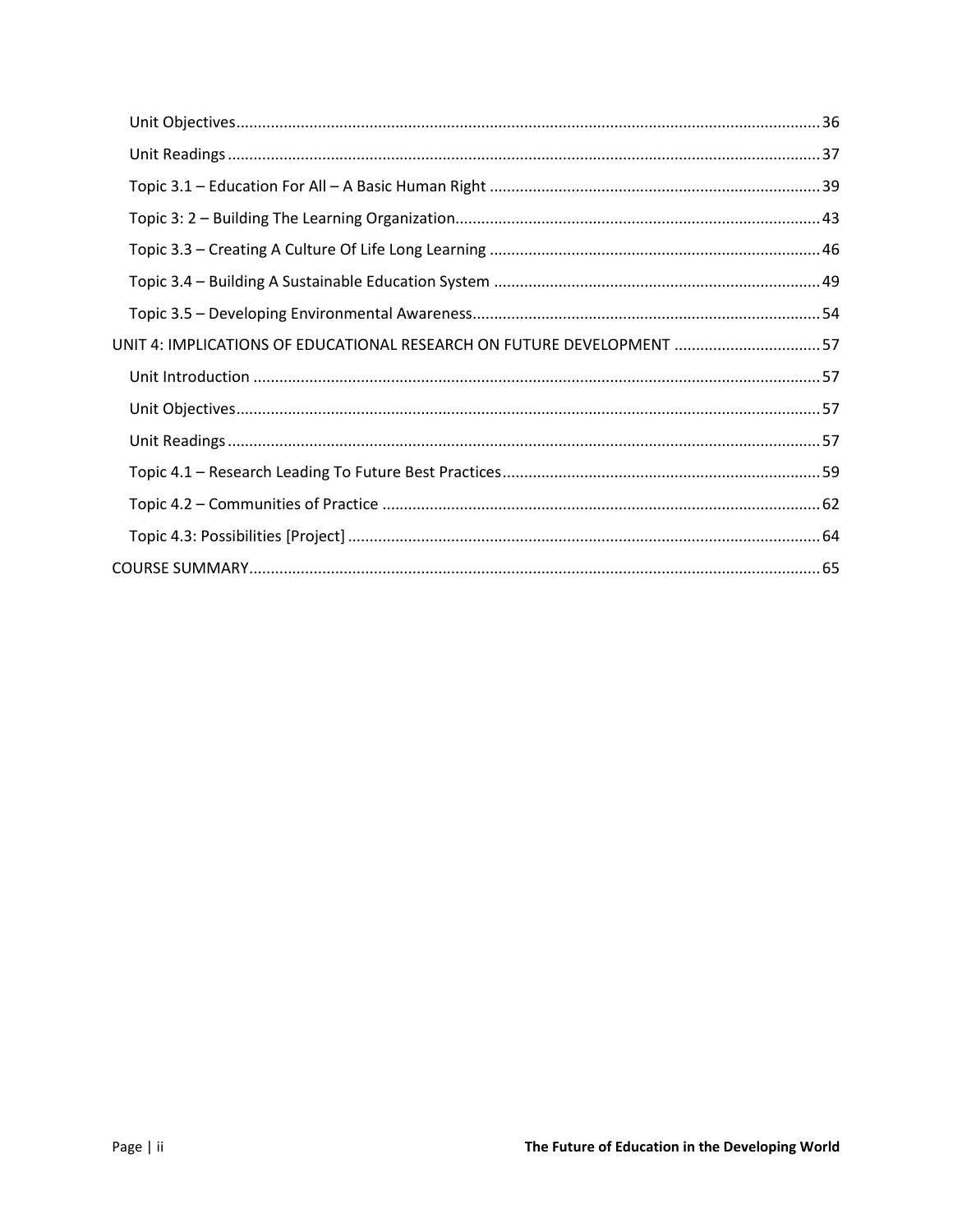| UNIT 4: IMPLICATIONS OF EDUCATIONAL RESEARCH ON FUTURE DEVELOPMENT  57 |
|------------------------------------------------------------------------|
|                                                                        |
|                                                                        |
|                                                                        |
|                                                                        |
|                                                                        |
|                                                                        |
|                                                                        |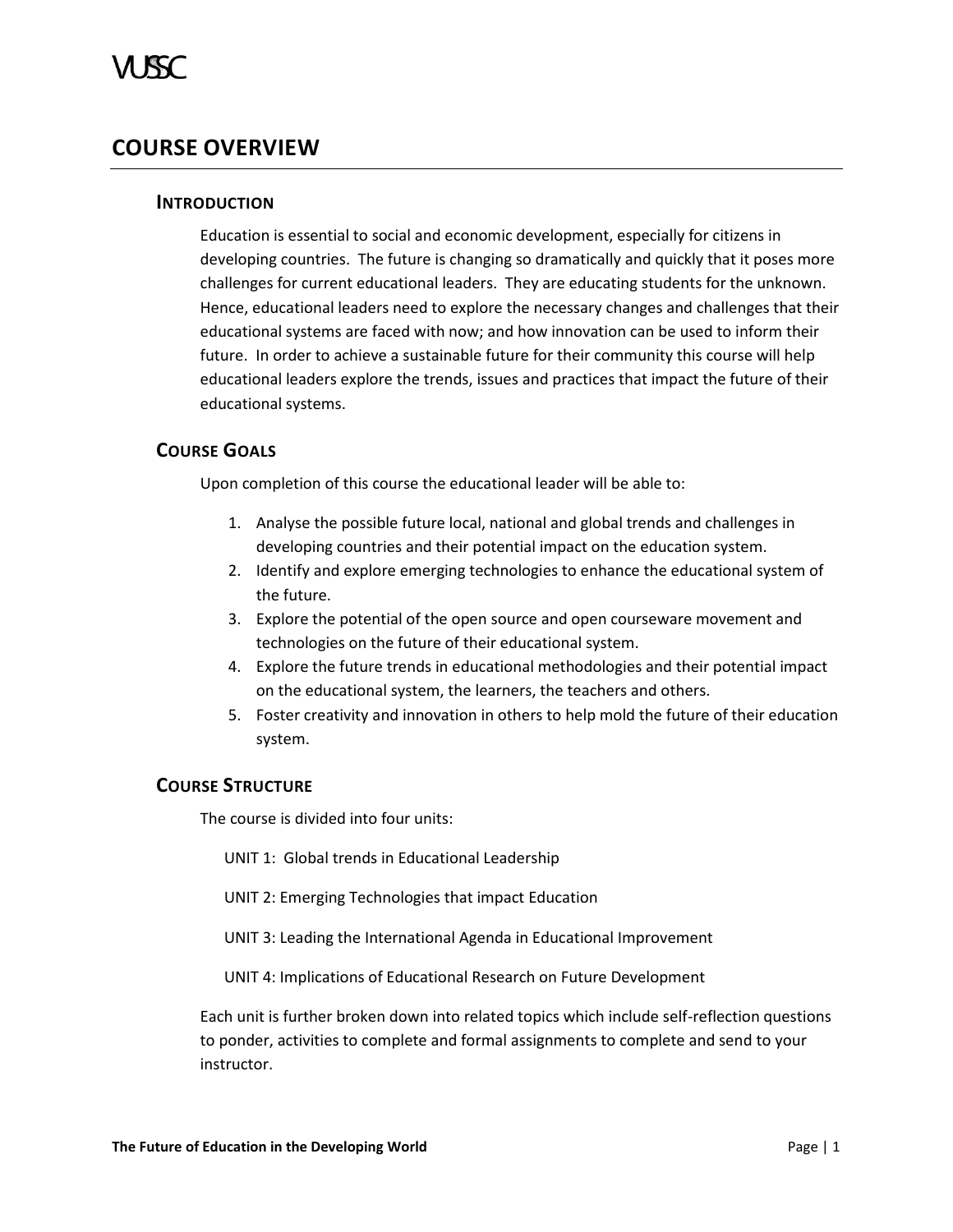# <span id="page-6-1"></span><span id="page-6-0"></span>**COURSE OVERVIEW**

# **INTRODUCTION**

Education is essential to social and economic development, especially for citizens in developing countries. The future is changing so dramatically and quickly that it poses more challenges for current educational leaders. They are educating students for the unknown. Hence, educational leaders need to explore the necessary changes and challenges that their educational systems are faced with now; and how innovation can be used to inform their future. In order to achieve a sustainable future for their community this course will help educational leaders explore the trends, issues and practices that impact the future of their educational systems.

# <span id="page-6-2"></span>**COURSE GOALS**

Upon completion of this course the educational leader will be able to:

- 1. Analyse the possible future local, national and global trends and challenges in developing countries and their potential impact on the education system.
- 2. Identify and explore emerging technologies to enhance the educational system of the future.
- 3. Explore the potential of the open source and open courseware movement and technologies on the future of their educational system.
- 4. Explore the future trends in educational methodologies and their potential impact on the educational system, the learners, the teachers and others.
- 5. Foster creativity and innovation in others to help mold the future of their education system.

# <span id="page-6-3"></span>**COURSE STRUCTURE**

The course is divided into four units:

- UNIT 1: Global trends in Educational Leadership
- UNIT 2: Emerging Technologies that impact Education
- UNIT 3: Leading the International Agenda in Educational Improvement

UNIT 4: Implications of Educational Research on Future Development

Each unit is further broken down into related topics which include self-reflection questions to ponder, activities to complete and formal assignments to complete and send to your instructor.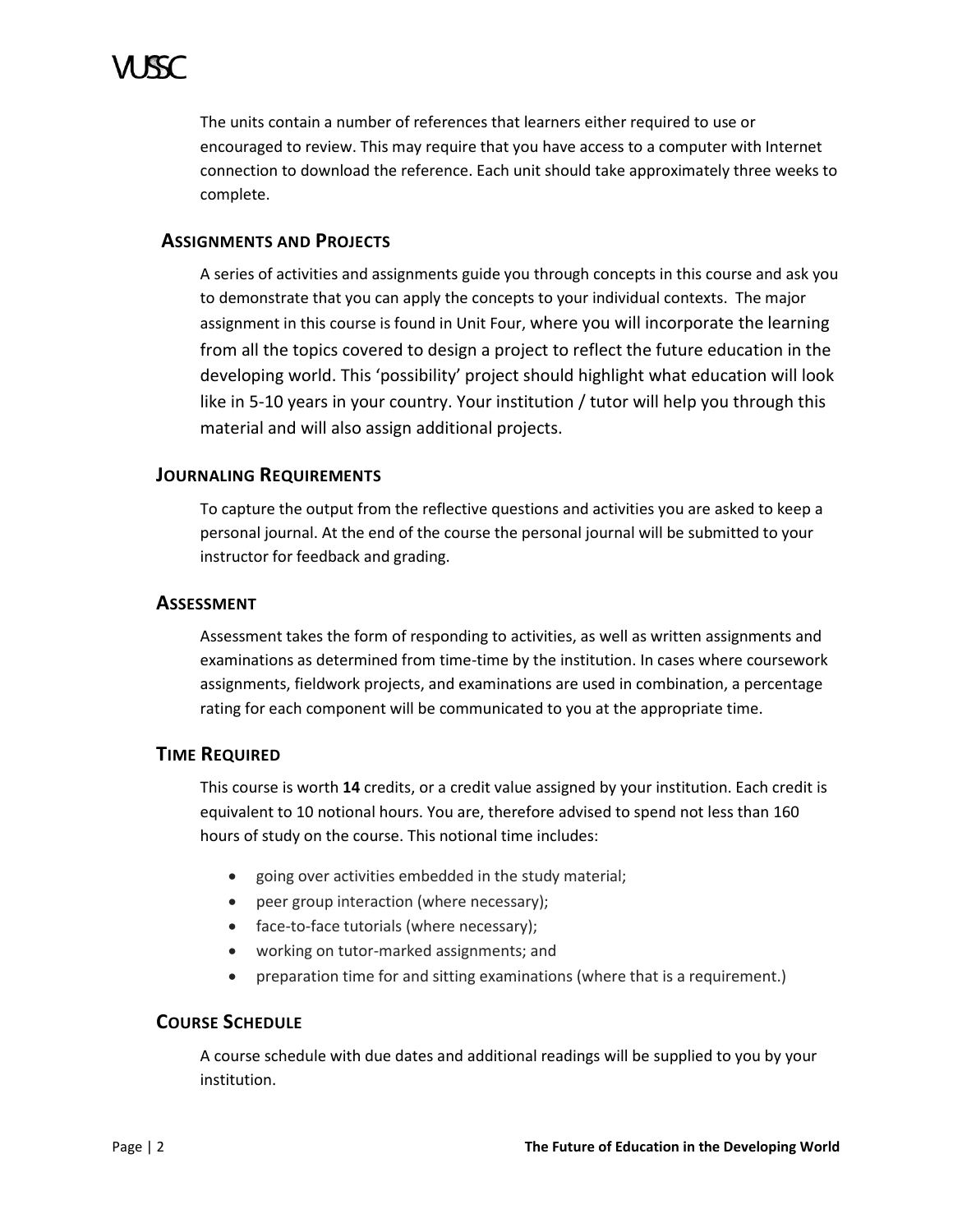

The units contain a number of references that learners either required to use or encouraged to review. This may require that you have access to a computer with Internet connection to download the reference. Each unit should take approximately three weeks to complete.

# <span id="page-7-0"></span>**ASSIGNMENTS AND PROJECTS**

A series of activities and assignments guide you through concepts in this course and ask you to demonstrate that you can apply the concepts to your individual contexts. The major assignment in this course is found in Unit Four, where you will incorporate the learning from all the topics covered to design a project to reflect the future education in the developing world. This 'possibility' project should highlight what education will look like in 5-10 years in your country. Your institution / tutor will help you through this material and will also assign additional projects.

# <span id="page-7-1"></span>**JOURNALING REQUIREMENTS**

To capture the output from the reflective questions and activities you are asked to keep a personal journal. At the end of the course the personal journal will be submitted to your instructor for feedback and grading.

### <span id="page-7-2"></span>**ASSESSMENT**

Assessment takes the form of responding to activities, as well as written assignments and examinations as determined from time-time by the institution. In cases where coursework assignments, fieldwork projects, and examinations are used in combination, a percentage rating for each component will be communicated to you at the appropriate time.

# <span id="page-7-3"></span>**TIME REQUIRED**

This course is worth **14** credits, or a credit value assigned by your institution. Each credit is equivalent to 10 notional hours. You are, therefore advised to spend not less than 160 hours of study on the course. This notional time includes:

- going over activities embedded in the study material;
- peer group interaction (where necessary);
- face-to-face tutorials (where necessary);
- working on tutor-marked assignments; and
- preparation time for and sitting examinations (where that is a requirement.)

# <span id="page-7-4"></span>**COURSE SCHEDULE**

A course schedule with due dates and additional readings will be supplied to you by your institution.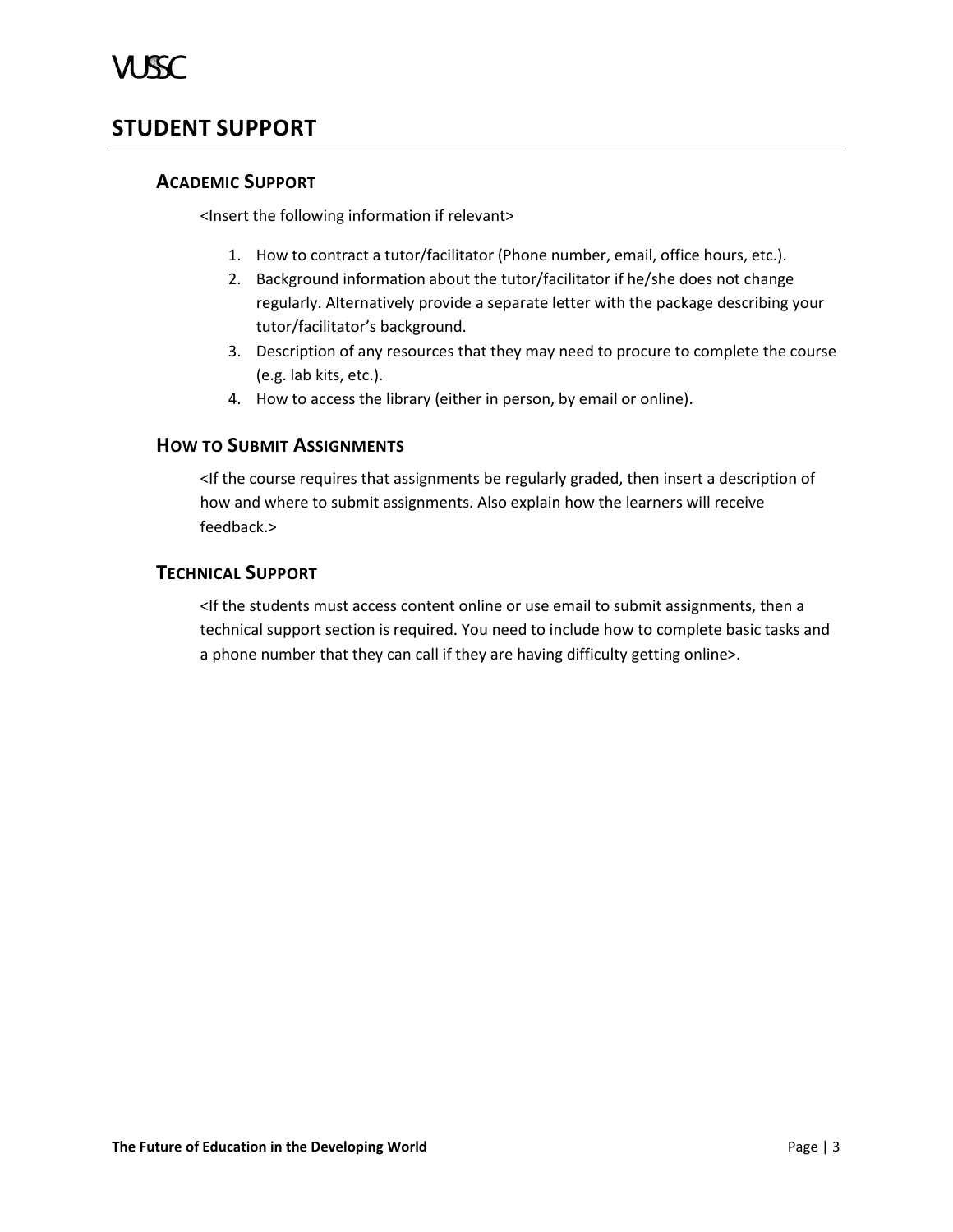# <span id="page-8-1"></span><span id="page-8-0"></span>**STUDENT SUPPORT**

# **ACADEMIC SUPPORT**

<Insert the following information if relevant>

- 1. How to contract a tutor/facilitator (Phone number, email, office hours, etc.).
- 2. Background information about the tutor/facilitator if he/she does not change regularly. Alternatively provide a separate letter with the package describing your tutor/facilitator's background.
- 3. Description of any resources that they may need to procure to complete the course (e.g. lab kits, etc.).
- 4. How to access the library (either in person, by email or online).

# <span id="page-8-2"></span>**HOW TO SUBMIT ASSIGNMENTS**

<If the course requires that assignments be regularly graded, then insert a description of how and where to submit assignments. Also explain how the learners will receive feedback.>

# <span id="page-8-3"></span>**TECHNICAL SUPPORT**

<If the students must access content online or use email to submit assignments, then a technical support section is required. You need to include how to complete basic tasks and a phone number that they can call if they are having difficulty getting online>.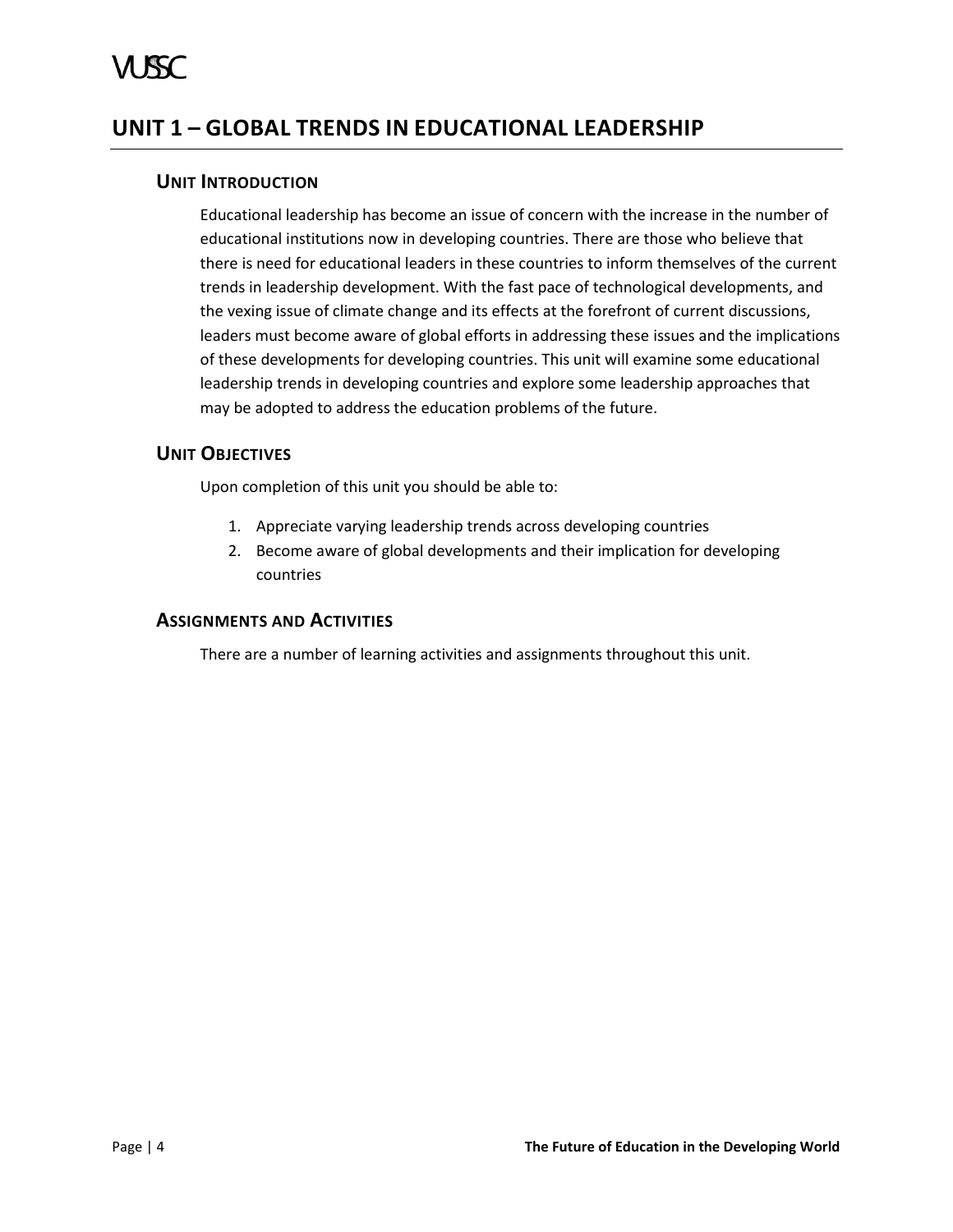# <span id="page-9-1"></span><span id="page-9-0"></span>**UNIT 1 – GLOBAL TRENDS IN EDUCATIONAL LEADERSHIP**

# **UNIT INTRODUCTION**

Educational leadership has become an issue of concern with the increase in the number of educational institutions now in developing countries. There are those who believe that there is need for educational leaders in these countries to inform themselves of the current trends in leadership development. With the fast pace of technological developments, and the vexing issue of climate change and its effects at the forefront of current discussions, leaders must become aware of global efforts in addressing these issues and the implications of these developments for developing countries. This unit will examine some educational leadership trends in developing countries and explore some leadership approaches that may be adopted to address the education problems of the future.

# <span id="page-9-2"></span>**UNIT OBJECTIVES**

Upon completion of this unit you should be able to:

- 1. Appreciate varying leadership trends across developing countries
- 2. Become aware of global developments and their implication for developing countries

# <span id="page-9-3"></span>**ASSIGNMENTS AND ACTIVITIES**

There are a number of learning activities and assignments throughout this unit.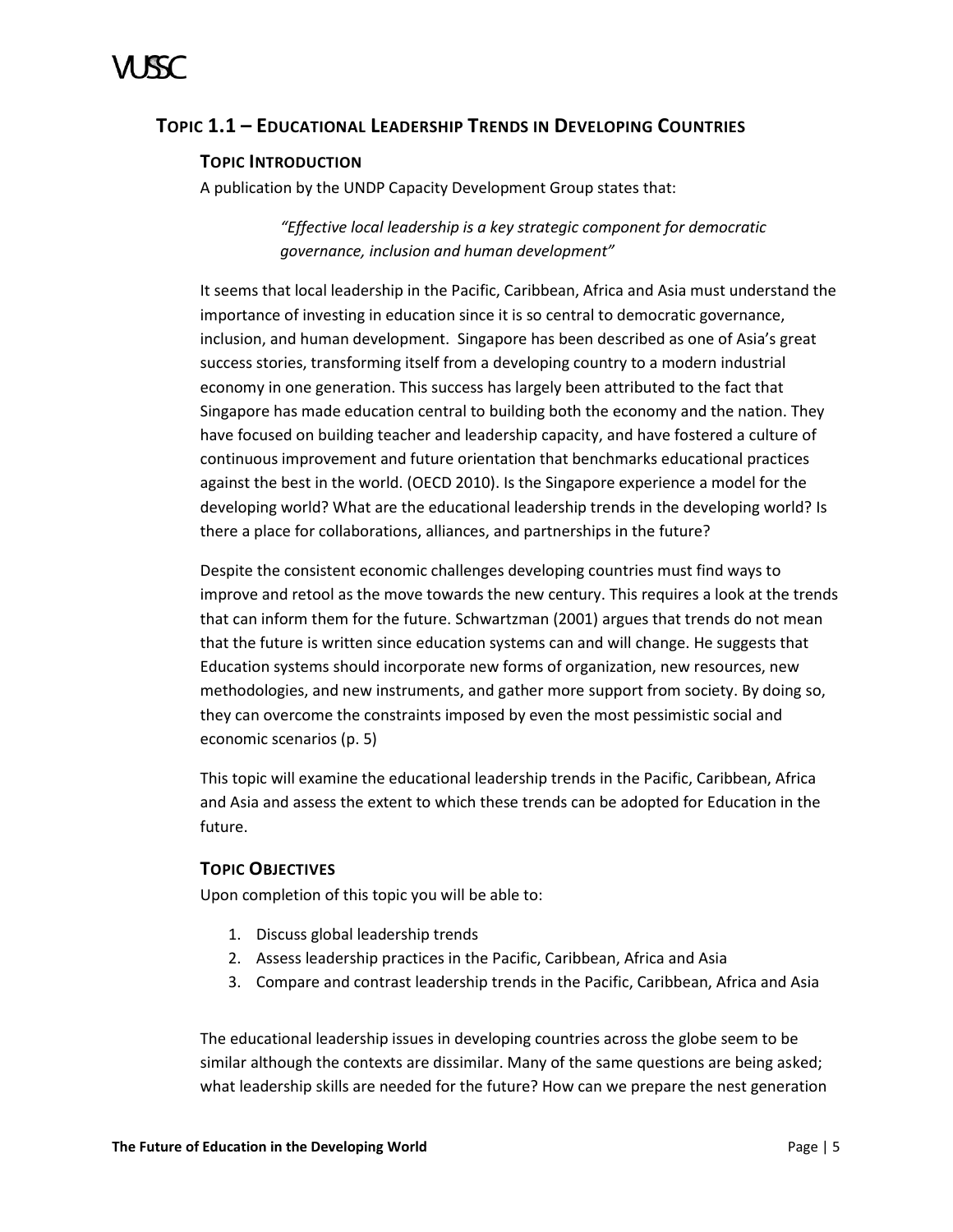# <span id="page-10-0"></span>**TOPIC 1.1 – EDUCATIONAL LEADERSHIP TRENDS IN DEVELOPING COUNTRIES**

# **TOPIC INTRODUCTION**

A publication by the UNDP Capacity Development Group states that:

*"Effective local leadership is a key strategic component for democratic governance, inclusion and human development"*

It seems that local leadership in the Pacific, Caribbean, Africa and Asia must understand the importance of investing in education since it is so central to democratic governance, inclusion, and human development. Singapore has been described as one of Asia's great success stories, transforming itself from a developing country to a modern industrial economy in one generation. This success has largely been attributed to the fact that Singapore has made education central to building both the economy and the nation. They have focused on building teacher and leadership capacity, and have fostered a culture of continuous improvement and future orientation that benchmarks educational practices against the best in the world. (OECD 2010). Is the Singapore experience a model for the developing world? What are the educational leadership trends in the developing world? Is there a place for collaborations, alliances, and partnerships in the future?

Despite the consistent economic challenges developing countries must find ways to improve and retool as the move towards the new century. This requires a look at the trends that can inform them for the future. Schwartzman (2001) argues that trends do not mean that the future is written since education systems can and will change. He suggests that Education systems should incorporate new forms of organization, new resources, new methodologies, and new instruments, and gather more support from society. By doing so, they can overcome the constraints imposed by even the most pessimistic social and economic scenarios (p. 5)

This topic will examine the educational leadership trends in the Pacific, Caribbean, Africa and Asia and assess the extent to which these trends can be adopted for Education in the future.

# **TOPIC OBJECTIVES**

Upon completion of this topic you will be able to:

- 1. Discuss global leadership trends
- 2. Assess leadership practices in the Pacific, Caribbean, Africa and Asia
- 3. Compare and contrast leadership trends in the Pacific, Caribbean, Africa and Asia

The educational leadership issues in developing countries across the globe seem to be similar although the contexts are dissimilar. Many of the same questions are being asked; what leadership skills are needed for the future? How can we prepare the nest generation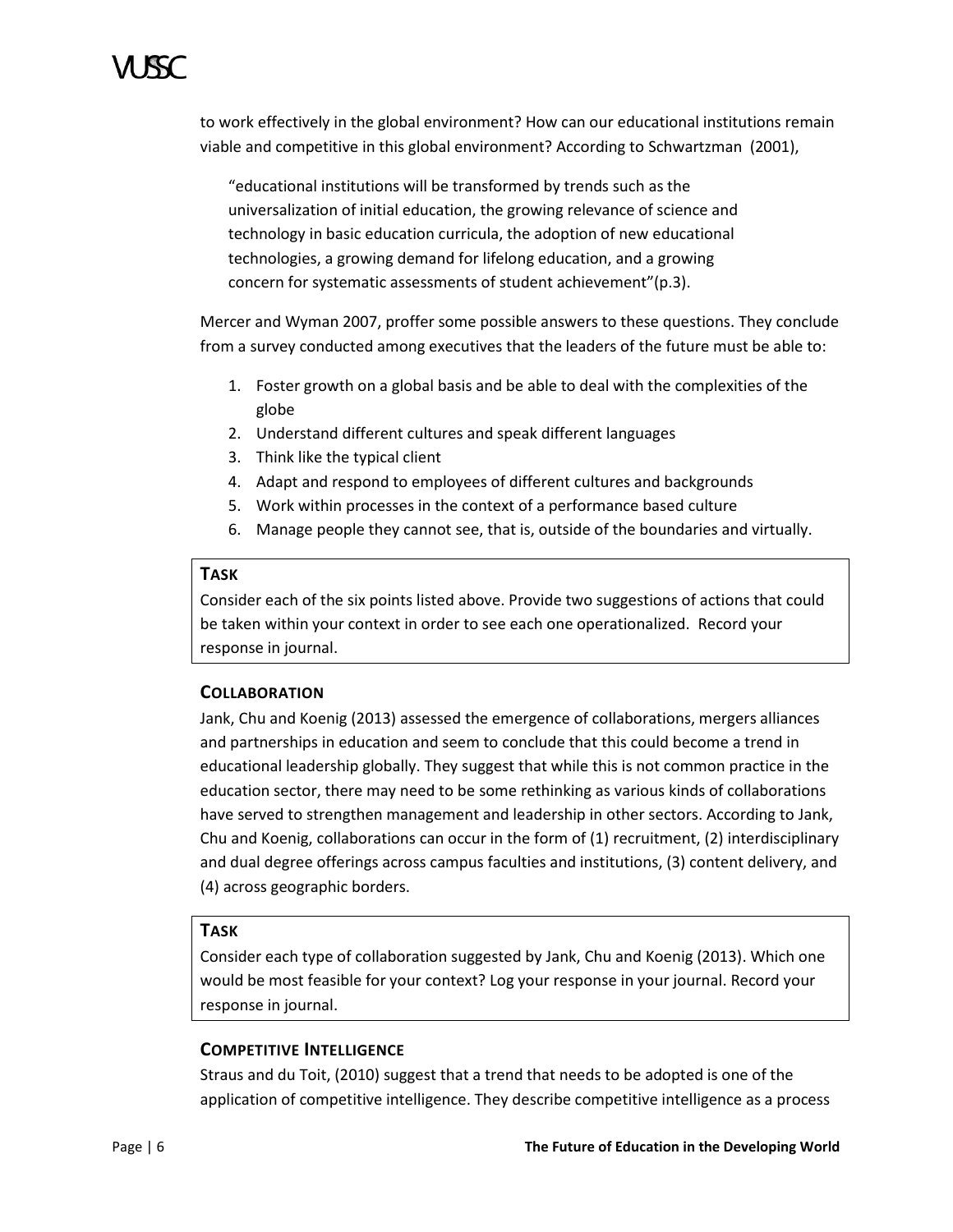to work effectively in the global environment? How can our educational institutions remain viable and competitive in this global environment? According to Schwartzman (2001),

"educational institutions will be transformed by trends such as the universalization of initial education, the growing relevance of science and technology in basic education curricula, the adoption of new educational technologies, a growing demand for lifelong education, and a growing concern for systematic assessments of student achievement"(p.3).

Mercer and Wyman 2007, proffer some possible answers to these questions. They conclude from a survey conducted among executives that the leaders of the future must be able to:

- 1. Foster growth on a global basis and be able to deal with the complexities of the globe
- 2. Understand different cultures and speak different languages
- 3. Think like the typical client
- 4. Adapt and respond to employees of different cultures and backgrounds
- 5. Work within processes in the context of a performance based culture
- 6. Manage people they cannot see, that is, outside of the boundaries and virtually.

# **TASK**

Consider each of the six points listed above. Provide two suggestions of actions that could be taken within your context in order to see each one operationalized. Record your response in journal.

# **COLLABORATION**

Jank, Chu and Koenig (2013) assessed the emergence of collaborations, mergers alliances and partnerships in education and seem to conclude that this could become a trend in educational leadership globally. They suggest that while this is not common practice in the education sector, there may need to be some rethinking as various kinds of collaborations have served to strengthen management and leadership in other sectors. According to Jank, Chu and Koenig, collaborations can occur in the form of (1) recruitment, (2) interdisciplinary and dual degree offerings across campus faculties and institutions, (3) content delivery, and (4) across geographic borders.

# **TASK**

Consider each type of collaboration suggested by Jank, Chu and Koenig (2013). Which one would be most feasible for your context? Log your response in your journal. Record your response in journal.

# **COMPETITIVE INTELLIGENCE**

Straus and du Toit, (2010) suggest that a trend that needs to be adopted is one of the application of competitive intelligence. They describe competitive intelligence as a process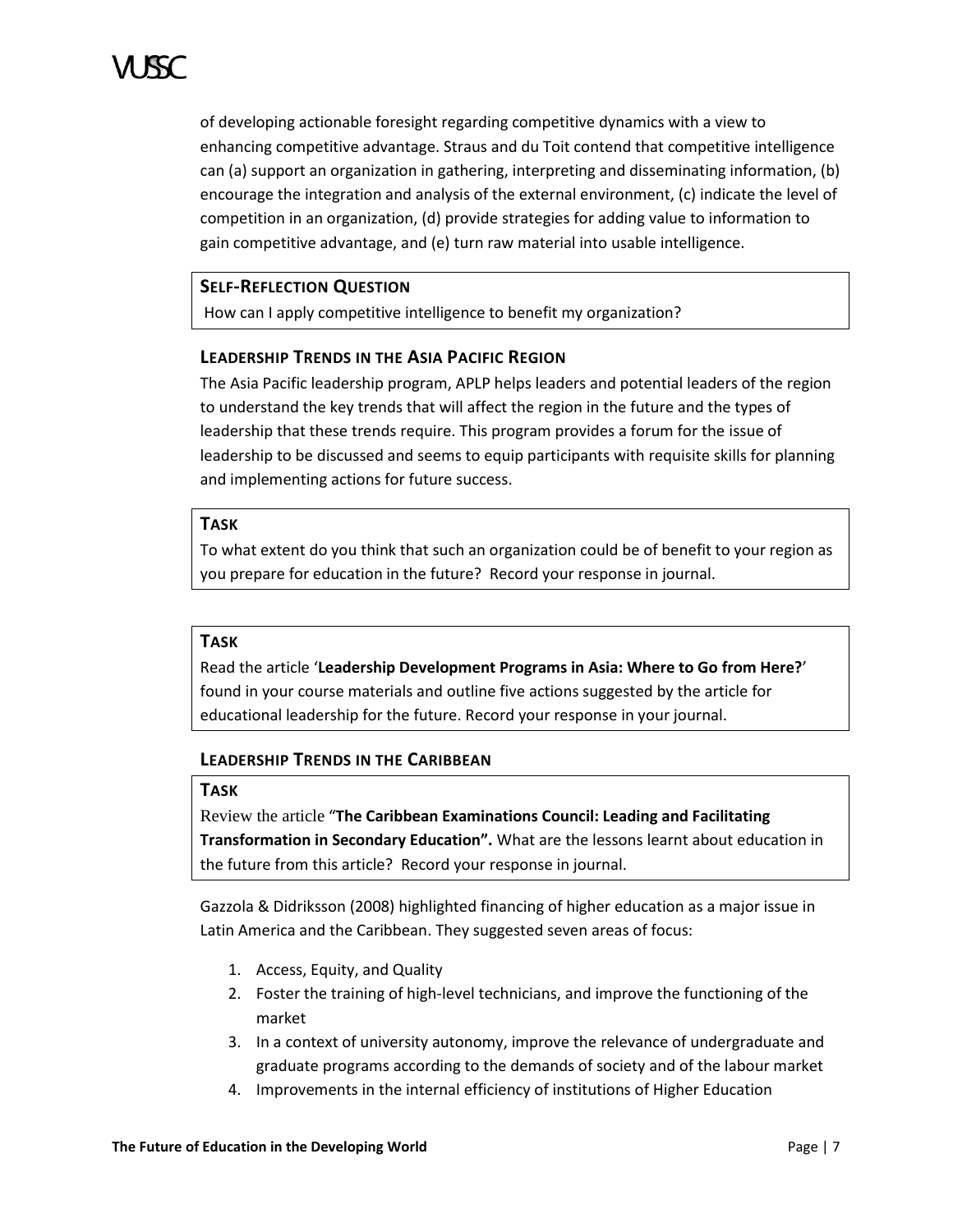of developing actionable foresight regarding competitive dynamics with a view to enhancing competitive advantage. Straus and du Toit contend that competitive intelligence can (a) support an organization in gathering, interpreting and disseminating information, (b) encourage the integration and analysis of the external environment, (c) indicate the level of competition in an organization, (d) provide strategies for adding value to information to gain competitive advantage, and (e) turn raw material into usable intelligence.

# **SELF-REFLECTION QUESTION**

How can I apply competitive intelligence to benefit my organization?

# **LEADERSHIP TRENDS IN THE ASIA PACIFIC REGION**

The Asia Pacific leadership program, APLP helps leaders and potential leaders of the region to understand the key trends that will affect the region in the future and the types of leadership that these trends require. This program provides a forum for the issue of leadership to be discussed and seems to equip participants with requisite skills for planning and implementing actions for future success.

# **TASK**

To what extent do you think that such an organization could be of benefit to your region as you prepare for education in the future? Record your response in journal.

# **TASK**

Read the article '**Leadership Development Programs in Asia: Where to Go from Here?**' found in your course materials and outline five actions suggested by the article for educational leadership for the future. Record your response in your journal.

# **LEADERSHIP TRENDS IN THE CARIBBEAN**

# **TASK**

Review the article "**The Caribbean Examinations Council: Leading and Facilitating Transformation in Secondary Education".** What are the lessons learnt about education in the future from this article? Record your response in journal.

Gazzola & Didriksson (2008) highlighted financing of higher education as a major issue in Latin America and the Caribbean. They suggested seven areas of focus:

- 1. Access, Equity, and Quality
- 2. Foster the training of high-level technicians, and improve the functioning of the market
- 3. In a context of university autonomy, improve the relevance of undergraduate and graduate programs according to the demands of society and of the labour market
- 4. Improvements in the internal efficiency of institutions of Higher Education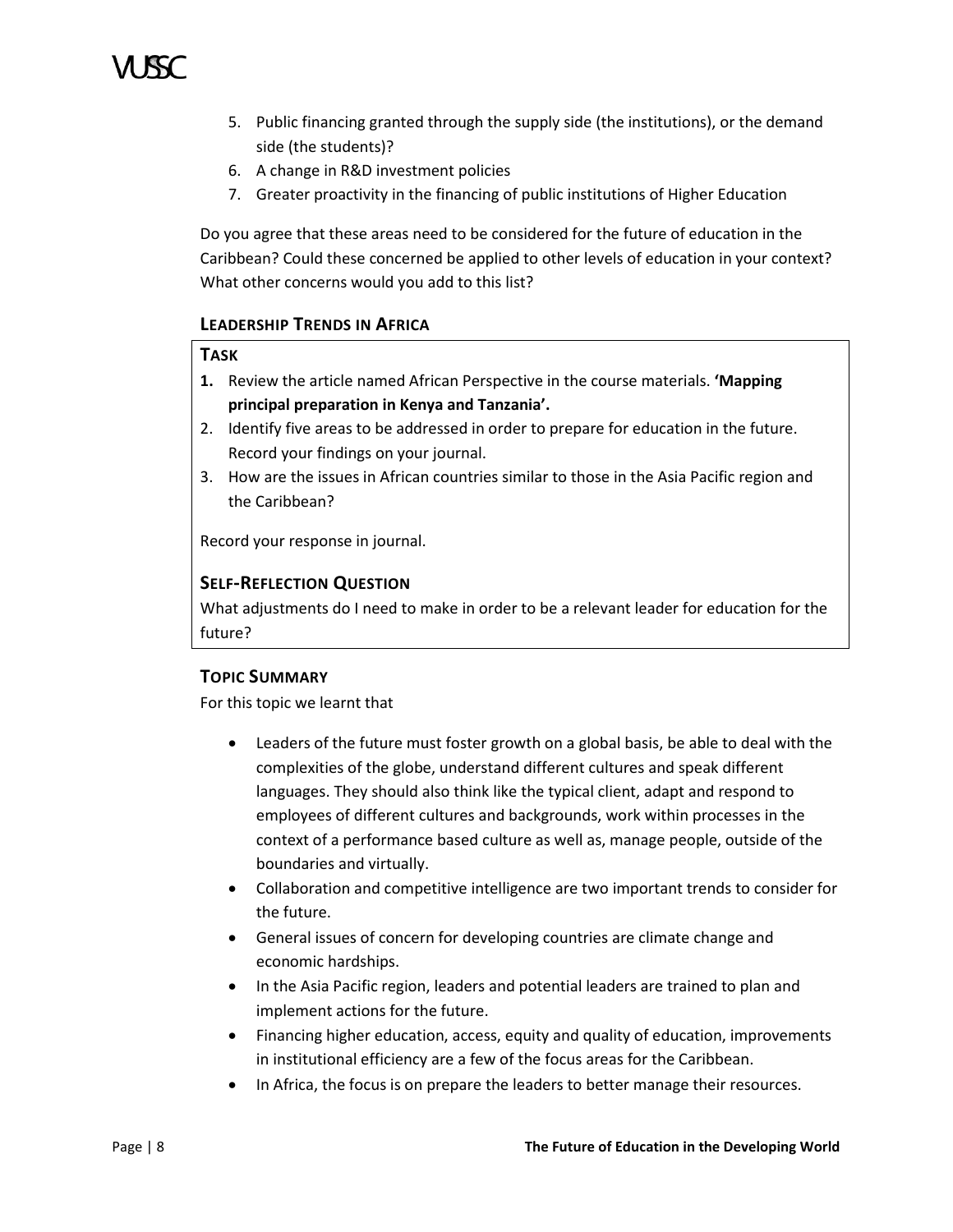

- 5. Public financing granted through the supply side (the institutions), or the demand side (the students)?
- 6. A change in R&D investment policies
- 7. Greater proactivity in the financing of public institutions of Higher Education

Do you agree that these areas need to be considered for the future of education in the Caribbean? Could these concerned be applied to other levels of education in your context? What other concerns would you add to this list?

# **LEADERSHIP TRENDS IN AFRICA**

### **TASK**

- **1.** Review the article named African Perspective in the course materials. **'Mapping principal preparation in Kenya and Tanzania'.**
- 2. Identify five areas to be addressed in order to prepare for education in the future. Record your findings on your journal.
- 3. How are the issues in African countries similar to those in the Asia Pacific region and the Caribbean?

Record your response in journal.

# **SELF-REFLECTION QUESTION**

What adjustments do I need to make in order to be a relevant leader for education for the future?

# **TOPIC SUMMARY**

For this topic we learnt that

- Leaders of the future must foster growth on a global basis, be able to deal with the complexities of the globe, understand different cultures and speak different languages. They should also think like the typical client, adapt and respond to employees of different cultures and backgrounds, work within processes in the context of a performance based culture as well as, manage people, outside of the boundaries and virtually.
- Collaboration and competitive intelligence are two important trends to consider for the future.
- General issues of concern for developing countries are climate change and economic hardships.
- In the Asia Pacific region, leaders and potential leaders are trained to plan and implement actions for the future.
- Financing higher education, access, equity and quality of education, improvements in institutional efficiency are a few of the focus areas for the Caribbean.
- In Africa, the focus is on prepare the leaders to better manage their resources.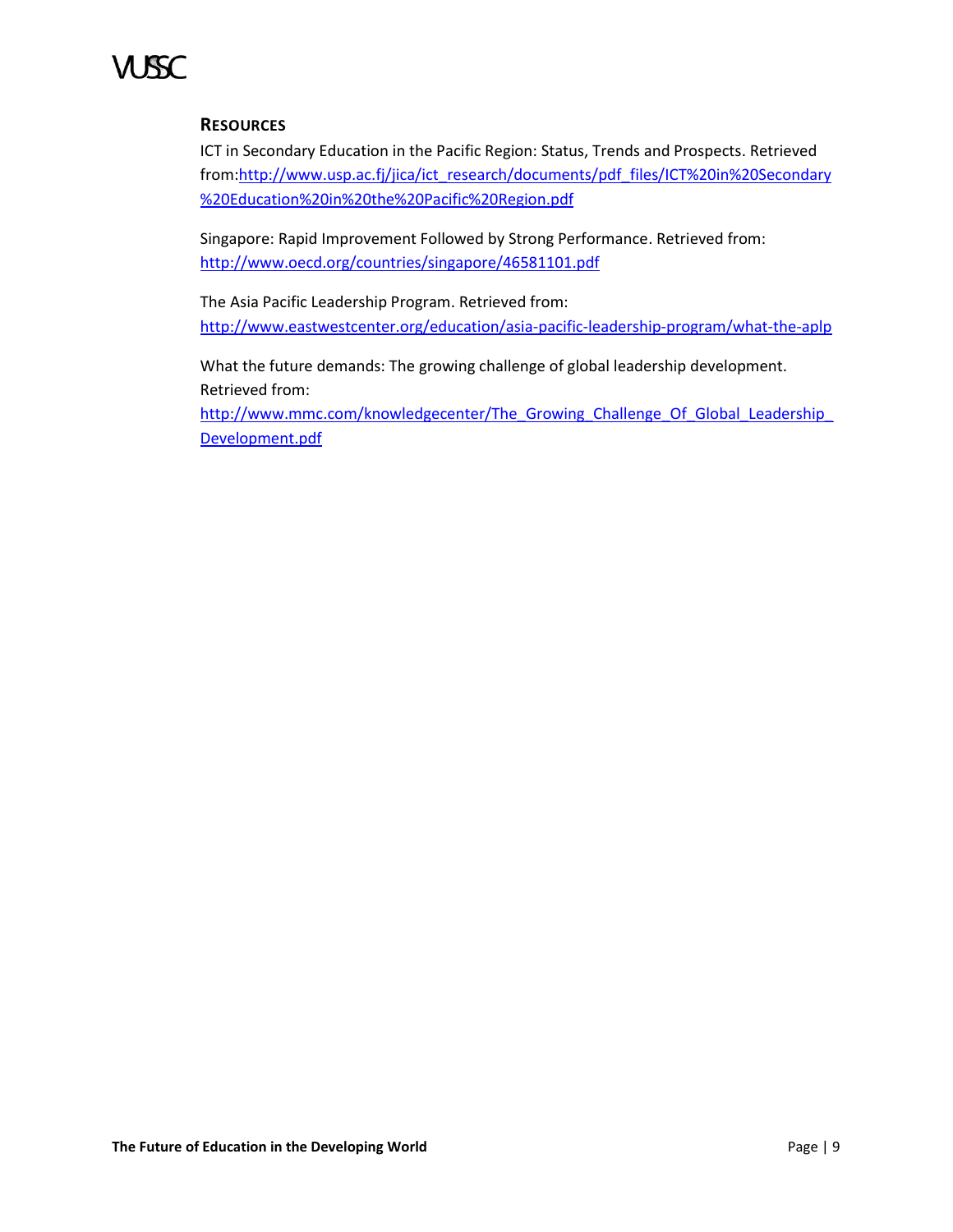# **RESOURCES**

ICT in Secondary Education in the Pacific Region: Status, Trends and Prospects. Retrieved from[:http://www.usp.ac.fj/jica/ict\\_research/documents/pdf\\_files/ICT%20in%20Secondary](http://www.usp.ac.fj/jica/ict_research/documents/pdf_files/ICT%20in%20Secondary%20Education%20in%20the%20Pacific%20Region.pdf) [%20Education%20in%20the%20Pacific%20Region.pdf](http://www.usp.ac.fj/jica/ict_research/documents/pdf_files/ICT%20in%20Secondary%20Education%20in%20the%20Pacific%20Region.pdf)

Singapore: Rapid Improvement Followed by Strong Performance. Retrieved from: <http://www.oecd.org/countries/singapore/46581101.pdf>

The Asia Pacific Leadership Program. Retrieved from: <http://www.eastwestcenter.org/education/asia-pacific-leadership-program/what-the-aplp>

What the future demands: The growing challenge of global leadership development. Retrieved from:

http://www.mmc.com/knowledgecenter/The\_Growing\_Challenge\_Of\_Global\_Leadership [Development.pdf](http://www.mmc.com/knowledgecenter/The_Growing_Challenge_Of_Global_Leadership_Development.pdf)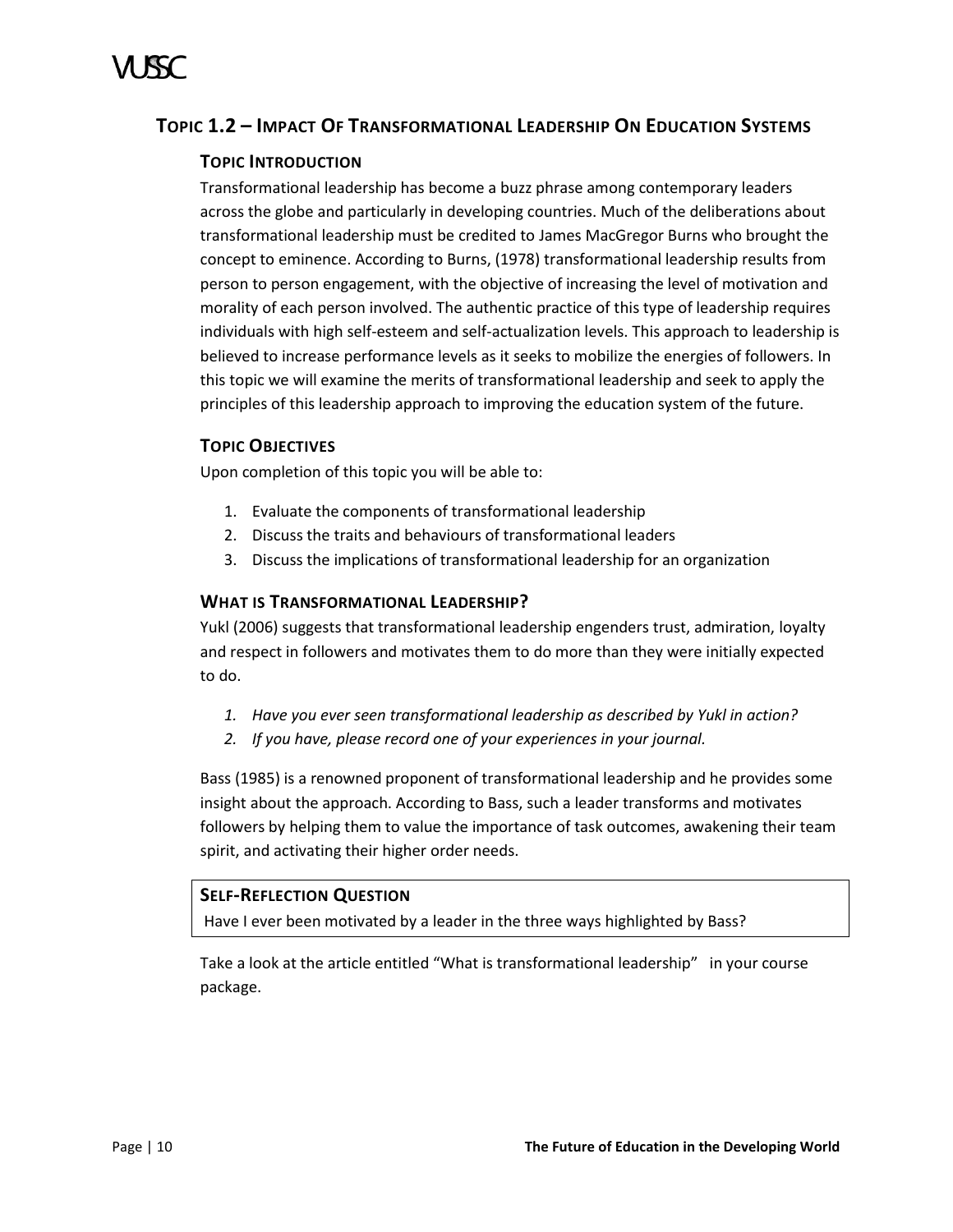# <span id="page-15-0"></span>**TOPIC 1.2 – IMPACT OF TRANSFORMATIONAL LEADERSHIP ON EDUCATION SYSTEMS**

# **TOPIC INTRODUCTION**

Transformational leadership has become a buzz phrase among contemporary leaders across the globe and particularly in developing countries. Much of the deliberations about transformational leadership must be credited to James MacGregor Burns who brought the concept to eminence. According to Burns, (1978) transformational leadership results from person to person engagement, with the objective of increasing the level of motivation and morality of each person involved. The authentic practice of this type of leadership requires individuals with high self-esteem and self-actualization levels. This approach to leadership is believed to increase performance levels as it seeks to mobilize the energies of followers. In this topic we will examine the merits of transformational leadership and seek to apply the principles of this leadership approach to improving the education system of the future.

# **TOPIC OBJECTIVES**

Upon completion of this topic you will be able to:

- 1. Evaluate the components of transformational leadership
- 2. Discuss the traits and behaviours of transformational leaders
- 3. Discuss the implications of transformational leadership for an organization

# **WHAT IS TRANSFORMATIONAL LEADERSHIP?**

Yukl (2006) suggests that transformational leadership engenders trust, admiration, loyalty and respect in followers and motivates them to do more than they were initially expected to do.

- *1. Have you ever seen transformational leadership as described by Yukl in action?*
- *2. If you have, please record one of your experiences in your journal.*

Bass (1985) is a renowned proponent of transformational leadership and he provides some insight about the approach. According to Bass, such a leader transforms and motivates followers by helping them to value the importance of task outcomes, awakening their team spirit, and activating their higher order needs.

# **SELF-REFLECTION QUESTION**

Have I ever been motivated by a leader in the three ways highlighted by Bass?

Take a look at the article entitled "What is transformational leadership" in your course package.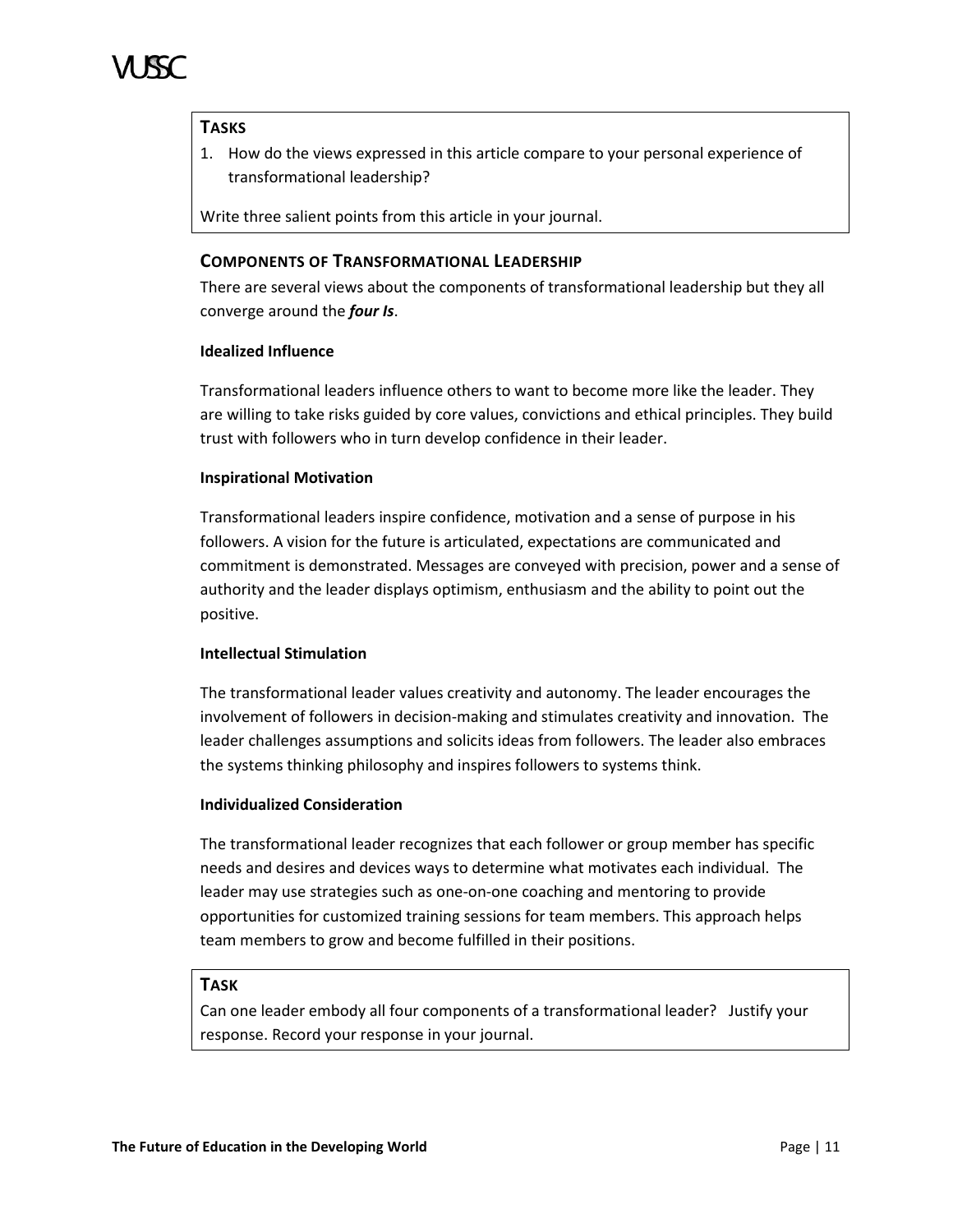

# **TASKS**

1. How do the views expressed in this article compare to your personal experience of transformational leadership?

Write three salient points from this article in your journal.

# **COMPONENTS OF TRANSFORMATIONAL LEADERSHIP**

There are several views about the components of transformational leadership but they all converge around the *four Is*.

### **Idealized Influence**

Transformational leaders influence others to want to become more like the leader. They are willing to take risks guided by core values, convictions and ethical principles. They build trust with followers who in turn develop confidence in their leader.

### **Inspirational Motivation**

Transformational leaders inspire confidence, motivation and a sense of purpose in his followers. A vision for the future is articulated, expectations are communicated and commitment is demonstrated. Messages are conveyed with precision, power and a sense of authority and the leader displays optimism, enthusiasm and the ability to point out the positive.

### **Intellectual Stimulation**

The transformational leader values creativity and autonomy. The leader encourages the involvement of followers in decision-making and stimulates creativity and innovation. The leader challenges assumptions and solicits ideas from followers. The leader also embraces the systems thinking philosophy and inspires followers to systems think.

### **Individualized Consideration**

The transformational leader recognizes that each follower or group member has specific needs and desires and devices ways to determine what motivates each individual. The leader may use strategies such as one-on-one coaching and mentoring to provide opportunities for customized training sessions for team members. This approach helps team members to grow and become fulfilled in their positions.

# **TASK**

Can one leader embody all four components of a transformational leader? Justify your response. Record your response in your journal.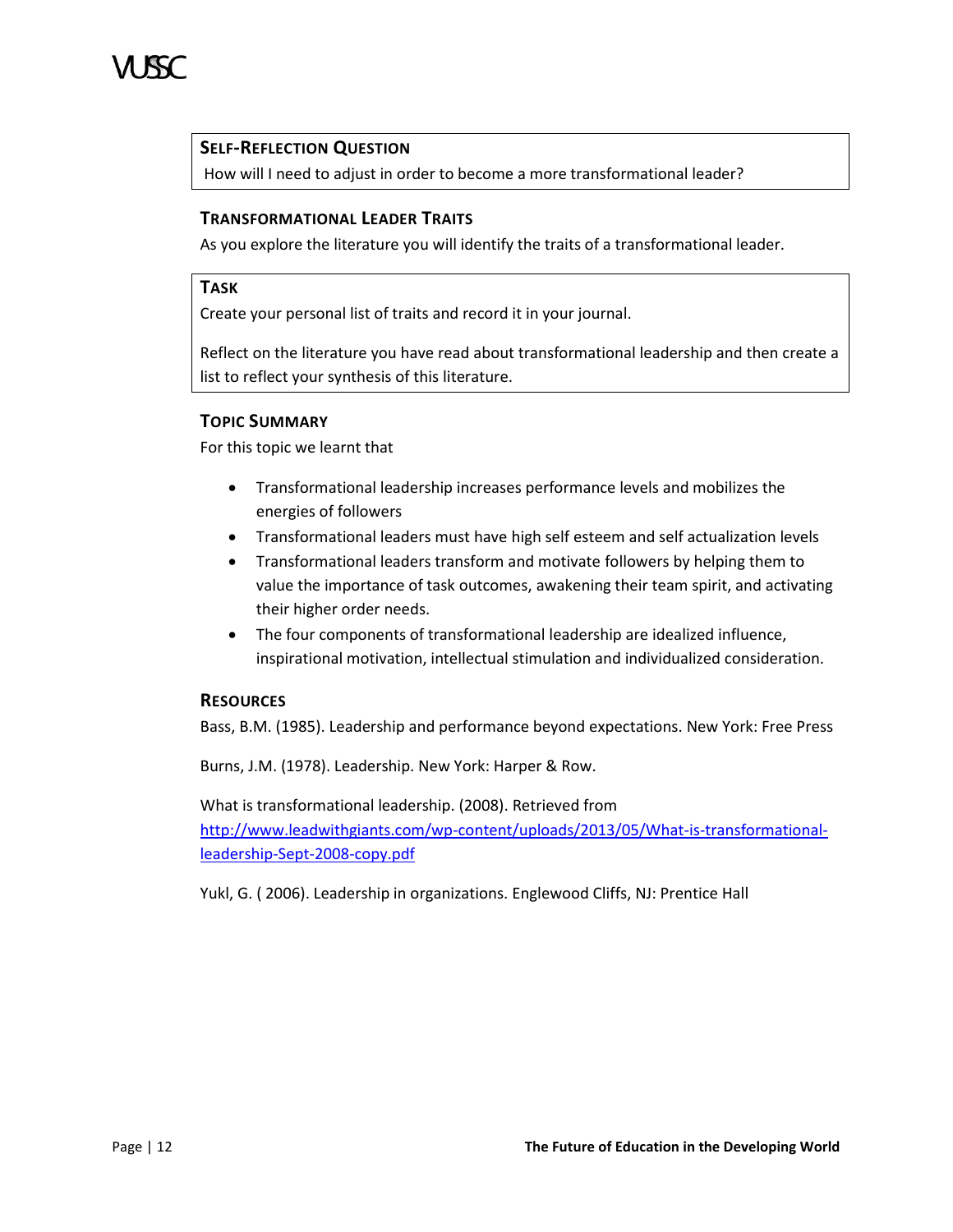

# **SELF-REFLECTION QUESTION**

How will I need to adjust in order to become a more transformational leader?

# **TRANSFORMATIONAL LEADER TRAITS**

As you explore the literature you will identify the traits of a transformational leader.

### **TASK**

Create your personal list of traits and record it in your journal.

Reflect on the literature you have read about transformational leadership and then create a list to reflect your synthesis of this literature.

### **TOPIC SUMMARY**

For this topic we learnt that

- Transformational leadership increases performance levels and mobilizes the energies of followers
- Transformational leaders must have high self esteem and self actualization levels
- Transformational leaders transform and motivate followers by helping them to value the importance of task outcomes, awakening their team spirit, and activating their higher order needs.
- The four components of transformational leadership are idealized influence, inspirational motivation, intellectual stimulation and individualized consideration.

# **RESOURCES**

Bass, B.M. (1985). Leadership and performance beyond expectations. New York: Free Press

Burns, J.M. (1978). Leadership. New York: Harper & Row.

What is transformational leadership. (2008). Retrieved from [http://www.leadwithgiants.com/wp-content/uploads/2013/05/What-is-transformational](http://www.leadwithgiants.com/wp-content/uploads/2013/05/What-is-transformational-leadership-Sept-2008-copy.pdf)[leadership-Sept-2008-copy.pdf](http://www.leadwithgiants.com/wp-content/uploads/2013/05/What-is-transformational-leadership-Sept-2008-copy.pdf)

Yukl, G. ( 2006). Leadership in organizations. Englewood Cliffs, NJ: Prentice Hall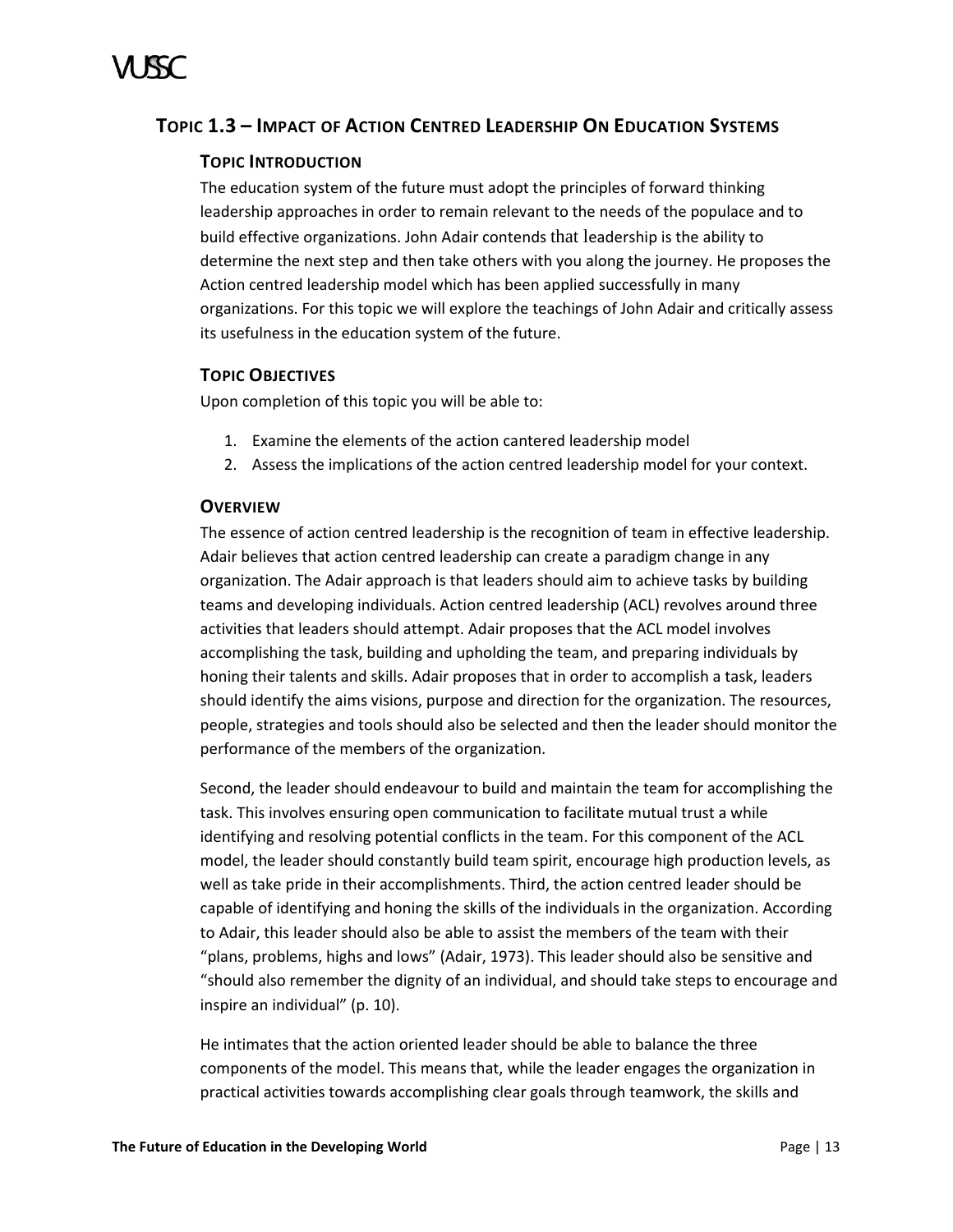# <span id="page-18-0"></span>**TOPIC 1.3 – IMPACT OF ACTION CENTRED LEADERSHIP ON EDUCATION SYSTEMS**

# **TOPIC INTRODUCTION**

The education system of the future must adopt the principles of forward thinking leadership approaches in order to remain relevant to the needs of the populace and to build effective organizations. John Adair contends that leadership is the ability to determine the next step and then take others with you along the journey. He proposes the Action centred leadership model which has been applied successfully in many organizations. For this topic we will explore the teachings of John Adair and critically assess its usefulness in the education system of the future.

# **TOPIC OBJECTIVES**

Upon completion of this topic you will be able to:

- 1. Examine the elements of the action cantered leadership model
- 2. Assess the implications of the action centred leadership model for your context.

# **OVERVIEW**

The essence of action centred leadership is the recognition of team in effective leadership. Adair believes that action centred leadership can create a paradigm change in any organization. The Adair approach is that leaders should aim to achieve tasks by building teams and developing individuals. Action centred leadership (ACL) revolves around three activities that leaders should attempt. Adair proposes that the ACL model involves accomplishing the task, building and upholding the team, and preparing individuals by honing their talents and skills. Adair proposes that in order to accomplish a task, leaders should identify the aims visions, purpose and direction for the organization. The resources, people, strategies and tools should also be selected and then the leader should monitor the performance of the members of the organization.

Second, the leader should endeavour to build and maintain the team for accomplishing the task. This involves ensuring open communication to facilitate mutual trust a while identifying and resolving potential conflicts in the team. For this component of the ACL model, the leader should constantly build team spirit, encourage high production levels, as well as take pride in their accomplishments. Third, the action centred leader should be capable of identifying and honing the skills of the individuals in the organization. According to Adair, this leader should also be able to assist the members of the team with their "plans, problems, highs and lows" (Adair, 1973). This leader should also be sensitive and "should also remember the dignity of an individual, and should take steps to encourage and inspire an individual" (p. 10).

He intimates that the action oriented leader should be able to balance the three components of the model. This means that, while the leader engages the organization in practical activities towards accomplishing clear goals through teamwork, the skills and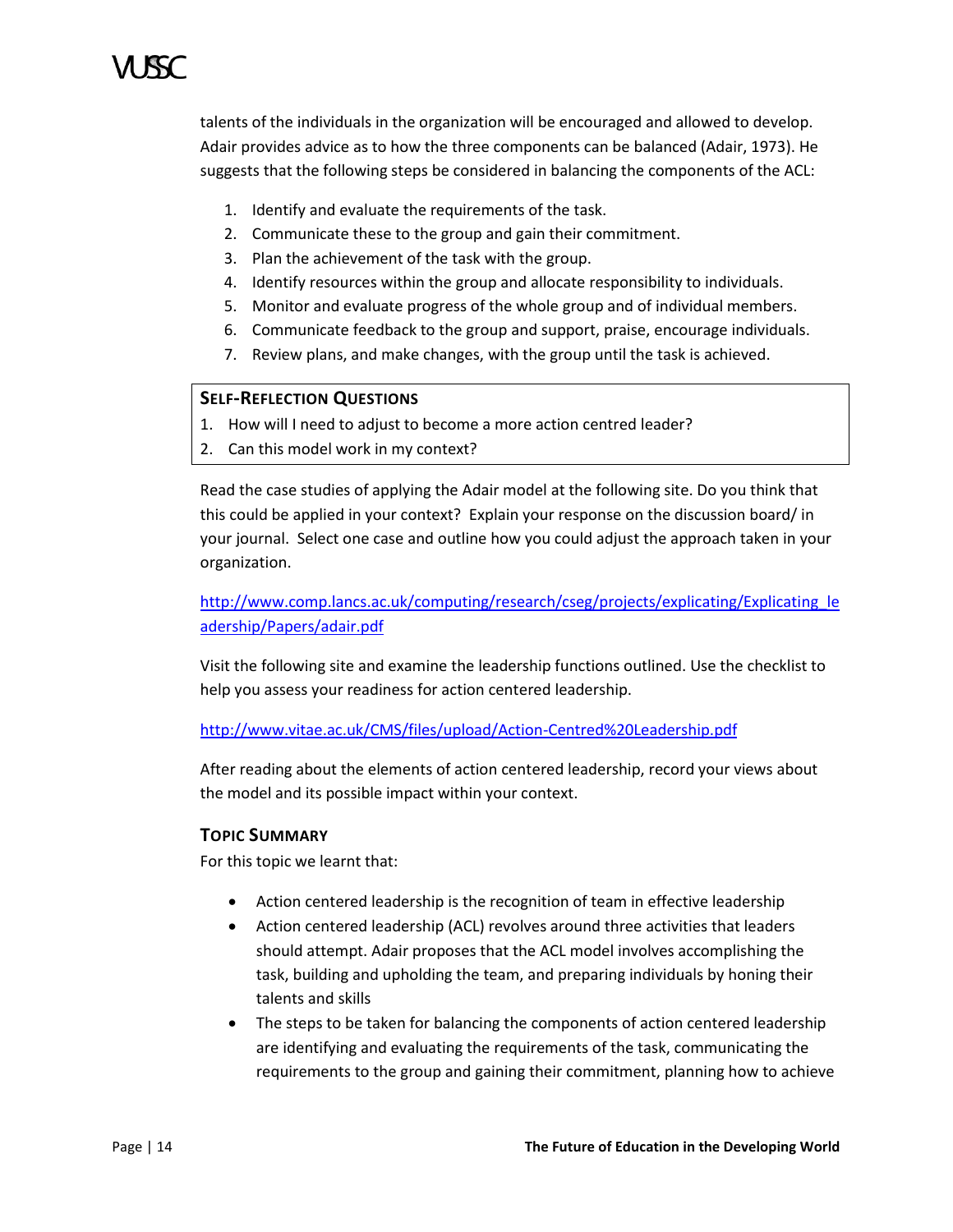talents of the individuals in the organization will be encouraged and allowed to develop. Adair provides advice as to how the three components can be balanced (Adair, 1973). He suggests that the following steps be considered in balancing the components of the ACL:

- 1. Identify and evaluate the requirements of the task.
- 2. Communicate these to the group and gain their commitment.
- 3. Plan the achievement of the task with the group.
- 4. Identify resources within the group and allocate responsibility to individuals.
- 5. Monitor and evaluate progress of the whole group and of individual members.
- 6. Communicate feedback to the group and support, praise, encourage individuals.
- 7. Review plans, and make changes, with the group until the task is achieved.

# **SELF-REFLECTION QUESTIONS**

- 1. How will I need to adjust to become a more action centred leader?
- 2. Can this model work in my context?

Read the case studies of applying the Adair model at the following site. Do you think that this could be applied in your context? Explain your response on the discussion board/ in your journal. Select one case and outline how you could adjust the approach taken in your organization.

[http://www.comp.lancs.ac.uk/computing/research/cseg/projects/explicating/Explicating\\_le](http://www.comp.lancs.ac.uk/computing/research/cseg/projects/explicating/Explicating_leadership/Papers/adair.pdf) [adership/Papers/adair.pdf](http://www.comp.lancs.ac.uk/computing/research/cseg/projects/explicating/Explicating_leadership/Papers/adair.pdf)

Visit the following site and examine the leadership functions outlined. Use the checklist to help you assess your readiness for action centered leadership.

# <http://www.vitae.ac.uk/CMS/files/upload/Action-Centred%20Leadership.pdf>

After reading about the elements of action centered leadership, record your views about the model and its possible impact within your context.

# **TOPIC SUMMARY**

For this topic we learnt that:

- Action centered leadership is the recognition of team in effective leadership
- Action centered leadership (ACL) revolves around three activities that leaders should attempt. Adair proposes that the ACL model involves accomplishing the task, building and upholding the team, and preparing individuals by honing their talents and skills
- The steps to be taken for balancing the components of action centered leadership are identifying and evaluating the requirements of the task, communicating the requirements to the group and gaining their commitment, planning how to achieve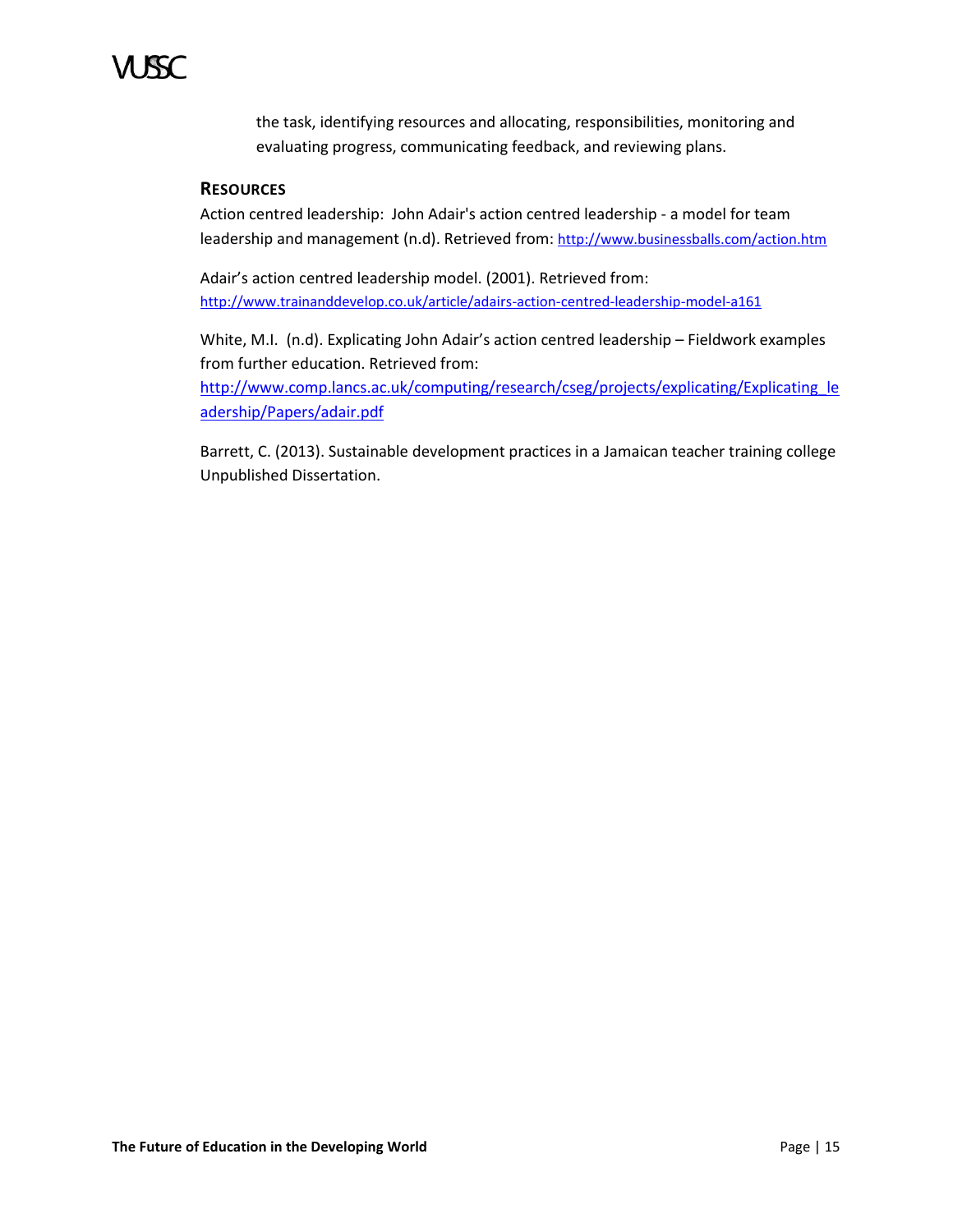the task, identifying resources and allocating, responsibilities, monitoring and evaluating progress, communicating feedback, and reviewing plans.

# **RESOURCES**

Action centred leadership: John Adair's action centred leadership - a model for team leadership and management (n.d). Retrieved from: <http://www.businessballs.com/action.htm>

Adair's action centred leadership model. (2001). Retrieved from: <http://www.trainanddevelop.co.uk/article/adairs-action-centred-leadership-model-a161>

White, M.I. (n.d). Explicating John Adair's action centred leadership – Fieldwork examples from further education. Retrieved from:

[http://www.comp.lancs.ac.uk/computing/research/cseg/projects/explicating/Explicating\\_le](http://www.comp.lancs.ac.uk/computing/research/cseg/projects/explicating/Explicating_leadership/Papers/adair.pdf) [adership/Papers/adair.pdf](http://www.comp.lancs.ac.uk/computing/research/cseg/projects/explicating/Explicating_leadership/Papers/adair.pdf)

Barrett, C. (2013). Sustainable development practices in a Jamaican teacher training college Unpublished Dissertation.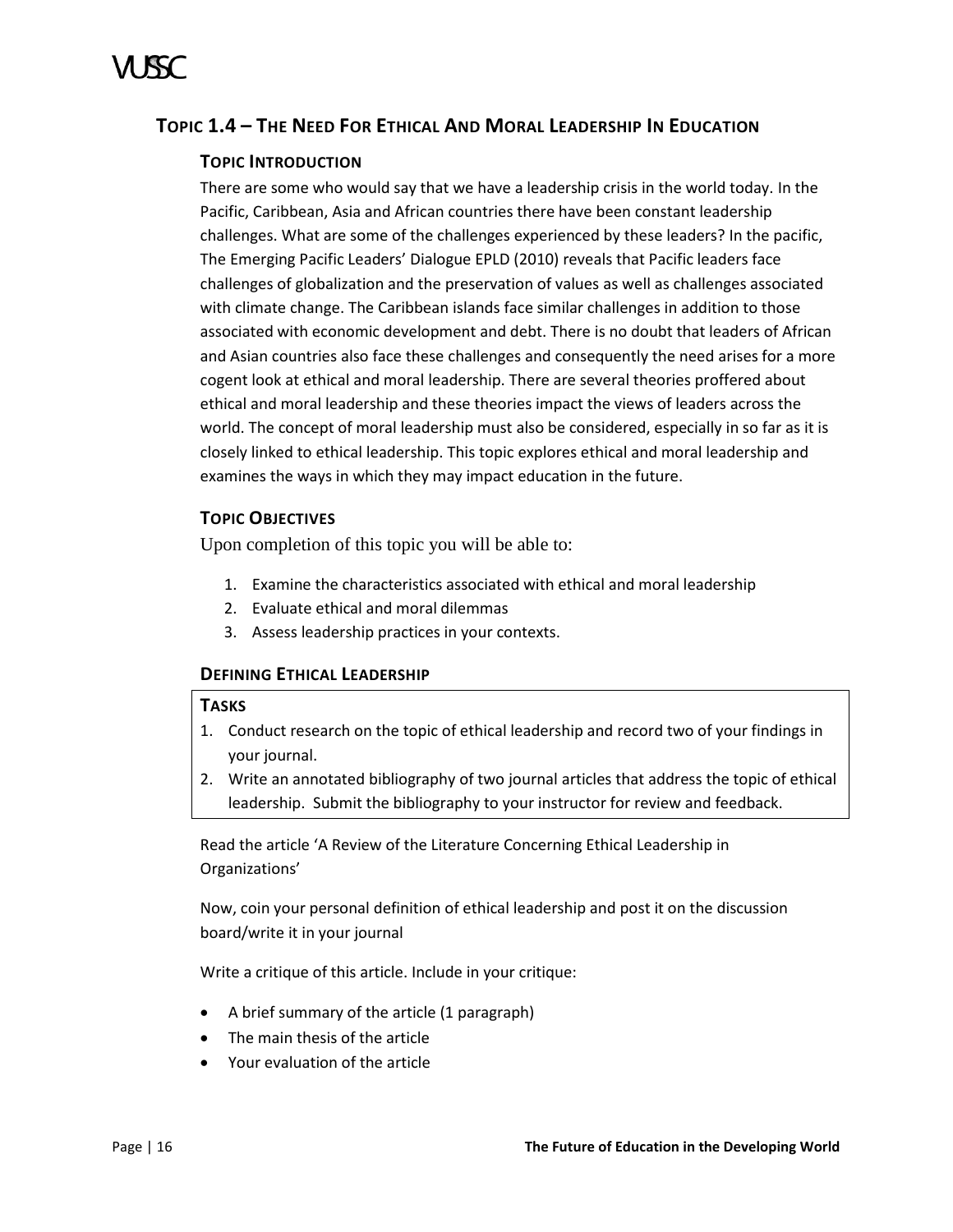# <span id="page-21-0"></span>**TOPIC 1.4 – THE NEED FOR ETHICAL AND MORAL LEADERSHIP IN EDUCATION**

# **TOPIC INTRODUCTION**

There are some who would say that we have a leadership crisis in the world today. In the Pacific, Caribbean, Asia and African countries there have been constant leadership challenges. What are some of the challenges experienced by these leaders? In the pacific, The Emerging Pacific Leaders' Dialogue EPLD (2010) reveals that Pacific leaders face challenges of globalization and the preservation of values as well as challenges associated with climate change. The Caribbean islands face similar challenges in addition to those associated with economic development and debt. There is no doubt that leaders of African and Asian countries also face these challenges and consequently the need arises for a more cogent look at ethical and moral leadership. There are several theories proffered about ethical and moral leadership and these theories impact the views of leaders across the world. The concept of moral leadership must also be considered, especially in so far as it is closely linked to ethical leadership. This topic explores ethical and moral leadership and examines the ways in which they may impact education in the future.

# **TOPIC OBJECTIVES**

Upon completion of this topic you will be able to:

- 1. Examine the characteristics associated with ethical and moral leadership
- 2. Evaluate ethical and moral dilemmas
- 3. Assess leadership practices in your contexts.

# **DEFINING ETHICAL LEADERSHIP**

# **TASKS**

- 1. Conduct research on the topic of ethical leadership and record two of your findings in your journal.
- 2. Write an annotated bibliography of two journal articles that address the topic of ethical leadership. Submit the bibliography to your instructor for review and feedback.

Read the article 'A Review of the Literature Concerning Ethical Leadership in Organizations'

Now, coin your personal definition of ethical leadership and post it on the discussion board/write it in your journal

Write a critique of this article. Include in your critique:

- A brief summary of the article (1 paragraph)
- The main thesis of the article
- Your evaluation of the article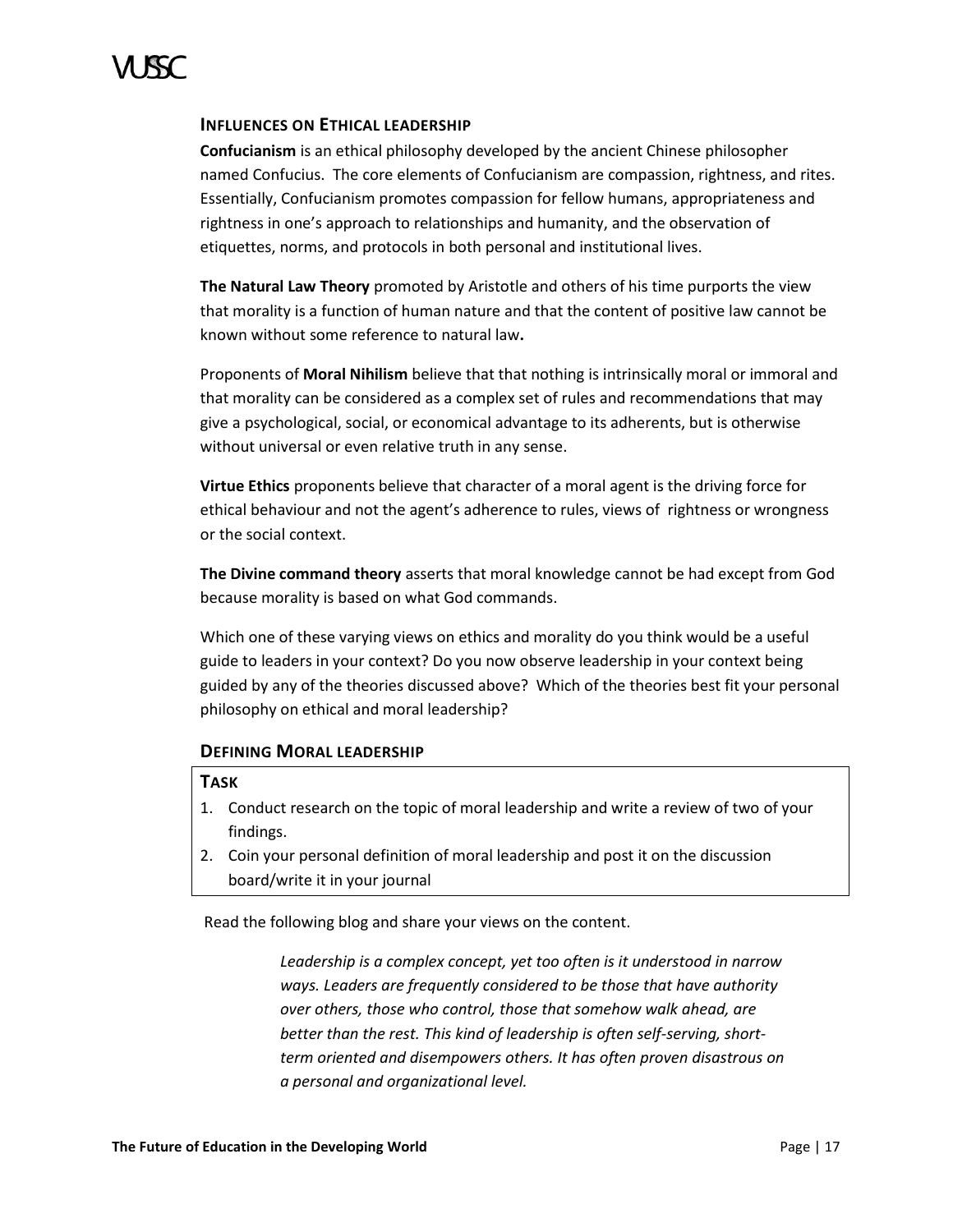# **INFLUENCES ON ETHICAL LEADERSHIP**

**Confucianism** is an ethical philosophy developed by the ancient Chinese philosopher named Confucius. The core elements of Confucianism are compassion, rightness, and rites. Essentially, Confucianism promotes compassion for fellow humans, appropriateness and rightness in one's approach to relationships and humanity, and the observation of etiquettes, norms, and protocols in both personal and institutional lives.

**The Natural Law Theory** promoted by Aristotle and others of his time purports the view that morality is a function of human nature and that the content of positive law cannot be known without some reference to natural law**.** 

Proponents of **Moral Nihilism** believe that that nothing is intrinsically moral or immoral and that morality can be considered as a complex set of rules and recommendations that may give a psychological, social, or economical advantage to its adherents, but is otherwise without universal or even relative truth in any sense.

**Virtue Ethics** proponents believe that character of a moral agent is the driving force for ethical behaviour and not the agent's adherence to rules, views of rightness or wrongness or the social context.

**The Divine command theory** asserts that moral knowledge cannot be had except from God because morality is based on what God commands.

Which one of these varying views on ethics and morality do you think would be a useful guide to leaders in your context? Do you now observe leadership in your context being guided by any of the theories discussed above? Which of the theories best fit your personal philosophy on ethical and moral leadership?

# **DEFINING MORAL LEADERSHIP**

# **TASK**

- 1. Conduct research on the topic of moral leadership and write a review of two of your findings.
- 2. Coin your personal definition of moral leadership and post it on the discussion board/write it in your journal

Read the following blog and share your views on the content.

*Leadership is a complex concept, yet too often is it understood in narrow ways. Leaders are frequently considered to be those that have authority over others, those who control, those that somehow walk ahead, are better than the rest. This kind of leadership is often self-serving, shortterm oriented and disempowers others. It has often proven disastrous on a personal and organizational level.*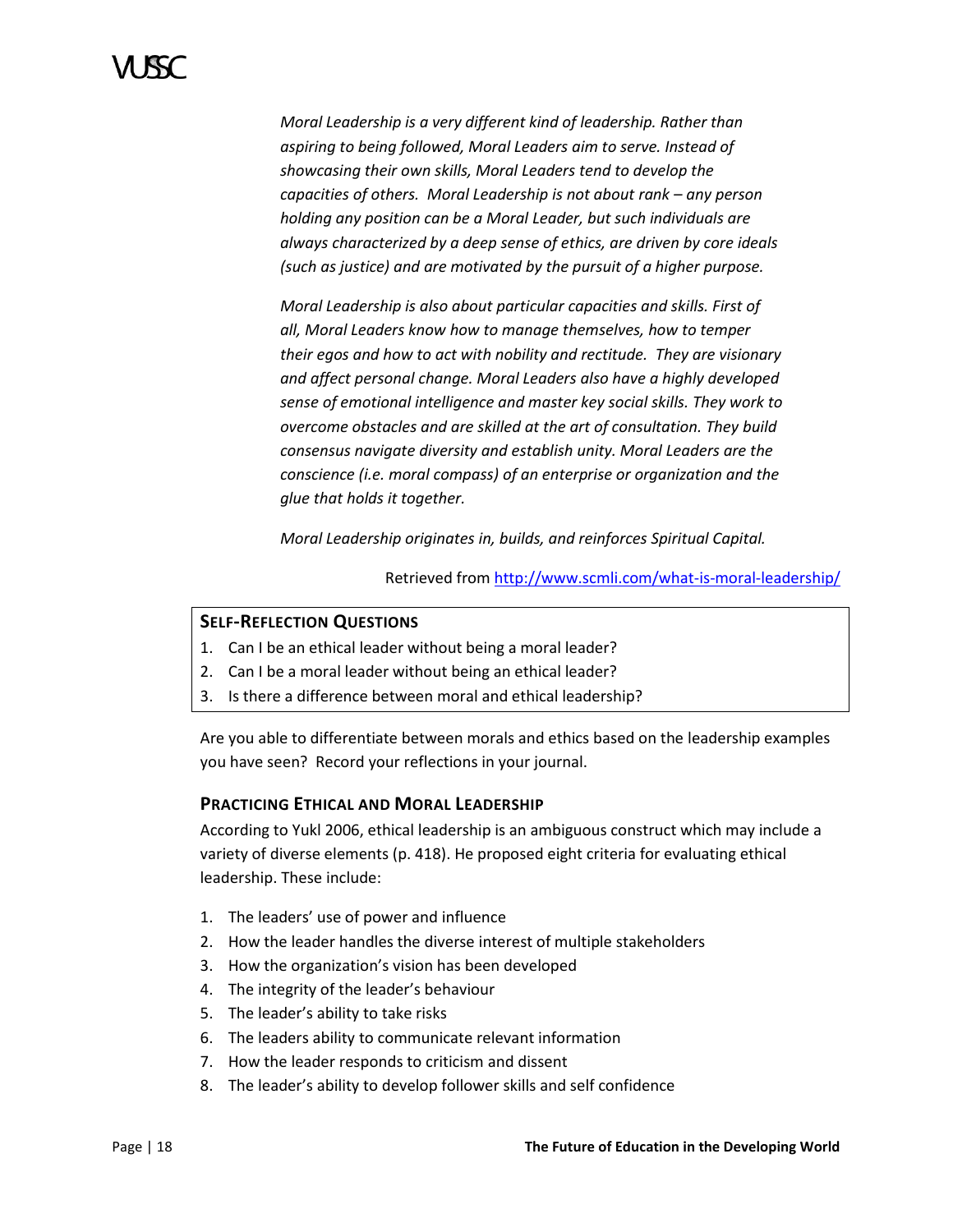*Moral Leadership is a very different kind of leadership. Rather than aspiring to being followed, Moral Leaders aim to serve. Instead of showcasing their own skills, Moral Leaders tend to develop the capacities of others. Moral Leadership is not about rank – any person holding any position can be a Moral Leader, but such individuals are always characterized by a deep sense of ethics, are driven by core ideals (such as justice) and are motivated by the pursuit of a higher purpose.*

*Moral Leadership is also about particular capacities and skills. First of all, Moral Leaders know how to manage themselves, how to temper their egos and how to act with nobility and rectitude. They are visionary and affect personal change. Moral Leaders also have a highly developed sense of emotional intelligence and master key social skills. They work to overcome obstacles and are skilled at the art of consultation. They build consensus navigate diversity and establish unity. Moral Leaders are the conscience (i.e. moral compass) of an enterprise or organization and the glue that holds it together.*

*Moral Leadership originates in, builds, and reinforces Spiritual Capital.*

Retrieved fro[m http://www.scmli.com/what-is-moral-leadership/](http://www.scmli.com/what-is-moral-leadership/)

# **SELF-REFLECTION QUESTIONS**

- 1. Can I be an ethical leader without being a moral leader?
- 2. Can I be a moral leader without being an ethical leader?
- 3. Is there a difference between moral and ethical leadership?

Are you able to differentiate between morals and ethics based on the leadership examples you have seen? Record your reflections in your journal.

# **PRACTICING ETHICAL AND MORAL LEADERSHIP**

According to Yukl 2006, ethical leadership is an ambiguous construct which may include a variety of diverse elements (p. 418). He proposed eight criteria for evaluating ethical leadership. These include:

- 1. The leaders' use of power and influence
- 2. How the leader handles the diverse interest of multiple stakeholders
- 3. How the organization's vision has been developed
- 4. The integrity of the leader's behaviour
- 5. The leader's ability to take risks
- 6. The leaders ability to communicate relevant information
- 7. How the leader responds to criticism and dissent
- 8. The leader's ability to develop follower skills and self confidence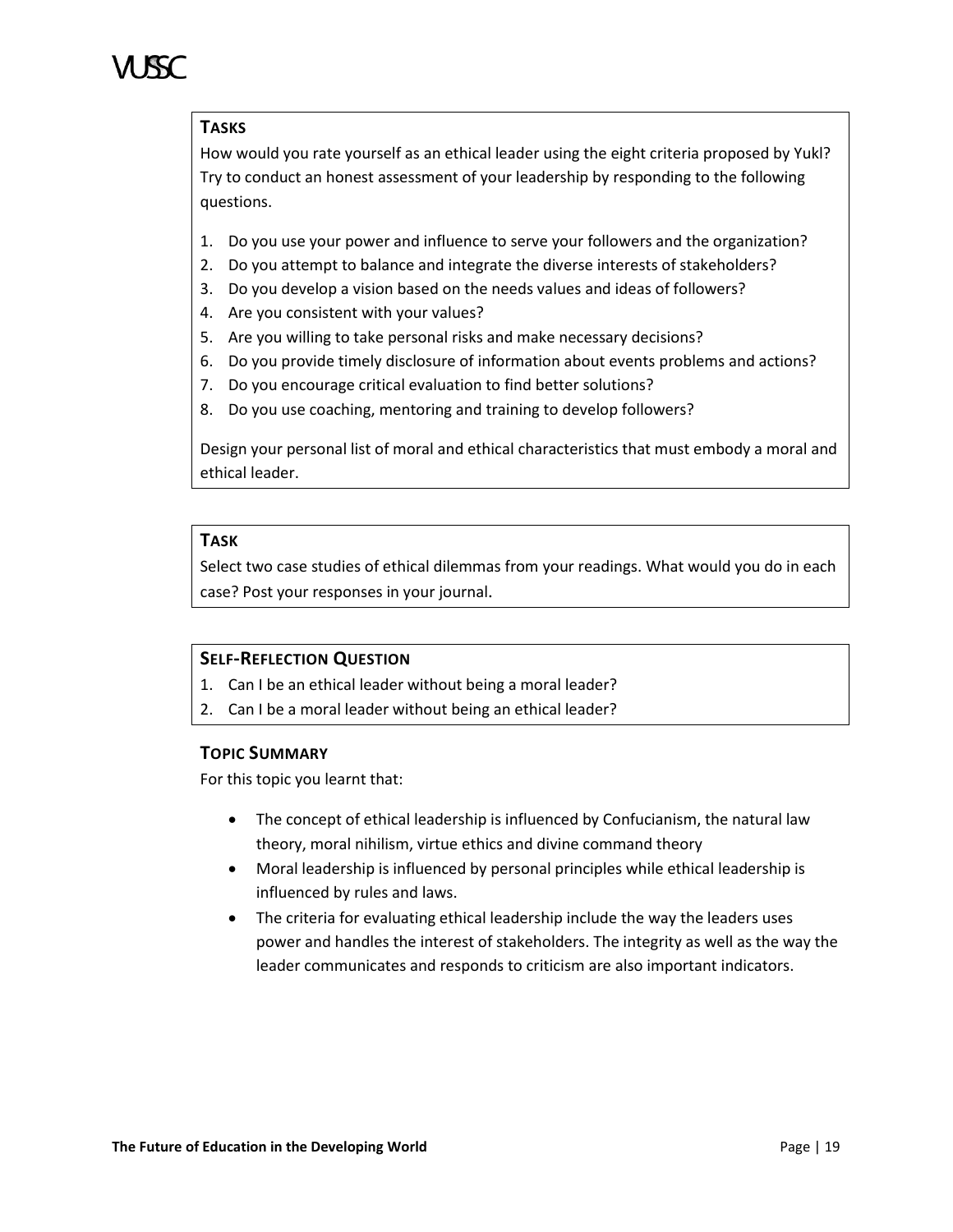# **TASKS**

How would you rate yourself as an ethical leader using the eight criteria proposed by Yukl? Try to conduct an honest assessment of your leadership by responding to the following questions.

- 1. Do you use your power and influence to serve your followers and the organization?
- 2. Do you attempt to balance and integrate the diverse interests of stakeholders?
- 3. Do you develop a vision based on the needs values and ideas of followers?
- 4. Are you consistent with your values?
- 5. Are you willing to take personal risks and make necessary decisions?
- 6. Do you provide timely disclosure of information about events problems and actions?
- 7. Do you encourage critical evaluation to find better solutions?
- 8. Do you use coaching, mentoring and training to develop followers?

Design your personal list of moral and ethical characteristics that must embody a moral and ethical leader.

# **TASK**

Select two case studies of ethical dilemmas from your readings. What would you do in each case? Post your responses in your journal.

# **SELF-REFLECTION QUESTION**

- 1. Can I be an ethical leader without being a moral leader?
- 2. Can I be a moral leader without being an ethical leader?

# **TOPIC SUMMARY**

For this topic you learnt that:

- The concept of ethical leadership is influenced by Confucianism, the natural law theory, moral nihilism, virtue ethics and divine command theory
- Moral leadership is influenced by personal principles while ethical leadership is influenced by rules and laws.
- The criteria for evaluating ethical leadership include the way the leaders uses power and handles the interest of stakeholders. The integrity as well as the way the leader communicates and responds to criticism are also important indicators.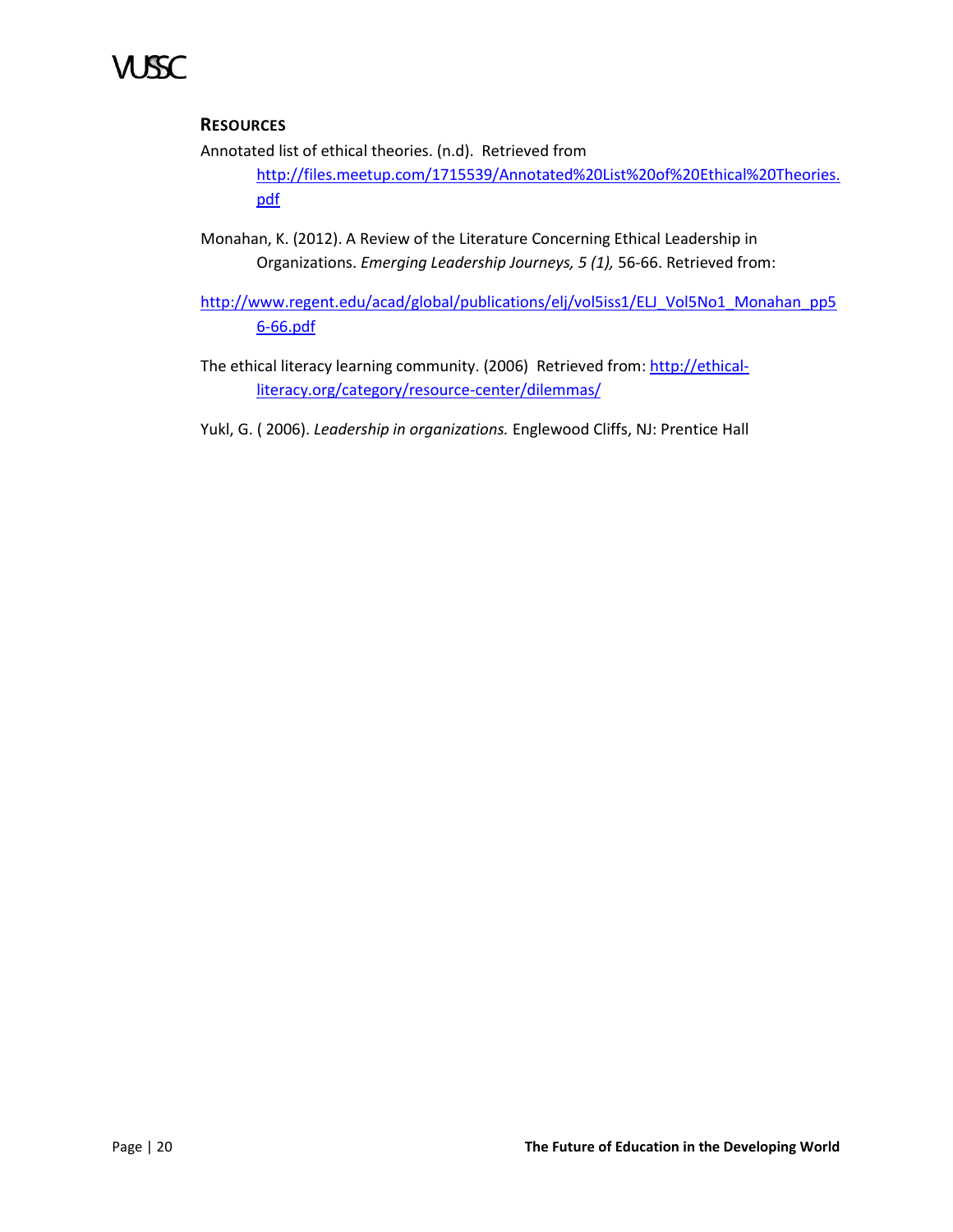# **RESOURCES**

Annotated list of ethical theories. (n.d). Retrieved from

[http://files.meetup.com/1715539/Annotated%20List%20of%20Ethical%20Theories.](http://files.meetup.com/1715539/Annotated%20List%20of%20Ethical%20Theories.pdf) [pdf](http://files.meetup.com/1715539/Annotated%20List%20of%20Ethical%20Theories.pdf)

- Monahan, K. (2012). A Review of the Literature Concerning Ethical Leadership in Organizations. *Emerging Leadership Journeys, 5 (1),* 56-66. Retrieved from:
- [http://www.regent.edu/acad/global/publications/elj/vol5iss1/ELJ\\_Vol5No1\\_Monahan\\_pp5](http://www.regent.edu/acad/global/publications/elj/vol5iss1/ELJ_Vol5No1_Monahan_pp56-66.pdf) [6-66.pdf](http://www.regent.edu/acad/global/publications/elj/vol5iss1/ELJ_Vol5No1_Monahan_pp56-66.pdf)
- The ethical literacy learning community. (2006) Retrieved from[: http://ethical](http://ethical-literacy.org/category/resource-center/dilemmas/)[literacy.org/category/resource-center/dilemmas/](http://ethical-literacy.org/category/resource-center/dilemmas/)
- Yukl, G. ( 2006). *Leadership in organizations.* Englewood Cliffs, NJ: Prentice Hall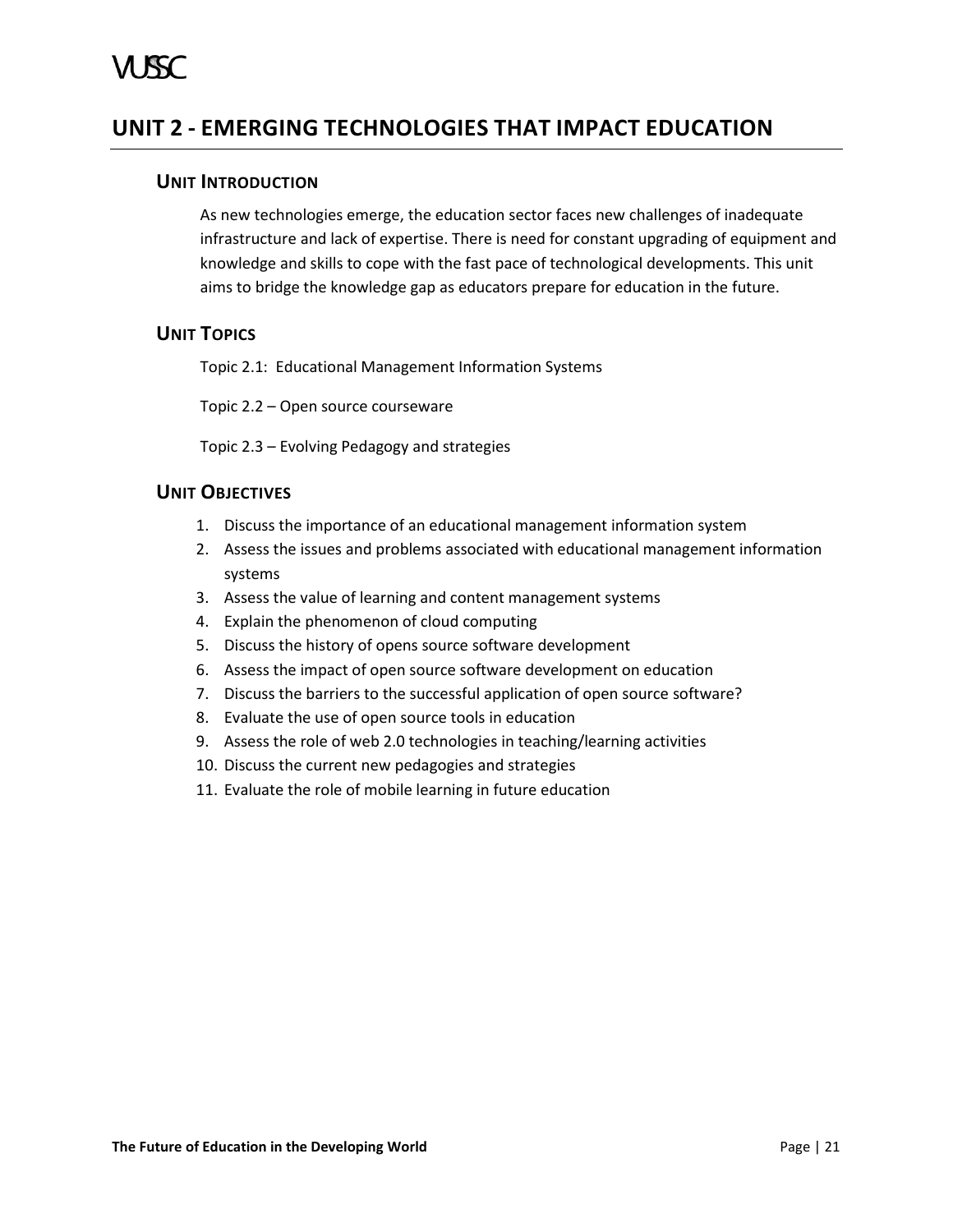# <span id="page-26-1"></span><span id="page-26-0"></span>**UNIT 2 - EMERGING TECHNOLOGIES THAT IMPACT EDUCATION**

# **UNIT INTRODUCTION**

As new technologies emerge, the education sector faces new challenges of inadequate infrastructure and lack of expertise. There is need for constant upgrading of equipment and knowledge and skills to cope with the fast pace of technological developments. This unit aims to bridge the knowledge gap as educators prepare for education in the future.

# <span id="page-26-2"></span>**UNIT TOPICS**

Topic 2.1: Educational Management Information Systems

Topic 2.2 – Open source courseware

Topic 2.3 – Evolving Pedagogy and strategies

# <span id="page-26-3"></span>**UNIT OBJECTIVES**

- 1. Discuss the importance of an educational management information system
- 2. Assess the issues and problems associated with educational management information systems
- 3. Assess the value of learning and content management systems
- 4. Explain the phenomenon of cloud computing
- 5. Discuss the history of opens source software development
- 6. Assess the impact of open source software development on education
- 7. Discuss the barriers to the successful application of open source software?
- 8. Evaluate the use of open source tools in education
- 9. Assess the role of web 2.0 technologies in teaching/learning activities
- 10. Discuss the current new pedagogies and strategies
- 11. Evaluate the role of mobile learning in future education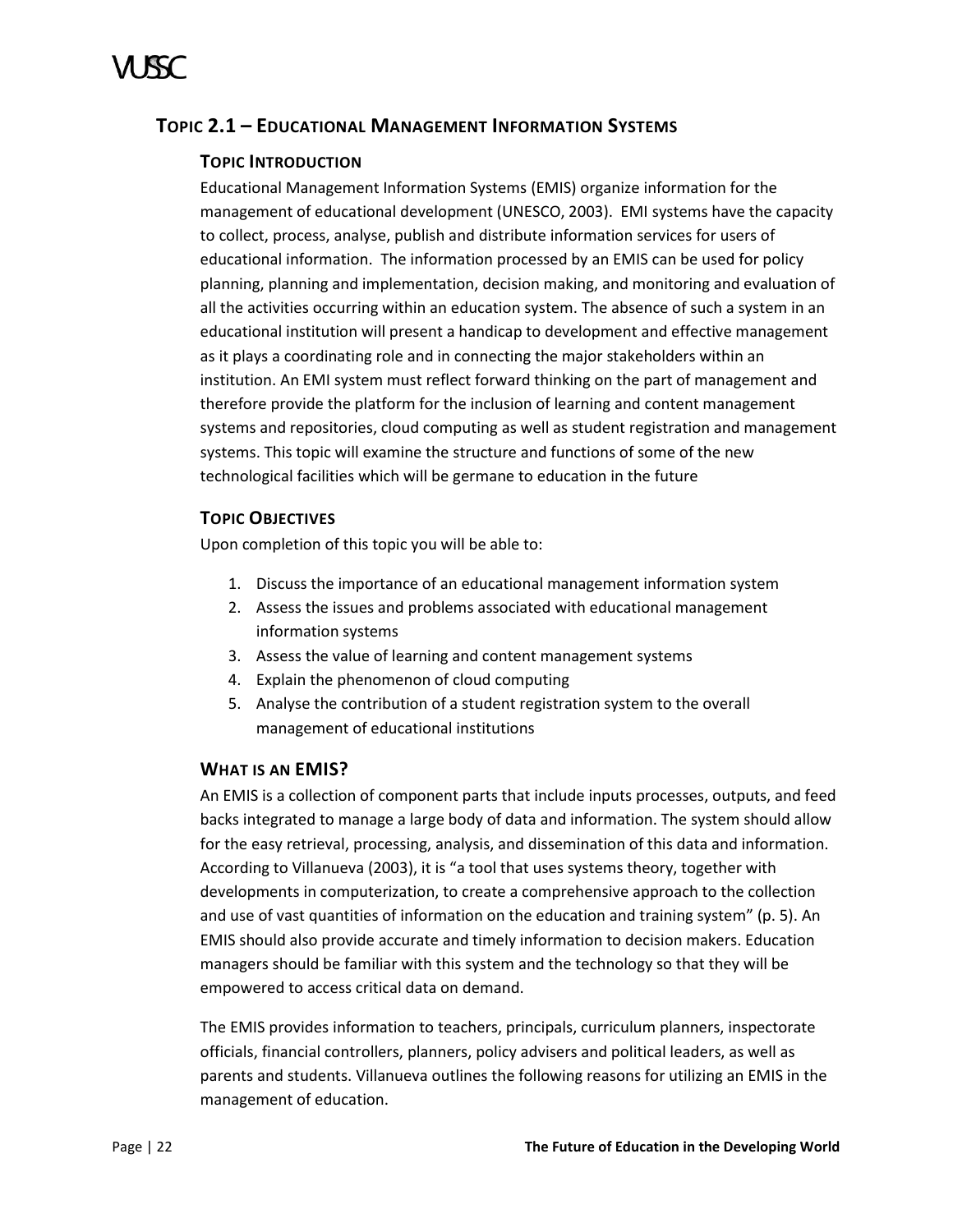# <span id="page-27-0"></span>**TOPIC 2.1 – EDUCATIONAL MANAGEMENT INFORMATION SYSTEMS**

# **TOPIC INTRODUCTION**

Educational Management Information Systems (EMIS) organize information for the management of educational development (UNESCO, 2003). EMI systems have the capacity to collect, process, analyse, publish and distribute information services for users of educational information. The information processed by an EMIS can be used for policy planning, planning and implementation, decision making, and monitoring and evaluation of all the activities occurring within an education system. The absence of such a system in an educational institution will present a handicap to development and effective management as it plays a coordinating role and in connecting the major stakeholders within an institution. An EMI system must reflect forward thinking on the part of management and therefore provide the platform for the inclusion of learning and content management systems and repositories, cloud computing as well as student registration and management systems. This topic will examine the structure and functions of some of the new technological facilities which will be germane to education in the future

# **TOPIC OBJECTIVES**

Upon completion of this topic you will be able to:

- 1. Discuss the importance of an educational management information system
- 2. Assess the issues and problems associated with educational management information systems
- 3. Assess the value of learning and content management systems
- 4. Explain the phenomenon of cloud computing
- 5. Analyse the contribution of a student registration system to the overall management of educational institutions

# **WHAT IS AN EMIS?**

An EMIS is a collection of component parts that include inputs processes, outputs, and feed backs integrated to manage a large body of data and information. The system should allow for the easy retrieval, processing, analysis, and dissemination of this data and information. According to Villanueva (2003), it is "a tool that uses systems theory, together with developments in computerization, to create a comprehensive approach to the collection and use of vast quantities of information on the education and training system" (p. 5). An EMIS should also provide accurate and timely information to decision makers. Education managers should be familiar with this system and the technology so that they will be empowered to access critical data on demand.

The EMIS provides information to teachers, principals, curriculum planners, inspectorate officials, financial controllers, planners, policy advisers and political leaders, as well as parents and students. Villanueva outlines the following reasons for utilizing an EMIS in the management of education.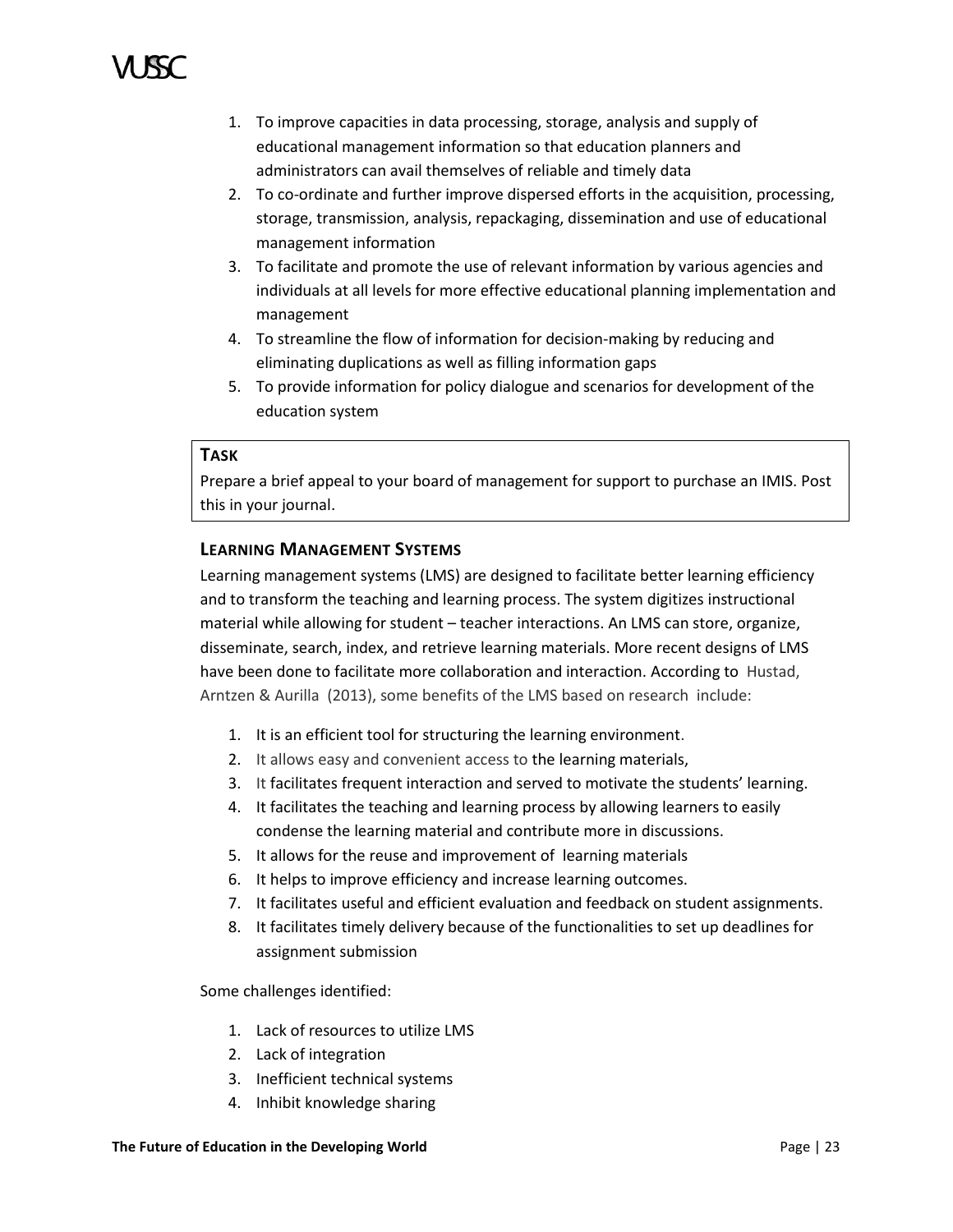- 1. To improve capacities in data processing, storage, analysis and supply of educational management information so that education planners and administrators can avail themselves of reliable and timely data
- 2. To co-ordinate and further improve dispersed efforts in the acquisition, processing, storage, transmission, analysis, repackaging, dissemination and use of educational management information
- 3. To facilitate and promote the use of relevant information by various agencies and individuals at all levels for more effective educational planning implementation and management
- 4. To streamline the flow of information for decision-making by reducing and eliminating duplications as well as filling information gaps
- 5. To provide information for policy dialogue and scenarios for development of the education system

### **TASK**

Prepare a brief appeal to your board of management for support to purchase an IMIS. Post this in your journal.

# **LEARNING MANAGEMENT SYSTEMS**

Learning management systems (LMS) are designed to facilitate better learning efficiency and to transform the teaching and learning process. The system digitizes instructional material while allowing for student – teacher interactions. An LMS can store, organize, disseminate, search, index, and retrieve learning materials. More recent designs of LMS have been done to facilitate more collaboration and interaction. According to Hustad, Arntzen & Aurilla (2013), some benefits of the LMS based on research include:

- 1. It is an efficient tool for structuring the learning environment.
- 2. It allows easy and convenient access to the learning materials,
- 3. It facilitates frequent interaction and served to motivate the students' learning.
- 4. It facilitates the teaching and learning process by allowing learners to easily condense the learning material and contribute more in discussions.
- 5. It allows for the reuse and improvement of learning materials
- 6. It helps to improve efficiency and increase learning outcomes.
- 7. It facilitates useful and efficient evaluation and feedback on student assignments.
- 8. It facilitates timely delivery because of the functionalities to set up deadlines for assignment submission

Some challenges identified:

- 1. Lack of resources to utilize LMS
- 2. Lack of integration
- 3. Inefficient technical systems
- 4. Inhibit knowledge sharing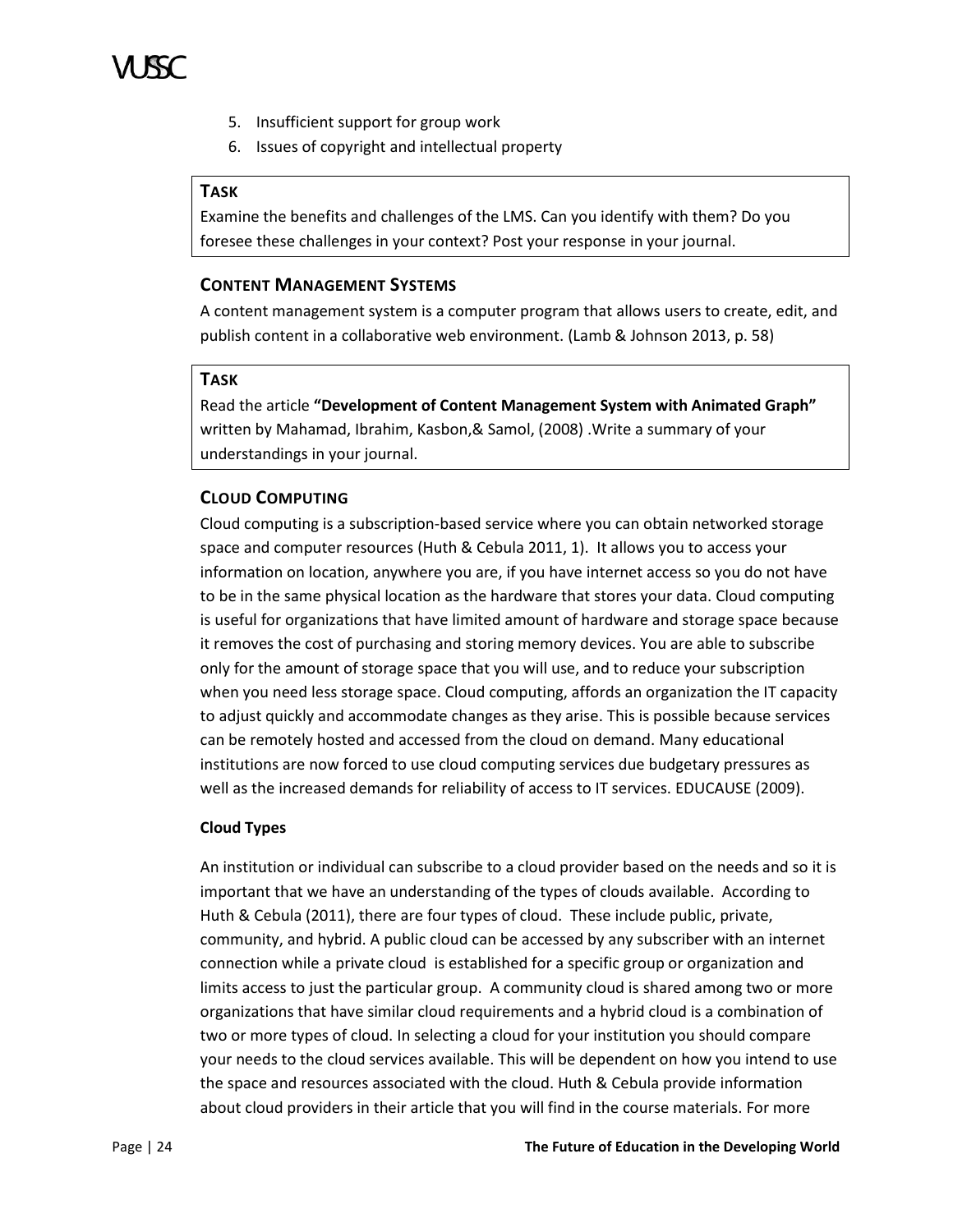

- 5. Insufficient support for group work
- 6. Issues of copyright and intellectual property

# **TASK**

Examine the benefits and challenges of the LMS. Can you identify with them? Do you foresee these challenges in your context? Post your response in your journal.

### **CONTENT MANAGEMENT SYSTEMS**

A content management system is a computer program that allows users to create, edit, and publish content in a collaborative web environment. (Lamb & Johnson 2013, p. 58)

### **TASK**

Read the article **"Development of Content Management System with Animated Graph"** written by Mahamad, Ibrahim, Kasbon,& Samol, (2008) .Write a summary of your understandings in your journal.

# **CLOUD COMPUTING**

Cloud computing is a subscription-based service where you can obtain networked storage space and computer resources (Huth & Cebula 2011, 1). It allows you to access your information on location, anywhere you are, if you have internet access so you do not have to be in the same physical location as the hardware that stores your data. Cloud computing is useful for organizations that have limited amount of hardware and storage space because it removes the cost of purchasing and storing memory devices. You are able to subscribe only for the amount of storage space that you will use, and to reduce your subscription when you need less storage space. Cloud computing, affords an organization the IT capacity to adjust quickly and accommodate changes as they arise. This is possible because services can be remotely hosted and accessed from the cloud on demand. Many educational institutions are now forced to use cloud computing services due budgetary pressures as well as the increased demands for reliability of access to IT services. EDUCAUSE (2009).

### **Cloud Types**

An institution or individual can subscribe to a cloud provider based on the needs and so it is important that we have an understanding of the types of clouds available. According to Huth & Cebula (2011), there are four types of cloud. These include public, private, community, and hybrid. A public cloud can be accessed by any subscriber with an internet connection while a private cloud is established for a specific group or organization and limits access to just the particular group. A community cloud is shared among two or more organizations that have similar cloud requirements and a hybrid cloud is a combination of two or more types of cloud. In selecting a cloud for your institution you should compare your needs to the cloud services available. This will be dependent on how you intend to use the space and resources associated with the cloud. Huth & Cebula provide information about cloud providers in their article that you will find in the course materials. For more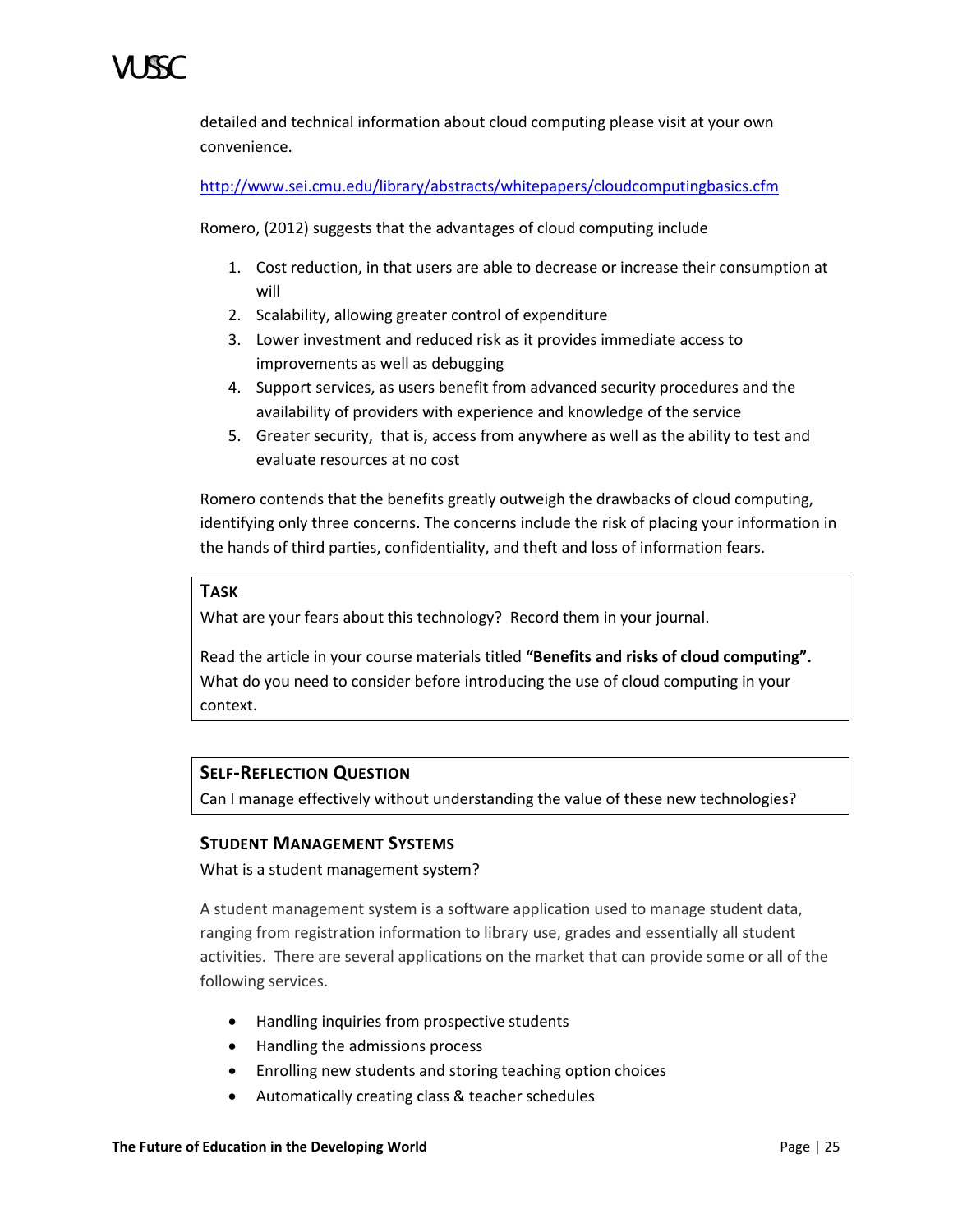detailed and technical information about cloud computing please visit at your own convenience.

<http://www.sei.cmu.edu/library/abstracts/whitepapers/cloudcomputingbasics.cfm>

Romero, (2012) suggests that the advantages of cloud computing include

- 1. Cost reduction, in that users are able to decrease or increase their consumption at will
- 2. Scalability, allowing greater control of expenditure
- 3. Lower investment and reduced risk as it provides immediate access to improvements as well as debugging
- 4. Support services, as users benefit from advanced security procedures and the availability of providers with experience and knowledge of the service
- 5. Greater security, that is, access from anywhere as well as the ability to test and evaluate resources at no cost

Romero contends that the benefits greatly outweigh the drawbacks of cloud computing, identifying only three concerns. The concerns include the risk of placing your information in the hands of third parties, confidentiality, and theft and loss of information fears.

# **TASK**

What are your fears about this technology? Record them in your journal.

Read the article in your course materials titled **"Benefits and risks of cloud computing".**  What do you need to consider before introducing the use of cloud computing in your context.

# **SELF-REFLECTION QUESTION**

Can I manage effectively without understanding the value of these new technologies?

# **STUDENT MANAGEMENT SYSTEMS**

What is a student management system?

A student management system is a software application used to manage student data, ranging from registration information to library use, grades and essentially all student activities. There are several applications on the market that can provide some or all of the following services.

- Handling inquiries from prospective students
- Handling the admissions process
- Enrolling new students and storing teaching option choices
- Automatically creating class & teacher schedules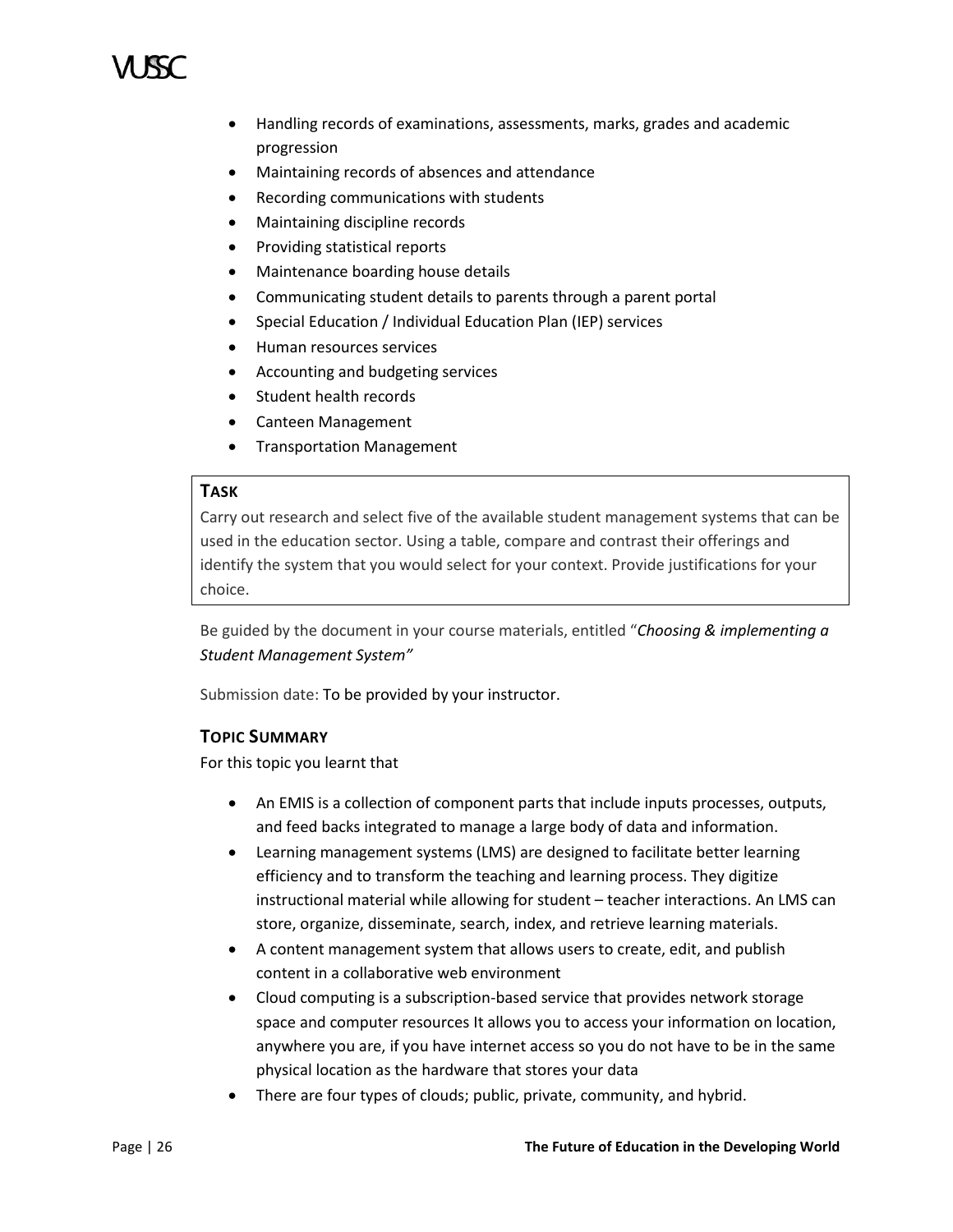- Handling records of examinations, assessments, marks, grades and academic progression
- Maintaining records of absences and attendance
- Recording communications with students
- Maintaining discipline records
- Providing statistical reports
- Maintenance boarding house details
- Communicating student details to parents through a parent portal
- Special Education / Individual Education Plan (IEP) services
- Human resources services
- Accounting and budgeting services
- Student health records
- Canteen Management
- Transportation Management

# **TASK**

Carry out research and select five of the available student management systems that can be used in the education sector. Using a table, compare and contrast their offerings and identify the system that you would select for your context. Provide justifications for your choice.

Be guided by the document in your course materials, entitled "*Choosing & implementing a Student Management System"* 

Submission date: To be provided by your instructor.

# **TOPIC SUMMARY**

For this topic you learnt that

- An EMIS is a collection of component parts that include inputs processes, outputs, and feed backs integrated to manage a large body of data and information.
- Learning management systems (LMS) are designed to facilitate better learning efficiency and to transform the teaching and learning process. They digitize instructional material while allowing for student – teacher interactions. An LMS can store, organize, disseminate, search, index, and retrieve learning materials.
- A content management system that allows users to create, edit, and publish content in a collaborative web environment
- Cloud computing is a subscription-based service that provides network storage space and computer resources It allows you to access your information on location, anywhere you are, if you have internet access so you do not have to be in the same physical location as the hardware that stores your data
- There are four types of clouds; public, private, community, and hybrid.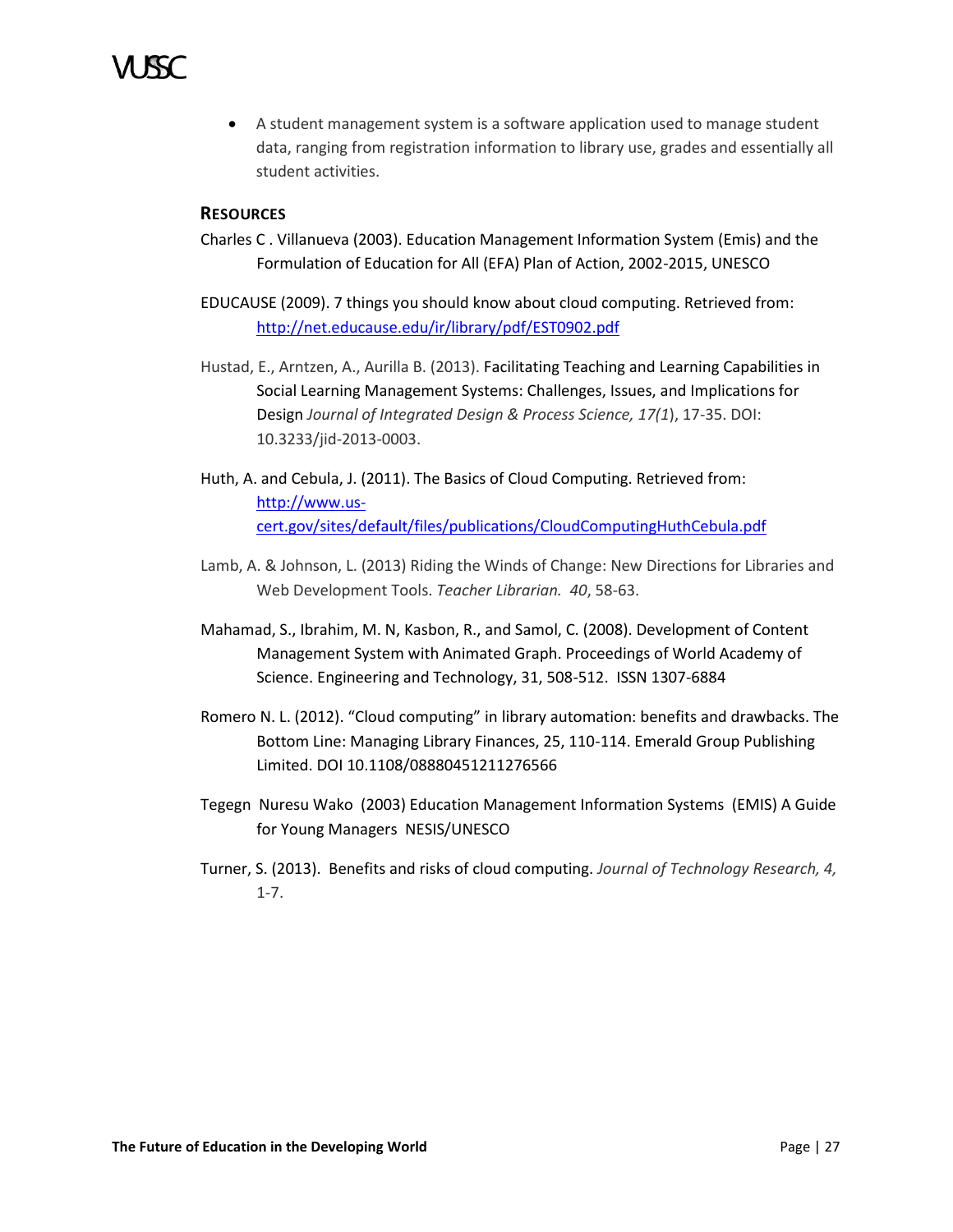

 A student management system is a software application used to manage student data, ranging from registration information to library use, grades and essentially all student activities.

# **RESOURCES**

- Charles C . Villanueva (2003). Education Management Information System (Emis) and the Formulation of Education for All (EFA) Plan of Action, 2002-2015, UNESCO
- EDUCAUSE (2009). 7 things you should know about cloud computing. Retrieved from: <http://net.educause.edu/ir/library/pdf/EST0902.pdf>
- Hustad, E., Arntzen, A., Aurilla B. (2013). Facilitating Teaching and Learning Capabilities in Social Learning Management Systems: Challenges, Issues, and Implications for Design *Journal of Integrated Design & Process Science, 17(1*), 17-35. DOI: 10.3233/jid-2013-0003.
- Huth, A. and Cebula, J. (2011). The Basics of Cloud Computing. Retrieved from: [http://www.us](http://www.us-cert.gov/sites/default/files/publications/CloudComputingHuthCebula.pdf)[cert.gov/sites/default/files/publications/CloudComputingHuthCebula.pdf](http://www.us-cert.gov/sites/default/files/publications/CloudComputingHuthCebula.pdf)
- Lamb, A. & Johnson, L. (2013) Riding the Winds of Change: New Directions for Libraries and Web Development Tools. *Teacher Librarian. 40*, 58-63.
- Mahamad, S., Ibrahim, M. N, Kasbon, R., and Samol, C. (2008). Development of Content Management System with Animated Graph. Proceedings of World Academy of Science. Engineering and Technology, 31, 508-512. ISSN 1307-6884
- Romero N. L. (2012). "Cloud computing" in library automation: benefits and drawbacks. The Bottom Line: Managing Library Finances, 25, 110-114. Emerald Group Publishing Limited. DOI 10.1108/08880451211276566
- Tegegn Nuresu Wako (2003) Education Management Information Systems (EMIS) A Guide for Young Managers NESIS/UNESCO
- Turner, S. (2013). Benefits and risks of cloud computing. *Journal of Technology Research, 4,* 1-7.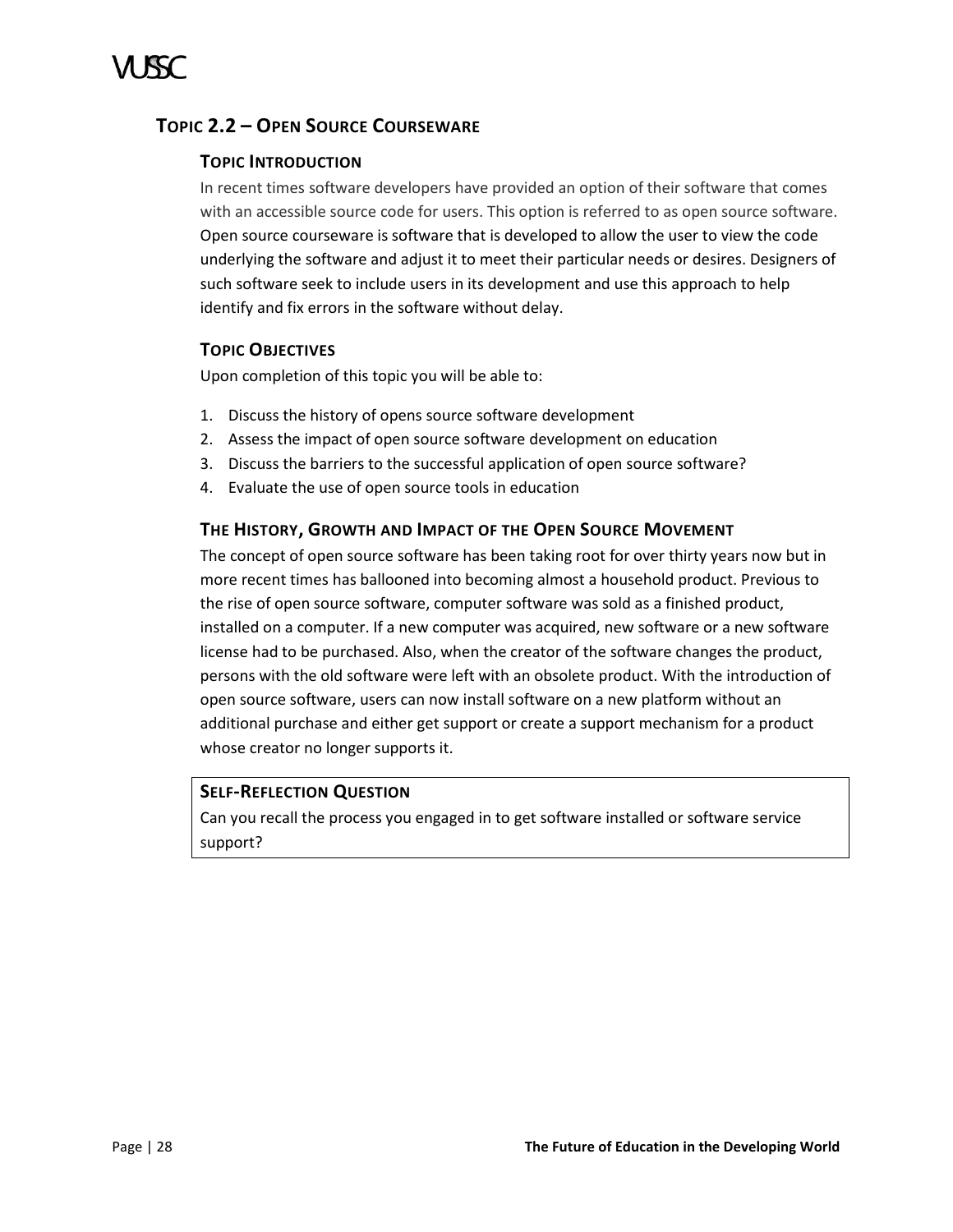# <span id="page-33-0"></span>**TOPIC 2.2 – OPEN SOURCE COURSEWARE**

# **TOPIC INTRODUCTION**

In recent times software developers have provided an option of their software that comes with an accessible source code for users. This option is referred to as open source software. Open source courseware is software that is developed to allow the user to view the code underlying the software and adjust it to meet their particular needs or desires. Designers of such software seek to include users in its development and use this approach to help identify and fix errors in the software without delay.

# **TOPIC OBJECTIVES**

Upon completion of this topic you will be able to:

- 1. Discuss the history of opens source software development
- 2. Assess the impact of open source software development on education
- 3. Discuss the barriers to the successful application of open source software?
- 4. Evaluate the use of open source tools in education

# **THE HISTORY, GROWTH AND IMPACT OF THE OPEN SOURCE MOVEMENT**

The concept of open source software has been taking root for over thirty years now but in more recent times has ballooned into becoming almost a household product. Previous to the rise of open source software, computer software was sold as a finished product, installed on a computer. If a new computer was acquired, new software or a new software license had to be purchased. Also, when the creator of the software changes the product, persons with the old software were left with an obsolete product. With the introduction of open source software, users can now install software on a new platform without an additional purchase and either get support or create a support mechanism for a product whose creator no longer supports it.

# **SELF-REFLECTION QUESTION**

Can you recall the process you engaged in to get software installed or software service support?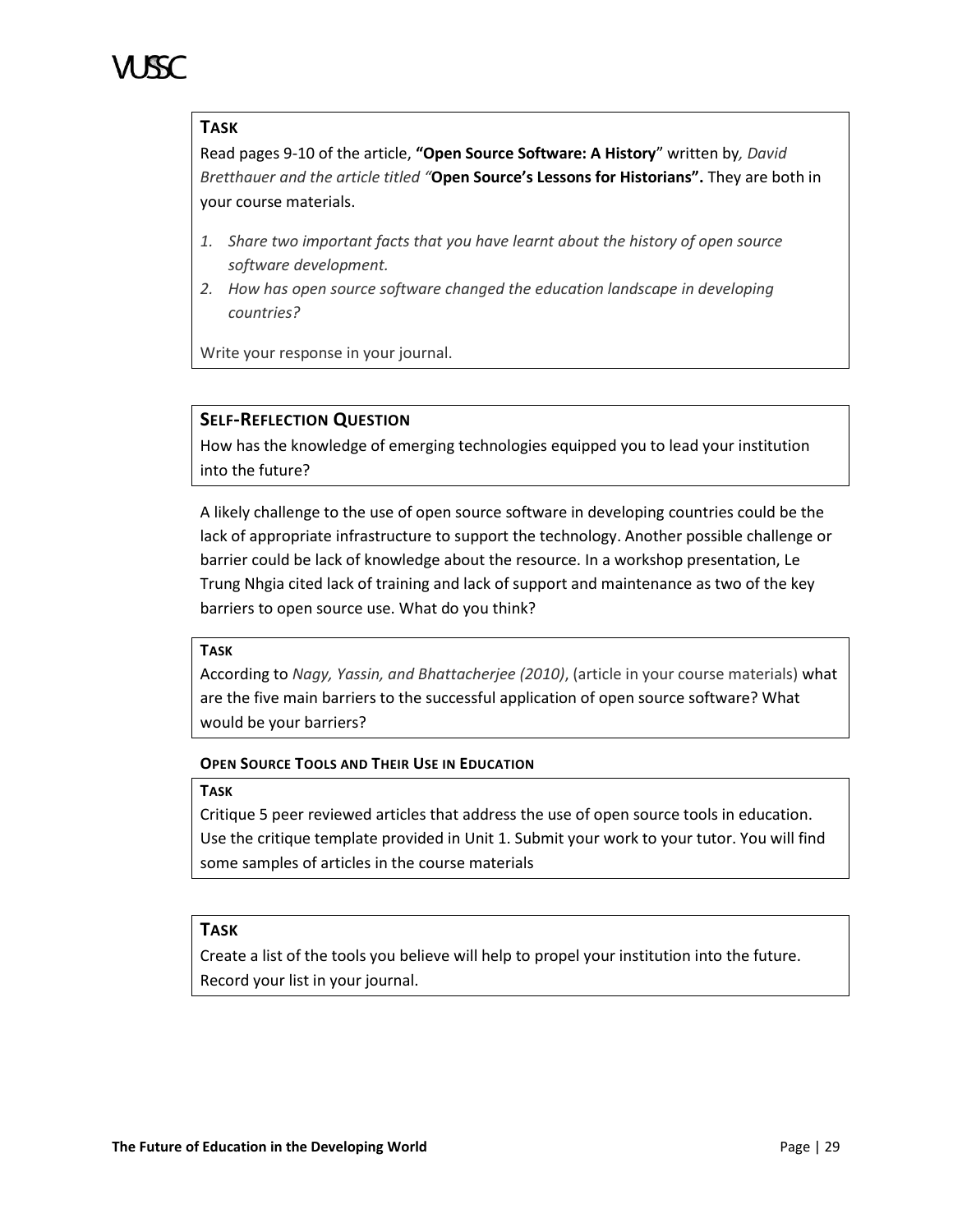# **TASK**

Read pages 9-10 of the article, **"Open Source Software: A History**" written by*, David Bretthauer and the article titled "***Open Source's Lessons for Historians".** They are both in your course materials.

- *1. Share two important facts that you have learnt about the history of open source software development.*
- *2. How has open source software changed the education landscape in developing countries?*

Write your response in your journal.

# **SELF-REFLECTION QUESTION**

How has the knowledge of emerging technologies equipped you to lead your institution into the future?

A likely challenge to the use of open source software in developing countries could be the lack of appropriate infrastructure to support the technology. Another possible challenge or barrier could be lack of knowledge about the resource. In a workshop presentation, Le Trung Nhgia cited lack of training and lack of support and maintenance as two of the key barriers to open source use. What do you think?

# **TASK**

According to *Nagy, Yassin, and Bhattacherjee (2010)*, (article in your course materials) what are the five main barriers to the successful application of open source software? What would be your barriers?

# **OPEN SOURCE TOOLS AND THEIR USE IN EDUCATION**

### **TASK**

Critique 5 peer reviewed articles that address the use of open source tools in education. Use the critique template provided in Unit 1. Submit your work to your tutor. You will find some samples of articles in the course materials

# **TASK**

Create a list of the tools you believe will help to propel your institution into the future. Record your list in your journal.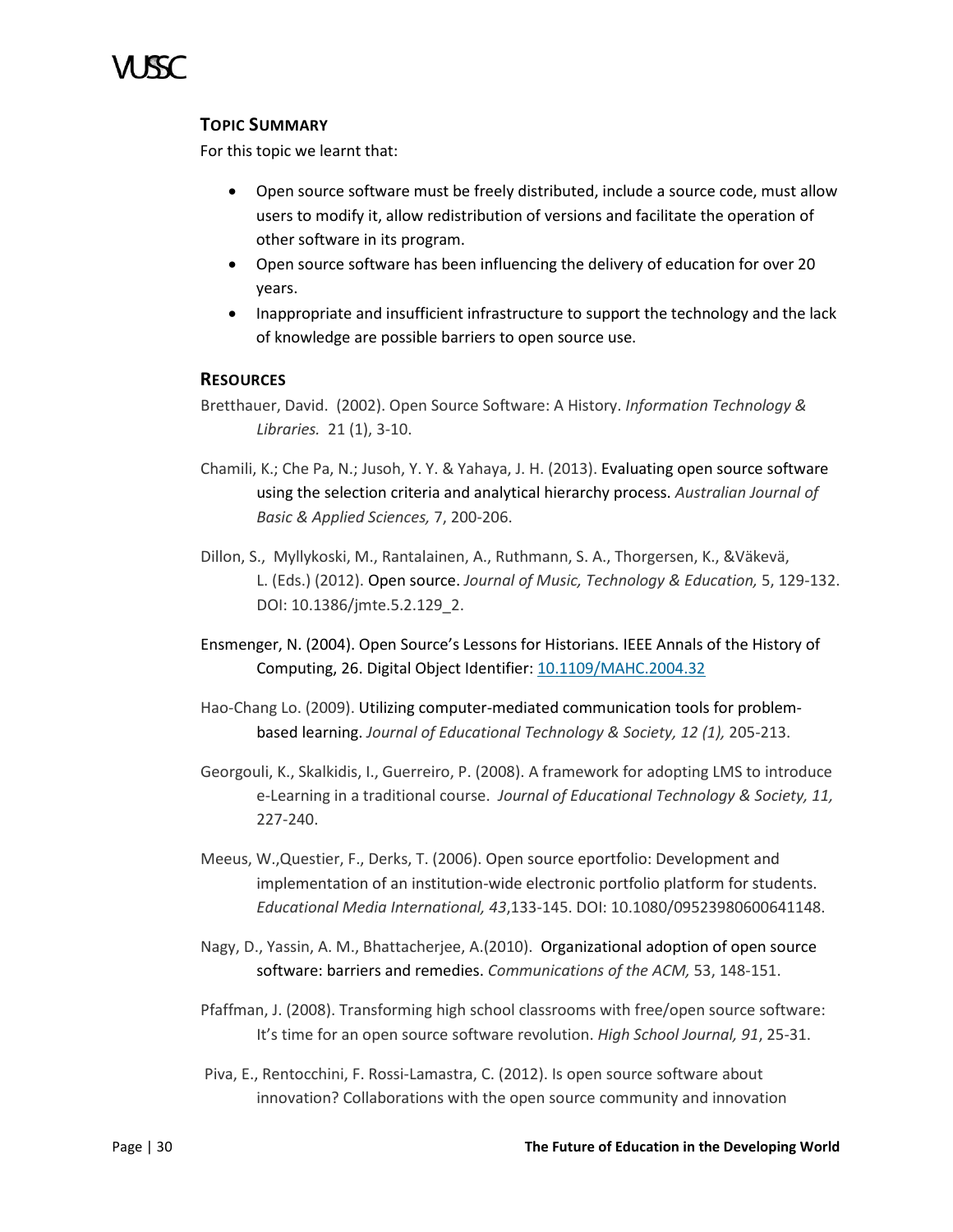

# **TOPIC SUMMARY**

For this topic we learnt that:

- Open source software must be freely distributed, include a source code, must allow users to modify it, allow redistribution of versions and facilitate the operation of other software in its program.
- Open source software has been influencing the delivery of education for over 20 years.
- Inappropriate and insufficient infrastructure to support the technology and the lack of knowledge are possible barriers to open source use.

# **RESOURCES**

- Bretthauer, David. (2002). Open Source Software: A History. *Information Technology & Libraries.* 21 (1), 3-10.
- Chamili, K.; Che Pa, N.; Jusoh, Y. Y. & Yahaya, J. H. (2013). Evaluating open source software using the selection criteria and analytical hierarchy process. *Australian Journal of Basic & Applied Sciences,* 7, 200-206.
- Dillon, S., Myllykoski, M., Rantalainen, A., Ruthmann, S. A., Thorgersen, K., &Väkevä, L. (Eds.) (2012). Open source. *Journal of Music, Technology & Education,* 5, 129-132. DOI: 10.1386/jmte.5.2.129\_2.
- Ensmenger, N. (2004). Open Source's Lessons for Historians. IEEE Annals of the History of Computing, 26. Digital Object Identifier: [10.1109/MAHC.2004.32](http://dx.doi.org.rproxy.uwimona.edu.jm/10.1109/MAHC.2004.32)
- Hao-Chang Lo. (2009). Utilizing computer-mediated communication tools for problembased learning. *Journal of Educational Technology & Society, 12 (1),* 205-213.
- Georgouli, K., Skalkidis, I., Guerreiro, P. (2008). A framework for adopting LMS to introduce e-Learning in a traditional course. *Journal of Educational Technology & Society, 11,* 227-240.
- Meeus, W.,Questier, F., Derks, T. (2006). Open source eportfolio: Development and implementation of an institution-wide electronic portfolio platform for students. *Educational Media International, 43*,133-145. DOI: 10.1080/09523980600641148.
- Nagy, D., Yassin, A. M., Bhattacherjee, A.(2010). Organizational adoption of open source software: barriers and remedies. *Communications of the ACM,* 53, 148-151.
- Pfaffman, J. (2008). Transforming high school classrooms with free/open source software: It's time for an open source software revolution. *High School Journal, 91*, 25-31.
- Piva, E., Rentocchini, F. Rossi-Lamastra, C. (2012). Is open source software about innovation? Collaborations with the open source community and innovation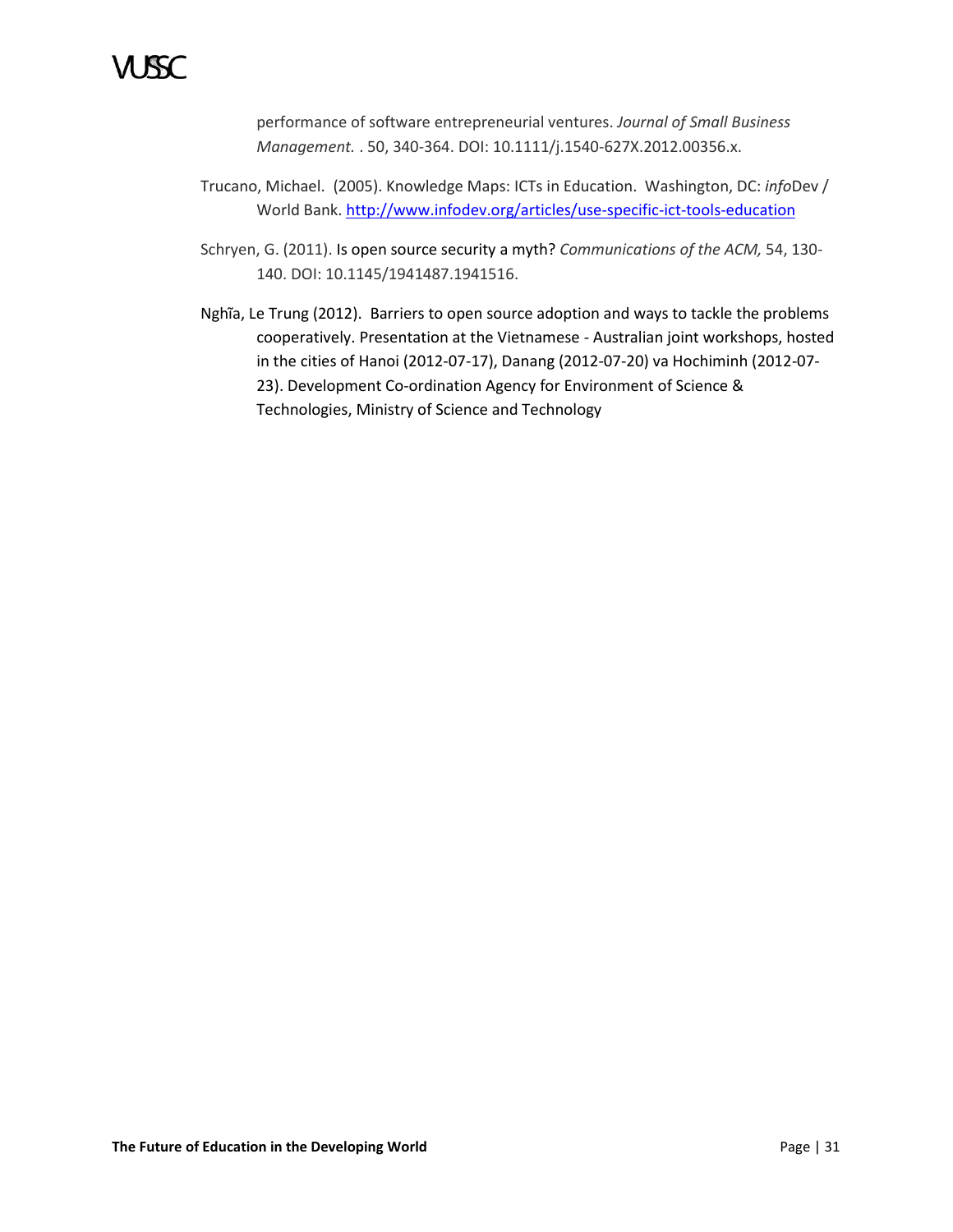performance of software entrepreneurial ventures. *Journal of Small Business Management.* . 50, 340-364. DOI: 10.1111/j.1540-627X.2012.00356.x.

- Trucano, Michael. (2005). Knowledge Maps: ICTs in Education. Washington, DC: *info*Dev / World Bank. <http://www.infodev.org/articles/use-specific-ict-tools-education>
- Schryen, G. (2011). Is open source security a myth? *Communications of the ACM,* 54, 130- 140. DOI: 10.1145/1941487.1941516.
- Nghĩa, Le Trung (2012). Barriers to open source adoption and ways to tackle the problems cooperatively. Presentation at the Vietnamese - Australian joint workshops, hosted in the cities of Hanoi (2012-07-17), Danang (2012-07-20) va Hochiminh (2012-07- 23). Development Co-ordination Agency for Environment of Science & Technologies, Ministry of Science and Technology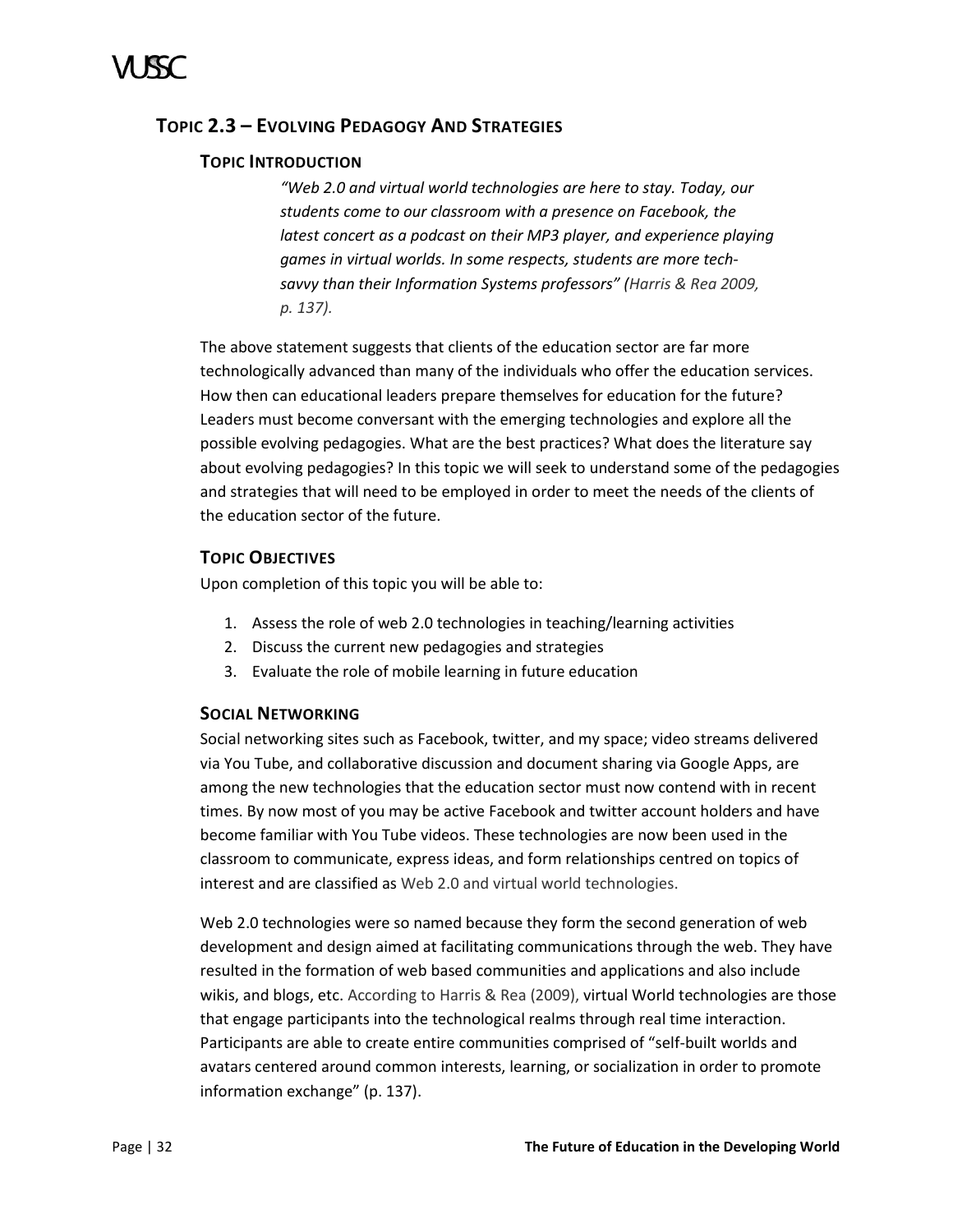# <span id="page-37-0"></span>**TOPIC 2.3 – EVOLVING PEDAGOGY AND STRATEGIES**

# **TOPIC INTRODUCTION**

*"Web 2.0 and virtual world technologies are here to stay. Today, our students come to our classroom with a presence on Facebook, the latest concert as a podcast on their MP3 player, and experience playing games in virtual worlds. In some respects, students are more techsavvy than their Information Systems professors" (Harris & Rea 2009, p. 137).*

The above statement suggests that clients of the education sector are far more technologically advanced than many of the individuals who offer the education services. How then can educational leaders prepare themselves for education for the future? Leaders must become conversant with the emerging technologies and explore all the possible evolving pedagogies. What are the best practices? What does the literature say about evolving pedagogies? In this topic we will seek to understand some of the pedagogies and strategies that will need to be employed in order to meet the needs of the clients of the education sector of the future.

# **TOPIC OBJECTIVES**

Upon completion of this topic you will be able to:

- 1. Assess the role of web 2.0 technologies in teaching/learning activities
- 2. Discuss the current new pedagogies and strategies
- 3. Evaluate the role of mobile learning in future education

# **SOCIAL NETWORKING**

Social networking sites such as Facebook, twitter, and my space; video streams delivered via You Tube, and collaborative discussion and document sharing via Google Apps, are among the new technologies that the education sector must now contend with in recent times. By now most of you may be active Facebook and twitter account holders and have become familiar with You Tube videos. These technologies are now been used in the classroom to communicate, express ideas, and form relationships centred on topics of interest and are classified as Web 2.0 and virtual world technologies.

Web 2.0 technologies were so named because they form the second generation of web development and design aimed at facilitating communications through the web. They have resulted in the formation of web based communities and applications and also include wikis, and blogs, etc. According to Harris & Rea (2009), virtual World technologies are those that engage participants into the technological realms through real time interaction. Participants are able to create entire communities comprised of "self-built worlds and avatars centered around common interests, learning, or socialization in order to promote information exchange" (p. 137).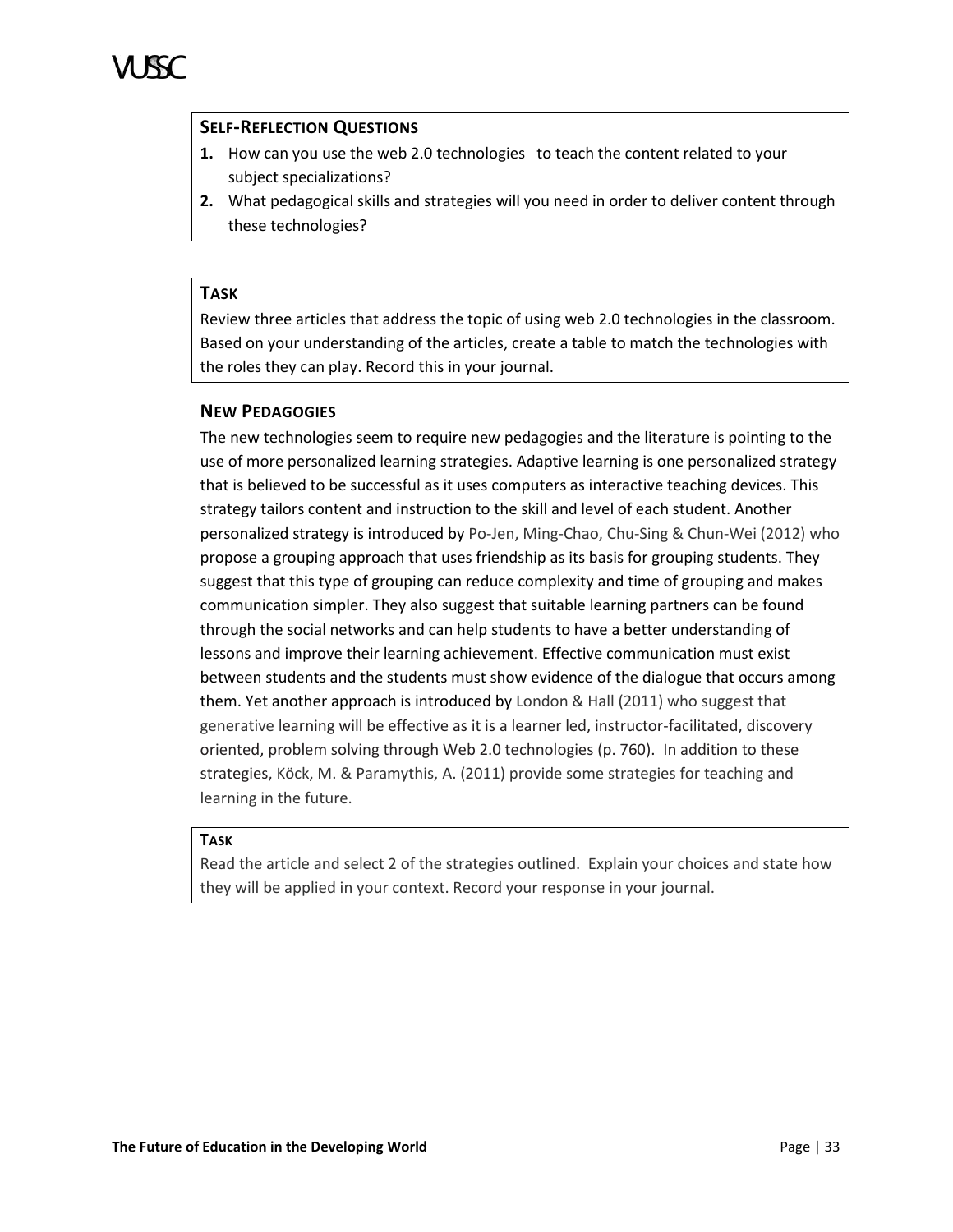# **SELF-REFLECTION QUESTIONS**

- **1.** How can you use the web 2.0 technologiesto teach the content related to your subject specializations?
- **2.** What pedagogical skills and strategies will you need in order to deliver content through these technologies?

# **TASK**

Review three articles that address the topic of using web 2.0 technologies in the classroom. Based on your understanding of the articles, create a table to match the technologies with the roles they can play. Record this in your journal.

# **NEW PEDAGOGIES**

The new technologies seem to require new pedagogies and the literature is pointing to the use of more personalized learning strategies. Adaptive learning is one personalized strategy that is believed to be successful as it uses computers as interactive teaching devices. This strategy tailors content and instruction to the skill and level of each student. Another personalized strategy is introduced by Po-Jen, Ming-Chao, Chu-Sing & Chun-Wei (2012) who propose a grouping approach that uses friendship as its basis for grouping students. They suggest that this type of grouping can reduce complexity and time of grouping and makes communication simpler. They also suggest that suitable learning partners can be found through the social networks and can help students to have a better understanding of lessons and improve their learning achievement. Effective communication must exist between students and the students must show evidence of the dialogue that occurs among them. Yet another approach is introduced by London & Hall (2011) who suggest that generative learning will be effective as it is a learner led, instructor-facilitated, discovery oriented, problem solving through Web 2.0 technologies (p. 760). In addition to these strategies, Köck, M. & Paramythis, A. (2011) provide some strategies for teaching and learning in the future.

# **TASK**

Read the article and select 2 of the strategies outlined. Explain your choices and state how they will be applied in your context. Record your response in your journal.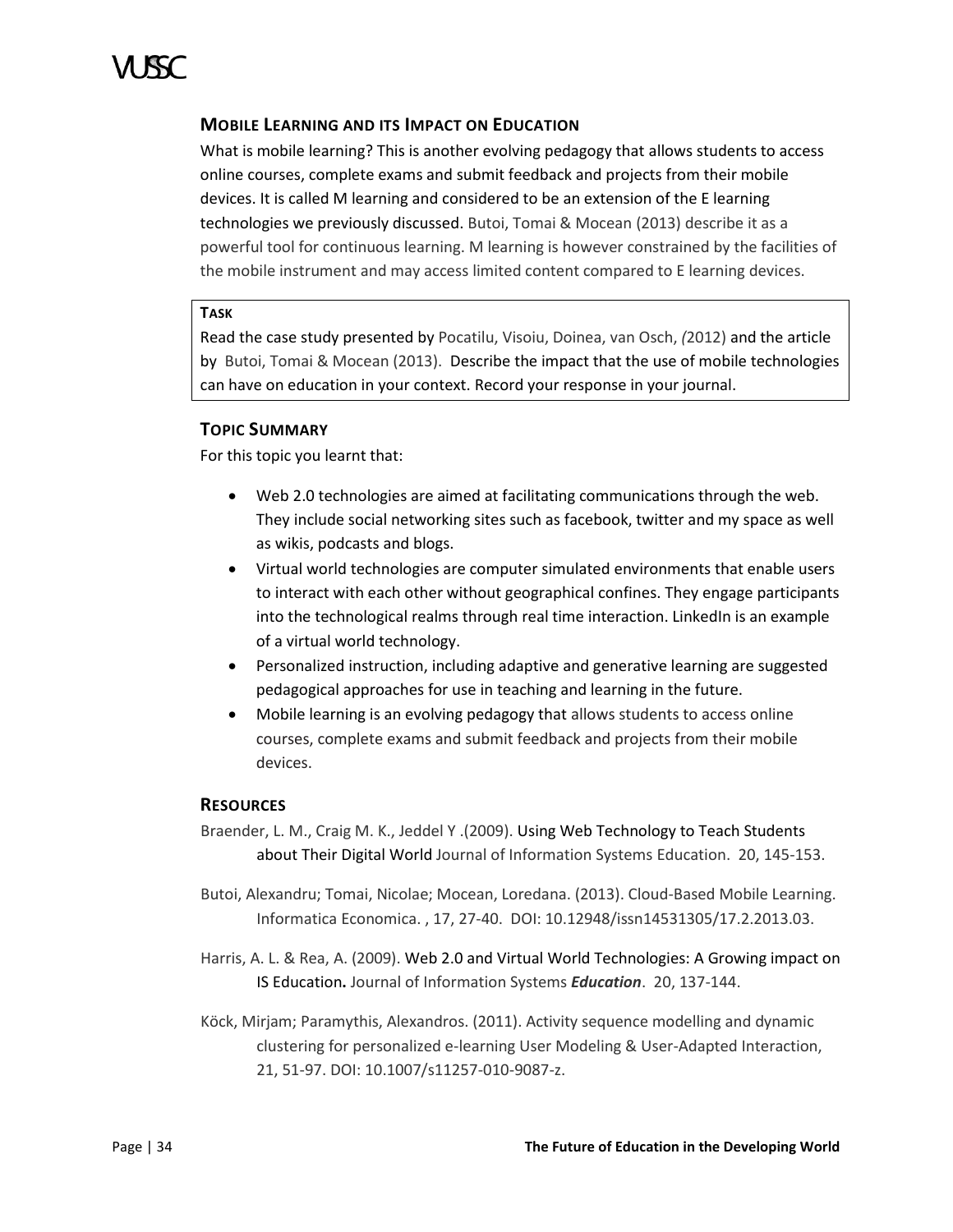

# **MOBILE LEARNING AND ITS IMPACT ON EDUCATION**

What is mobile learning? This is another evolving pedagogy that allows students to access online courses, complete exams and submit feedback and projects from their mobile devices. It is called M learning and considered to be an extension of the E learning technologies we previously discussed. Butoi, Tomai & Mocean (2013) describe it as a powerful tool for continuous learning. M learning is however constrained by the facilities of the mobile instrument and may access limited content compared to E learning devices.

### **TASK**

Read the case study presented by Pocatilu, Visoiu, Doinea, van Osch, *(*2012) and the article by Butoi, Tomai & Mocean (2013). Describe the impact that the use of mobile technologies can have on education in your context. Record your response in your journal.

# **TOPIC SUMMARY**

For this topic you learnt that:

- Web 2.0 technologies are aimed at facilitating communications through the web. They include social networking sites such as facebook, twitter and my space as well as wikis, podcasts and blogs.
- Virtual world technologies are computer simulated environments that enable users to interact with each other without geographical confines. They engage participants into the technological realms through real time interaction. LinkedIn is an example of a virtual world technology.
- Personalized instruction, including adaptive and generative learning are suggested pedagogical approaches for use in teaching and learning in the future.
- Mobile learning is an evolving pedagogy that allows students to access online courses, complete exams and submit feedback and projects from their mobile devices.

### **RESOURCES**

- Braender, L. M., Craig M. K., Jeddel Y .(2009). Using Web Technology to Teach Students about Their Digital World Journal of Information Systems Education. 20, 145-153.
- Butoi, Alexandru; Tomai, Nicolae; Mocean, Loredana. (2013). Cloud-Based Mobile Learning. Informatica Economica. , 17, 27-40. DOI: 10.12948/issn14531305/17.2.2013.03.
- Harris, A. L. & Rea, A. (2009). Web 2.0 and Virtual World Technologies: A Growing impact on IS Education**.** Journal of Information Systems *Education*. 20, 137-144.
- Köck, Mirjam; Paramythis, Alexandros. (2011). Activity sequence modelling and dynamic clustering for personalized e-learning User Modeling & User-Adapted Interaction, 21, 51-97. DOI: 10.1007/s11257-010-9087-z.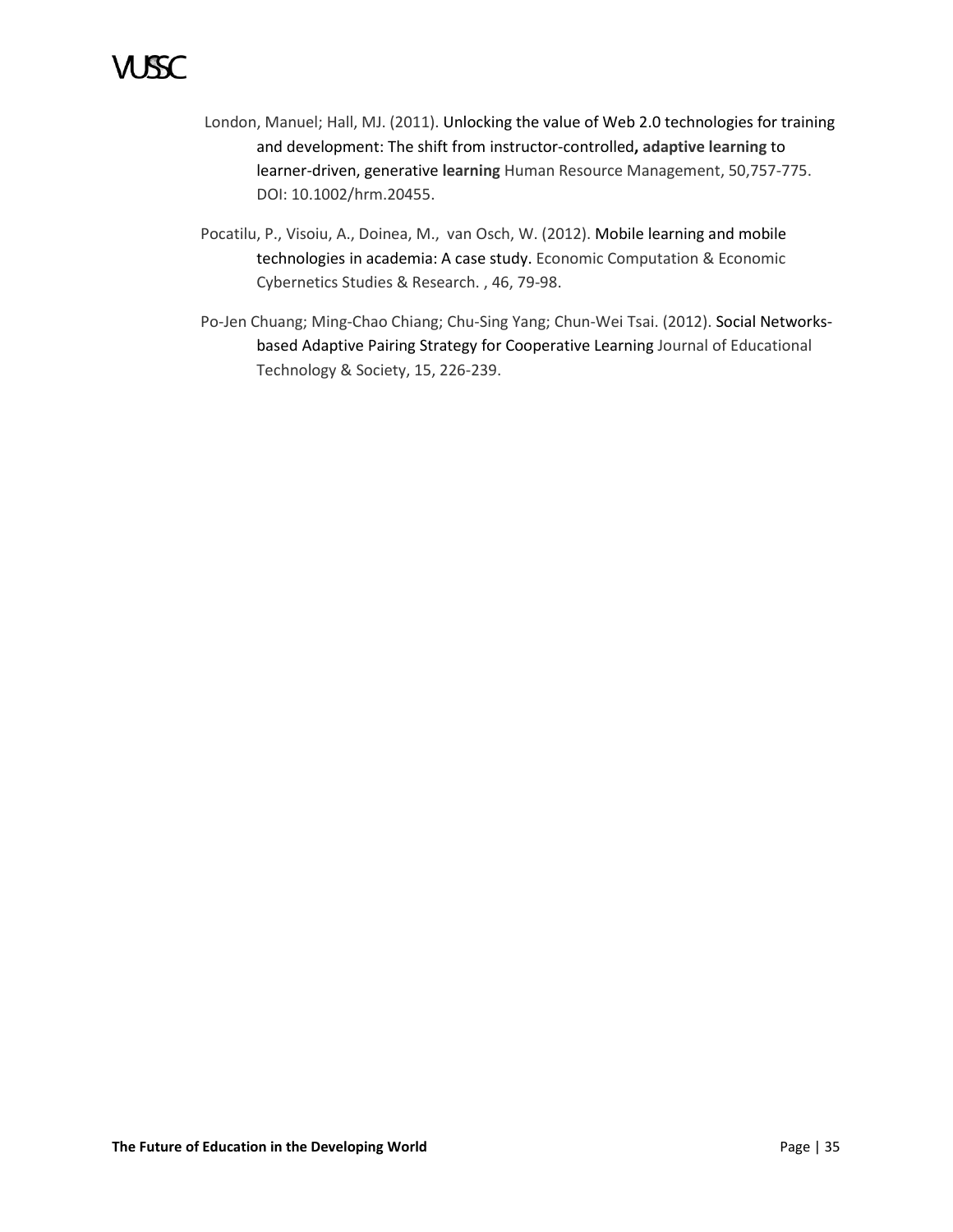# 1 ISC

- London, Manuel; Hall, MJ. (2011). Unlocking the value of Web 2.0 technologies for training and development: The shift from instructor-controlled**, adaptive learning** to learner-driven, generative **learning** Human Resource Management, 50,757-775. DOI: 10.1002/hrm.20455.
- Pocatilu, P., Visoiu, A., Doinea, M., van Osch, W. (2012). Mobile learning and mobile technologies in academia: A case study. Economic Computation & Economic Cybernetics Studies & Research. , 46, 79-98.
- Po-Jen Chuang; Ming-Chao Chiang; Chu-Sing Yang; Chun-Wei Tsai. (2012). Social Networksbased Adaptive Pairing Strategy for Cooperative Learning Journal of Educational Technology & Society, 15, 226-239.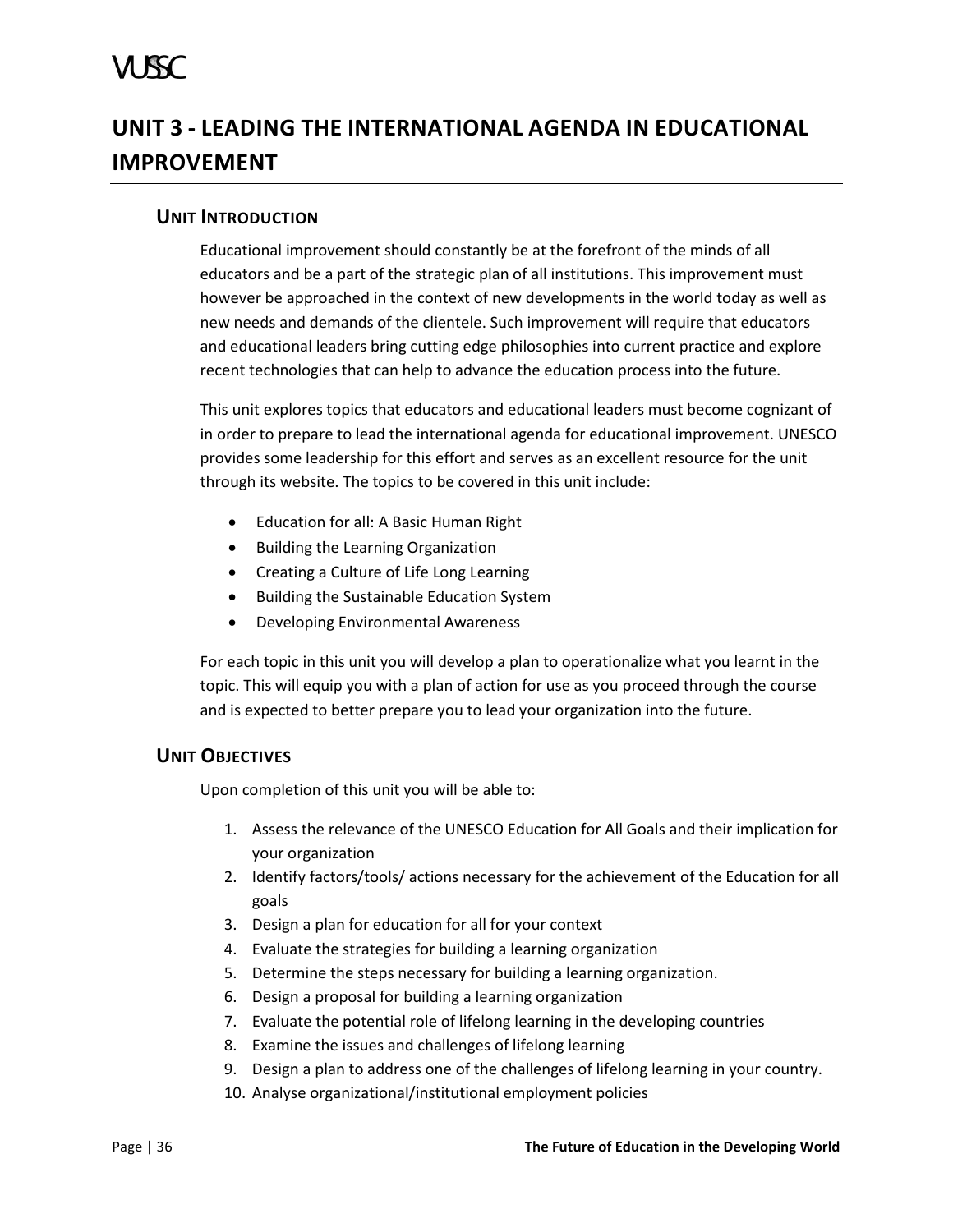# A SSC

# <span id="page-41-0"></span>**UNIT 3 - LEADING THE INTERNATIONAL AGENDA IN EDUCATIONAL IMPROVEMENT**

# <span id="page-41-1"></span>**UNIT INTRODUCTION**

Educational improvement should constantly be at the forefront of the minds of all educators and be a part of the strategic plan of all institutions. This improvement must however be approached in the context of new developments in the world today as well as new needs and demands of the clientele. Such improvement will require that educators and educational leaders bring cutting edge philosophies into current practice and explore recent technologies that can help to advance the education process into the future.

This unit explores topics that educators and educational leaders must become cognizant of in order to prepare to lead the international agenda for educational improvement. UNESCO provides some leadership for this effort and serves as an excellent resource for the unit through its website. The topics to be covered in this unit include:

- Education for all: A Basic Human Right
- Building the Learning Organization
- Creating a Culture of Life Long Learning
- Building the Sustainable Education System
- Developing Environmental Awareness

For each topic in this unit you will develop a plan to operationalize what you learnt in the topic. This will equip you with a plan of action for use as you proceed through the course and is expected to better prepare you to lead your organization into the future.

# <span id="page-41-2"></span>**UNIT OBJECTIVES**

Upon completion of this unit you will be able to:

- 1. Assess the relevance of the UNESCO Education for All Goals and their implication for your organization
- 2. Identify factors/tools/ actions necessary for the achievement of the Education for all goals
- 3. Design a plan for education for all for your context
- 4. Evaluate the strategies for building a learning organization
- 5. Determine the steps necessary for building a learning organization.
- 6. Design a proposal for building a learning organization
- 7. Evaluate the potential role of lifelong learning in the developing countries
- 8. Examine the issues and challenges of lifelong learning
- 9. Design a plan to address one of the challenges of lifelong learning in your country.
- 10. Analyse organizational/institutional employment policies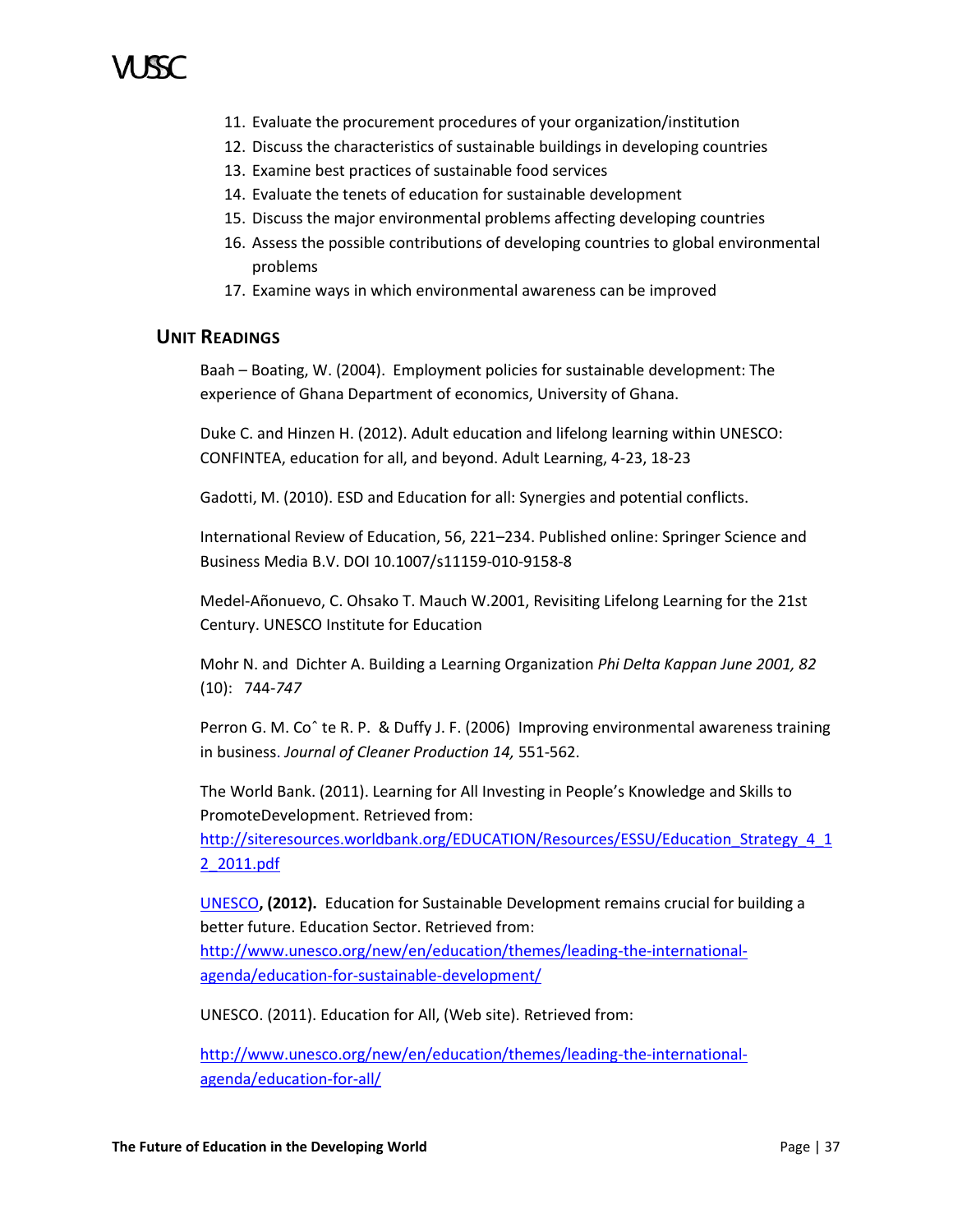- 11. Evaluate the procurement procedures of your organization/institution
- 12. Discuss the characteristics of sustainable buildings in developing countries
- 13. Examine best practices of sustainable food services
- 14. Evaluate the tenets of education for sustainable development
- 15. Discuss the major environmental problems affecting developing countries
- 16. Assess the possible contributions of developing countries to global environmental problems
- 17. Examine ways in which environmental awareness can be improved

# <span id="page-42-0"></span>**UNIT READINGS**

Baah – Boating, W. (2004). Employment policies for sustainable development: The experience of Ghana Department of economics, University of Ghana.

Duke C. and Hinzen H. (2012). Adult education and lifelong learning within UNESCO: CONFINTEA, education for all, and beyond. Adult Learning, 4-23, 18-23

Gadotti, M. (2010). ESD and Education for all: Synergies and potential conflicts.

International Review of Education, 56, 221–234. Published online: Springer Science and Business Media B.V. DOI 10.1007/s11159-010-9158-8

Medel-Añonuevo, C. Ohsako T. Mauch W.2001, Revisiting Lifelong Learning for the 21st Century. UNESCO Institute for Education

Mohr N. and Dichter A. Building a Learning Organization *Phi Delta Kappan June 2001, 82*  (10): 744-*747*

Perron G. M. Coˆ te R. P. & Duffy J. F. (2006) Improving environmental awareness training in business. *Journal of Cleaner Production 14,* 551-562.

The World Bank. (2011). Learning for All Investing in People's Knowledge and Skills to PromoteDevelopment. Retrieved from:

http://siteresources.worldbank.org/EDUCATION/Resources/ESSU/Education Strategy 4\_1 [2\\_2011.pdf](http://siteresources.worldbank.org/EDUCATION/Resources/ESSU/Education_Strategy_4_12_2011.pdf)

[UNESCO](http://www.unesco.org/new/en/unesco/)**, (2012).** Education for Sustainable Development remains crucial for building a better future. Education Sector. Retrieved from:

[http://www.unesco.org/new/en/education/themes/leading-the-international](http://www.unesco.org/new/en/education/themes/leading-the-international-agenda/education-for-sustainable-development/)[agenda/education-for-sustainable-development/](http://www.unesco.org/new/en/education/themes/leading-the-international-agenda/education-for-sustainable-development/)

UNESCO. (2011). Education for All, (Web site). Retrieved from:

[http://www.unesco.org/new/en/education/themes/leading-the-international](http://www.unesco.org/new/en/education/themes/leading-the-international-agenda/education-for-all/)[agenda/education-for-all/](http://www.unesco.org/new/en/education/themes/leading-the-international-agenda/education-for-all/)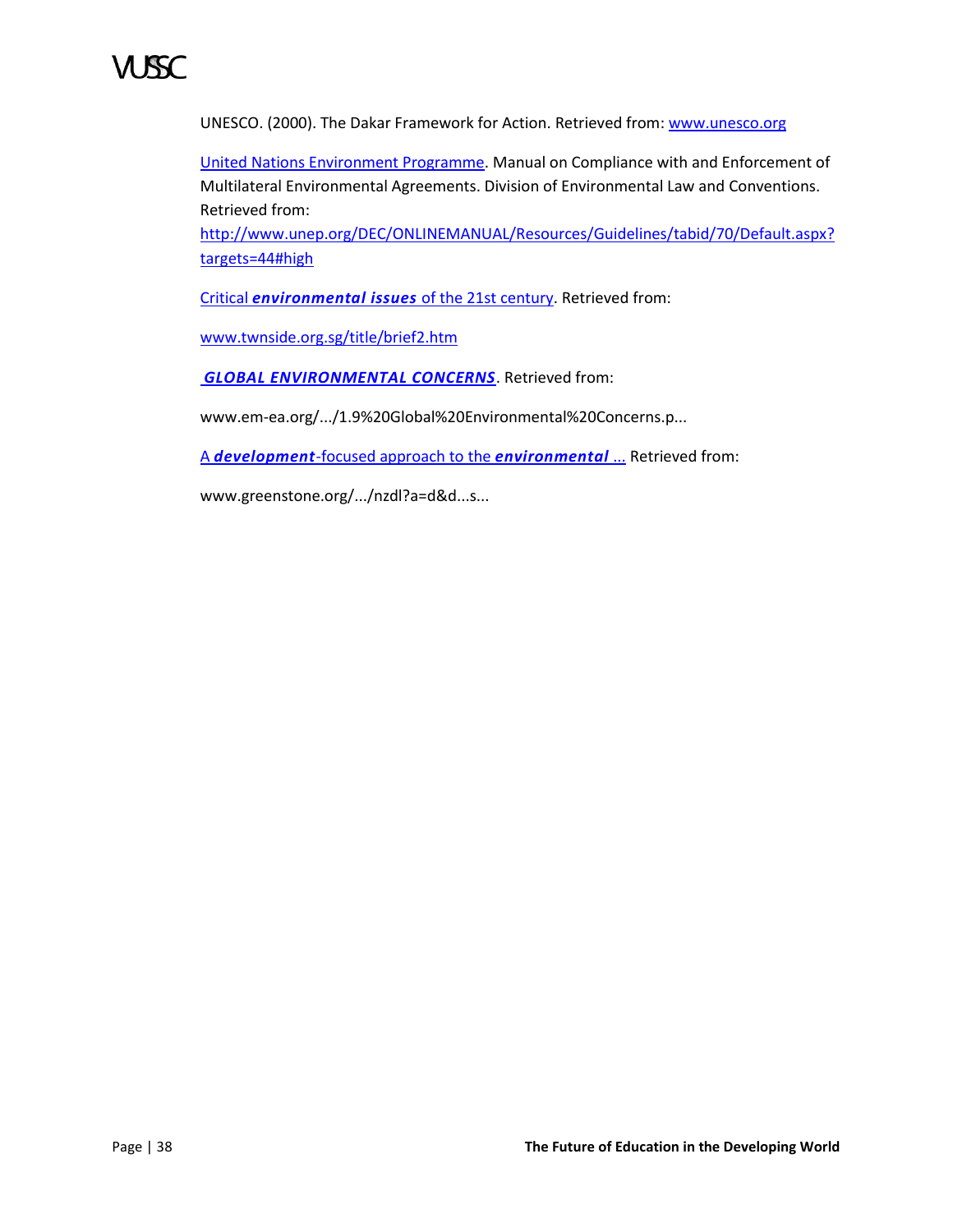

UNESCO. (2000). The Dakar Framework for Action. Retrieved from[: www.unesco.org](http://www.unesco.org/)

[United Nations Environment Programme.](http://unep.org/) Manual on Compliance with and Enforcement of Multilateral Environmental Agreements. Division of Environmental Law and Conventions. Retrieved from:

[http://www.unep.org/DEC/ONLINEMANUAL/Resources/Guidelines/tabid/70/Default.aspx?](http://www.unep.org/DEC/ONLINEMANUAL/Resources/Guidelines/tabid/70/Default.aspx?targets=44#high) [targets=44#high](http://www.unep.org/DEC/ONLINEMANUAL/Resources/Guidelines/tabid/70/Default.aspx?targets=44#high)

Critical *[environmental issues](http://www.google.com.jm/url?sa=t&rct=j&q=&esrc=s&source=web&cd=9&ved=0CHEQFjAI&url=http%3A%2F%2Fwww.twnside.org.sg%2Ftitle%2Fbrief2.htm&ei=fnZxT5uHC4Tgtgf_xtHZDw&usg=AFQjCNG689wsqUH-r7Ppc2YiJMClTwq6oQ)* of the 21st century. Retrieved from:

[www.twnside.org.sg/title/brief2.htm](http://www.twnside.org.sg/title/brief2.htm)

*[GLOBAL ENVIRONMENTAL CONCERNS](http://www.google.com.jm/url?sa=t&rct=j&q=&esrc=s&source=web&cd=5&ved=0CFUQFjAE&url=http%3A%2F%2Fwww.em-ea.org%2FGuide%2520Books%2FBook-1%2F1.9%2520Global%2520Environmental%2520Concerns.pdf&ei=fnZxT5uHC4Tgtgf_xtHZDw&usg=AFQjCNEoSaFqFrzGOkJ8luIjst3NALOHyA)*. Retrieved from:

www.em-ea.org/.../1.9%20Global%20Environmental%20Concerns.p...

A *development*[-focused approach to the](http://www.google.com.jm/url?sa=t&rct=j&q=&esrc=s&source=web&cd=2&ved=0CD8QFjAB&url=http%3A%2F%2Fwww.greenstone.org%2Fgreenstone3%2Fnzdl%3Fa%3Dd%26d%3DHASH01a5352329956e022f3dfabf.9.1.np%26c%3Dccgi%26sib%3D1%26dt%3D%26ec%3D%26et%3D%26p.a%3Db%26p.s%3DClassifierBrowse%26p.sa%3D&ei=fnZxT5uHC4Tgtgf_xtHZDw&usg=AFQjCNHy67dk5ChD3X8YVOpy9-JD_H9dbg) *environmental* ... Retrieved from:

www.greenstone.org/.../nzdl?a=d&d...s...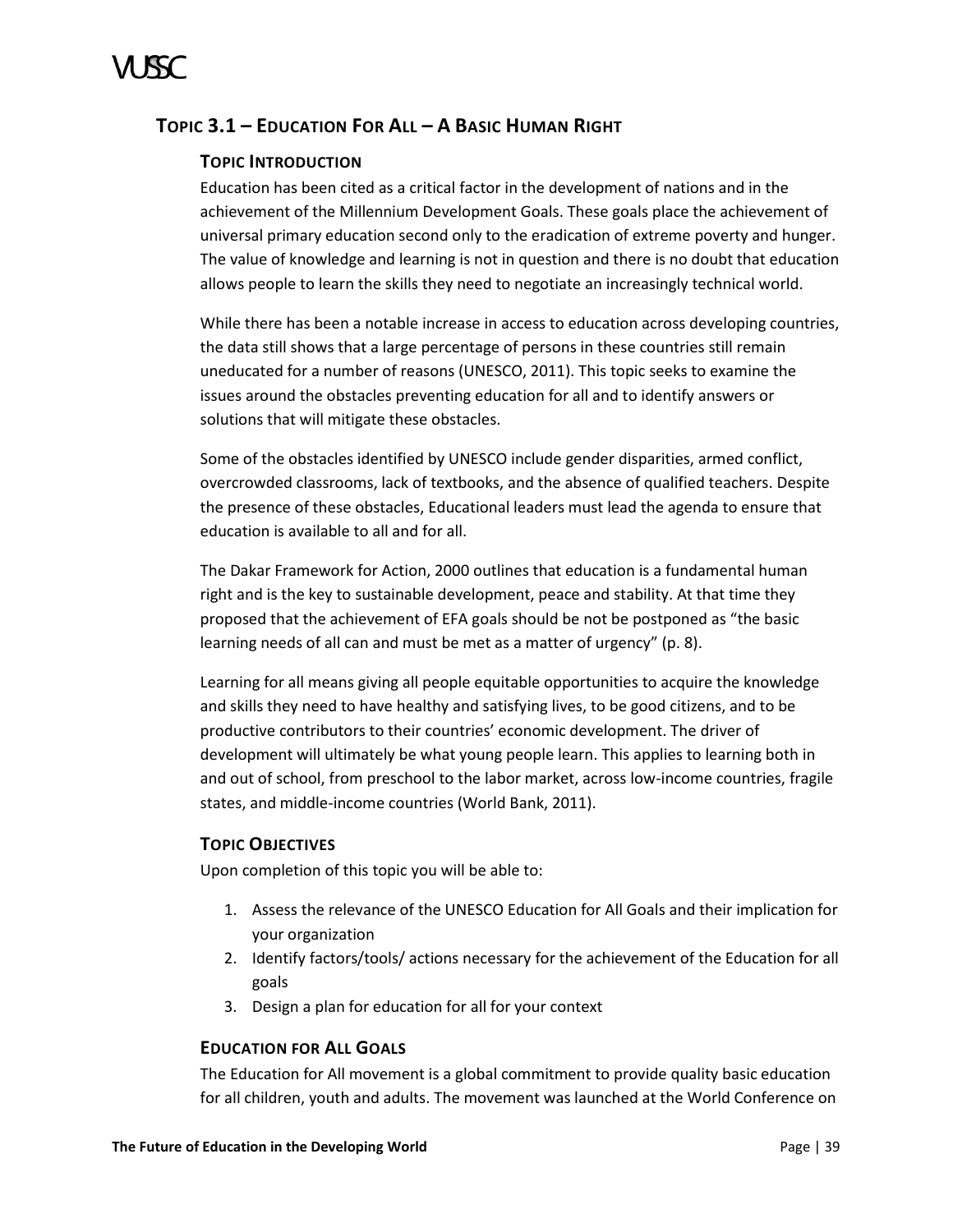# <span id="page-44-0"></span>**TOPIC 3.1 – EDUCATION FOR ALL – A BASIC HUMAN RIGHT**

# **TOPIC INTRODUCTION**

Education has been cited as a critical factor in the development of nations and in the achievement of the Millennium Development Goals. These goals place the achievement of universal primary education second only to the eradication of extreme poverty and hunger. The value of knowledge and learning is not in question and there is no doubt that education allows people to learn the skills they need to negotiate an increasingly technical world.

While there has been a notable increase in access to education across developing countries, the data still shows that a large percentage of persons in these countries still remain uneducated for a number of reasons (UNESCO, 2011). This topic seeks to examine the issues around the obstacles preventing education for all and to identify answers or solutions that will mitigate these obstacles.

Some of the obstacles identified by UNESCO include gender disparities, armed conflict, overcrowded classrooms, lack of textbooks, and the absence of qualified teachers. Despite the presence of these obstacles, Educational leaders must lead the agenda to ensure that education is available to all and for all.

The Dakar Framework for Action, 2000 outlines that education is a fundamental human right and is the key to sustainable development, peace and stability. At that time they proposed that the achievement of EFA goals should be not be postponed as "the basic learning needs of all can and must be met as a matter of urgency" (p. 8).

Learning for all means giving all people equitable opportunities to acquire the knowledge and skills they need to have healthy and satisfying lives, to be good citizens, and to be productive contributors to their countries' economic development. The driver of development will ultimately be what young people learn. This applies to learning both in and out of school, from preschool to the labor market, across low-income countries, fragile states, and middle-income countries (World Bank, 2011).

# **TOPIC OBJECTIVES**

Upon completion of this topic you will be able to:

- 1. Assess the relevance of the UNESCO Education for All Goals and their implication for your organization
- 2. Identify factors/tools/ actions necessary for the achievement of the Education for all goals
- 3. Design a plan for education for all for your context

# **EDUCATION FOR ALL GOALS**

The Education for All movement is a global commitment to provide quality basic education for all children, youth and adults. The movement was launched at the World Conference on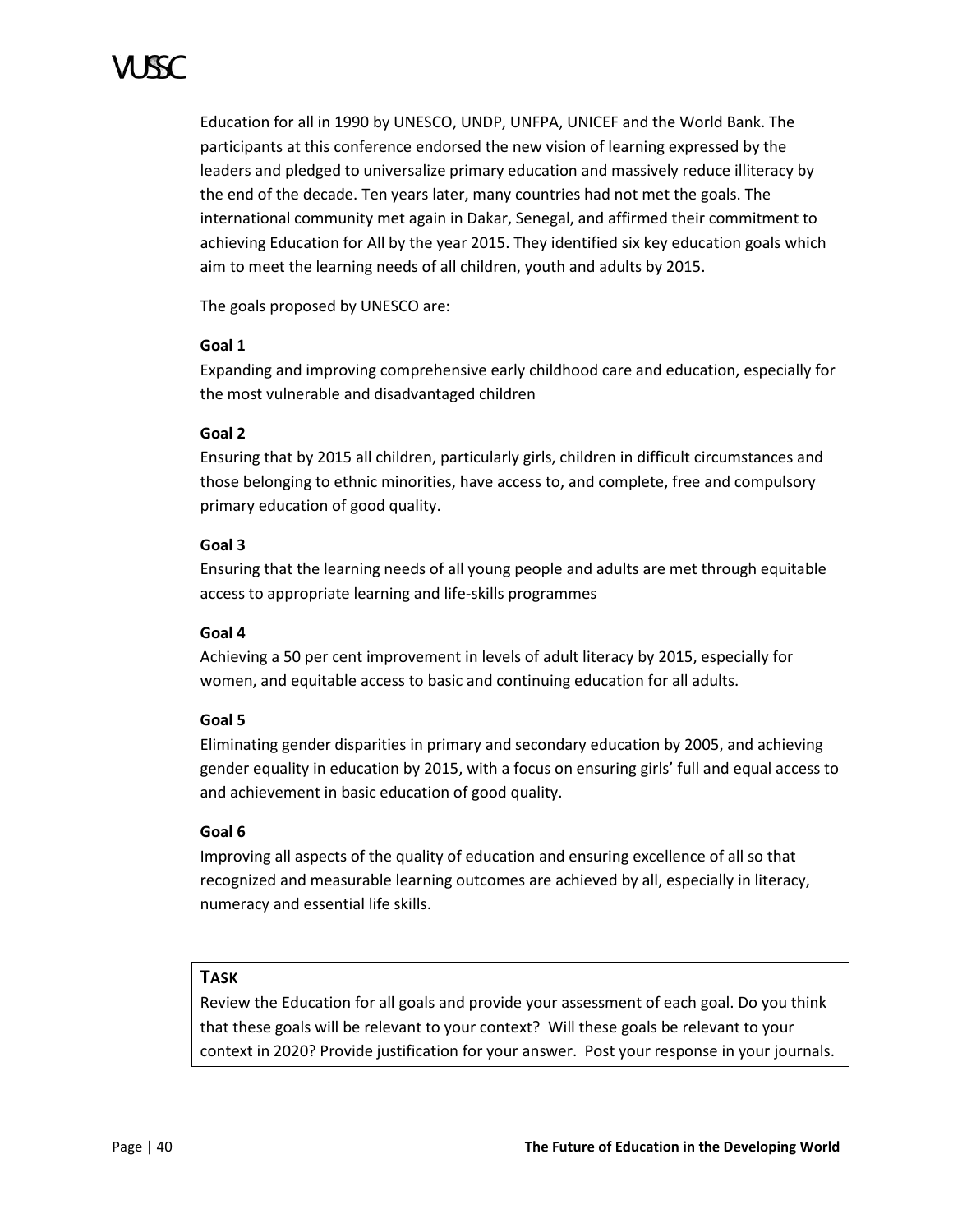Education for all in 1990 by UNESCO, UNDP, UNFPA, UNICEF and the World Bank. The participants at this conference endorsed the new vision of learning expressed by the leaders and pledged to universalize primary education and massively reduce illiteracy by the end of the decade. Ten years later, many countries had not met the goals. The international community met again in Dakar, Senegal, and affirmed their commitment to achieving Education for All by the year 2015. They identified six key education goals which aim to meet the learning needs of all children, youth and adults by 2015.

The goals proposed by UNESCO are:

# **Goal 1**

Expanding and improving comprehensive early childhood care and education, especially for the most vulnerable and disadvantaged children

# **Goal 2**

Ensuring that by 2015 all children, particularly girls, children in difficult circumstances and those belonging to ethnic minorities, have access to, and complete, free and compulsory primary education of good quality.

# **Goal 3**

Ensuring that the learning needs of all young people and adults are met through equitable access to appropriate learning and life-skills programmes

# **Goal 4**

Achieving a 50 per cent improvement in levels of adult literacy by 2015, especially for women, and equitable access to basic and continuing education for all adults.

# **Goal 5**

Eliminating gender disparities in primary and secondary education by 2005, and achieving gender equality in education by 2015, with a focus on ensuring girls' full and equal access to and achievement in basic education of good quality.

# **Goal 6**

Improving all aspects of the quality of education and ensuring excellence of all so that recognized and measurable learning outcomes are achieved by all, especially in literacy, numeracy and essential life skills.

# **TASK**

Review the Education for all goals and provide your assessment of each goal. Do you think that these goals will be relevant to your context? Will these goals be relevant to your context in 2020? Provide justification for your answer. Post your response in your journals.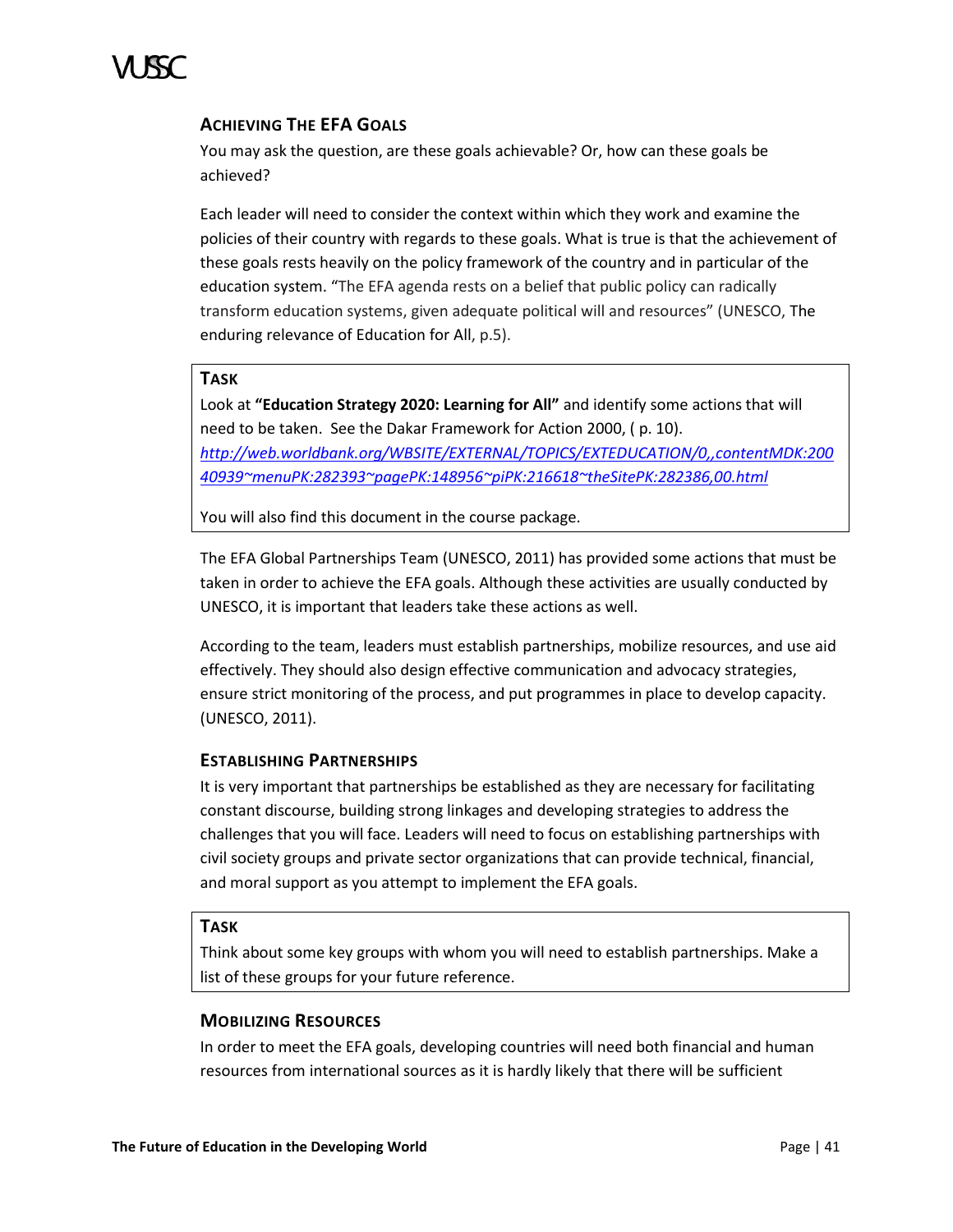

# **ACHIEVING THE EFA GOALS**

You may ask the question, are these goals achievable? Or, how can these goals be achieved?

Each leader will need to consider the context within which they work and examine the policies of their country with regards to these goals. What is true is that the achievement of these goals rests heavily on the policy framework of the country and in particular of the education system. "The EFA agenda rests on a belief that public policy can radically transform education systems, given adequate political will and resources" (UNESCO, The enduring relevance of Education for All, p.5).

# **TASK**

Look at **"Education Strategy 2020: Learning for All"** and identify some actions that will need to be taken.See the Dakar Framework for Action 2000, ( p. 10). *[http://web.worldbank.org/WBSITE/EXTERNAL/TOPICS/EXTEDUCATION/0,,contentMDK:200](http://web.worldbank.org/WBSITE/EXTERNAL/TOPICS/EXTEDUCATION/0,,contentMDK:20040939~menuPK:282393~pagePK:148956~piPK:216618~theSitePK:282386,00.html) [40939~menuPK:282393~pagePK:148956~piPK:216618~theSitePK:282386,00.html](http://web.worldbank.org/WBSITE/EXTERNAL/TOPICS/EXTEDUCATION/0,,contentMDK:20040939~menuPK:282393~pagePK:148956~piPK:216618~theSitePK:282386,00.html)*

You will also find this document in the course package.

The EFA Global Partnerships Team (UNESCO, 2011) has provided some actions that must be taken in order to achieve the EFA goals. Although these activities are usually conducted by UNESCO, it is important that leaders take these actions as well.

According to the team, leaders must establish partnerships, mobilize resources, and use aid effectively. They should also design effective communication and advocacy strategies, ensure strict monitoring of the process, and put programmes in place to develop capacity. (UNESCO, 2011).

# **ESTABLISHING PARTNERSHIPS**

It is very important that partnerships be established as they are necessary for facilitating constant discourse, building strong linkages and developing strategies to address the challenges that you will face. Leaders will need to focus on establishing partnerships with civil society groups and private sector organizations that can provide technical, financial, and moral support as you attempt to implement the EFA goals.

# **TASK**

Think about some key groups with whom you will need to establish partnerships. Make a list of these groups for your future reference.

### **MOBILIZING RESOURCES**

In order to meet the EFA goals, developing countries will need both financial and human resources from international sources as it is hardly likely that there will be sufficient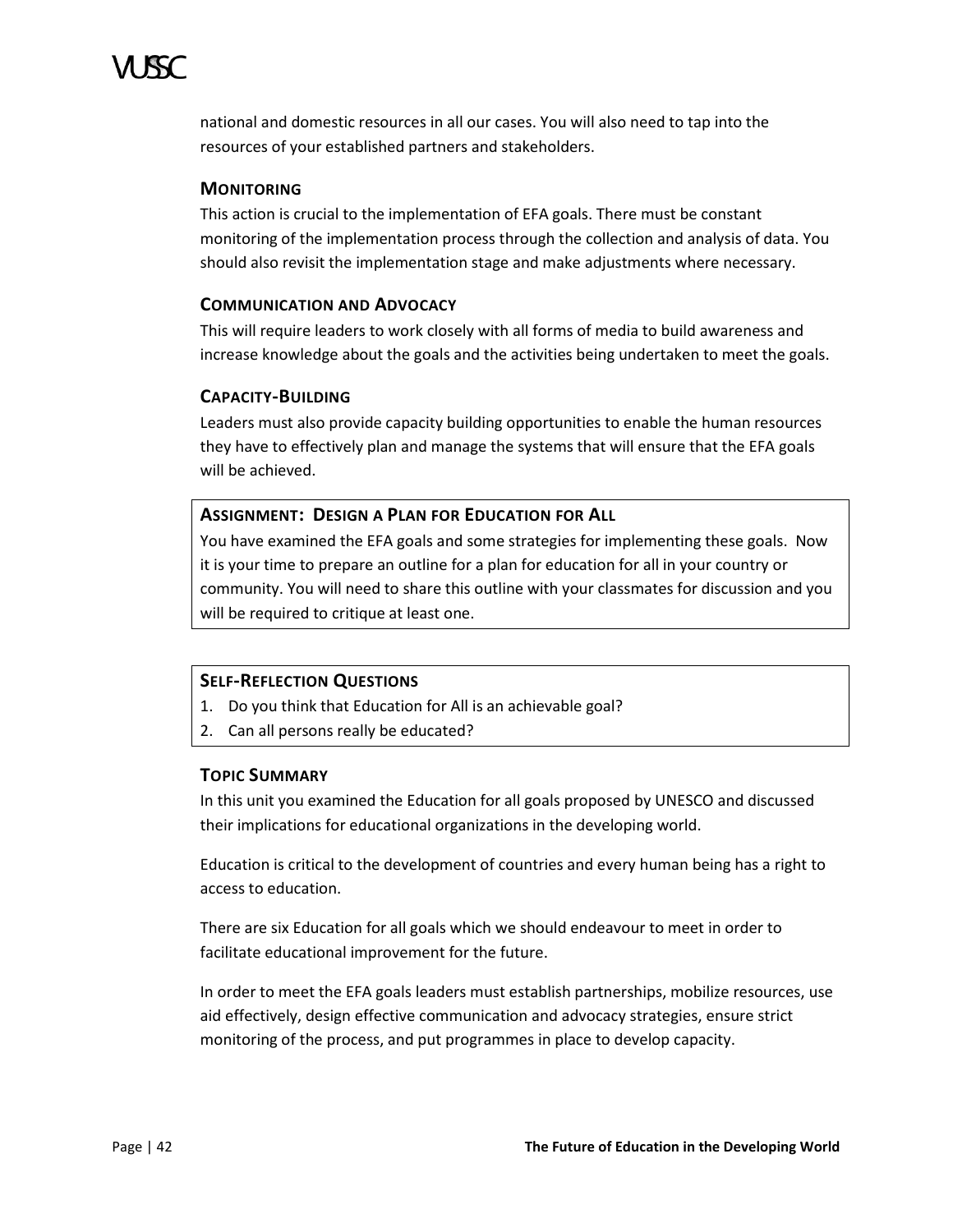national and domestic resources in all our cases. You will also need to tap into the resources of your established partners and stakeholders.

# **MONITORING**

This action is crucial to the implementation of EFA goals. There must be constant monitoring of the implementation process through the collection and analysis of data. You should also revisit the implementation stage and make adjustments where necessary.

# **COMMUNICATION AND ADVOCACY**

This will require leaders to work closely with all forms of media to build awareness and increase knowledge about the goals and the activities being undertaken to meet the goals.

# **CAPACITY-BUILDING**

Leaders must also provide capacity building opportunities to enable the human resources they have to effectively plan and manage the systems that will ensure that the EFA goals will be achieved.

# **ASSIGNMENT: DESIGN A PLAN FOR EDUCATION FOR ALL**

You have examined the EFA goals and some strategies for implementing these goals. Now it is your time to prepare an outline for a plan for education for all in your country or community. You will need to share this outline with your classmates for discussion and you will be required to critique at least one.

# **SELF-REFLECTION QUESTIONS**

- 1. Do you think that Education for All is an achievable goal?
- 2. Can all persons really be educated?

# **TOPIC SUMMARY**

In this unit you examined the Education for all goals proposed by UNESCO and discussed their implications for educational organizations in the developing world.

Education is critical to the development of countries and every human being has a right to access to education.

There are six Education for all goals which we should endeavour to meet in order to facilitate educational improvement for the future.

In order to meet the EFA goals leaders must establish partnerships, mobilize resources, use aid effectively, design effective communication and advocacy strategies, ensure strict monitoring of the process, and put programmes in place to develop capacity.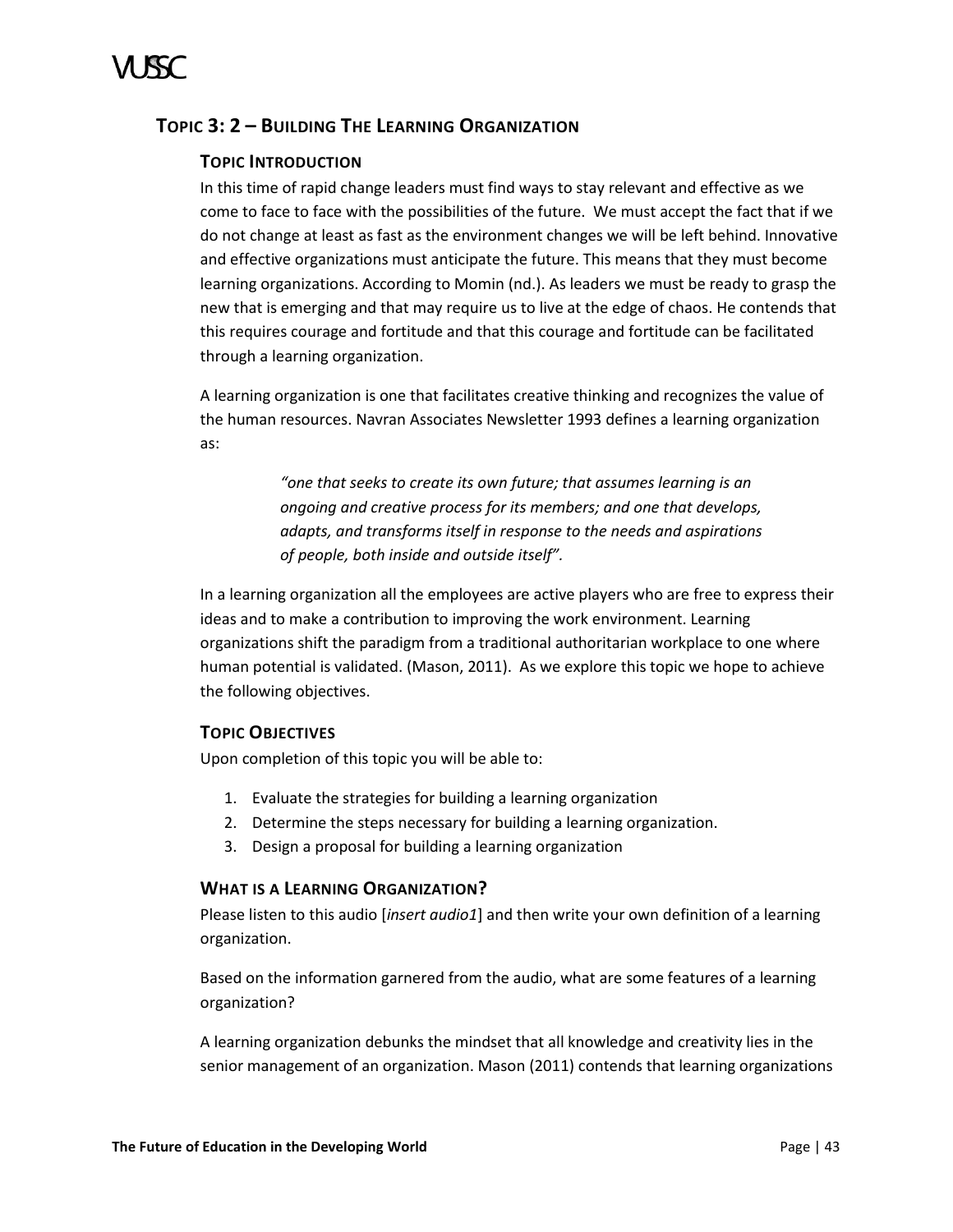# <span id="page-48-0"></span>**TOPIC 3: 2 – BUILDING THE LEARNING ORGANIZATION**

# **TOPIC INTRODUCTION**

In this time of rapid change leaders must find ways to stay relevant and effective as we come to face to face with the possibilities of the future. We must accept the fact that if we do not change at least as fast as the environment changes we will be left behind. Innovative and effective organizations must anticipate the future. This means that they must become learning organizations. According to Momin (nd.). As leaders we must be ready to grasp the new that is emerging and that may require us to live at the edge of chaos. He contends that this requires courage and fortitude and that this courage and fortitude can be facilitated through a learning organization.

A learning organization is one that facilitates creative thinking and recognizes the value of the human resources. Navran Associates Newsletter 1993 defines a learning organization as:

> *"one that seeks to create its own future; that assumes learning is an ongoing and creative process for its members; and one that develops, adapts, and transforms itself in response to the needs and aspirations of people, both inside and outside itself".*

In a learning organization all the employees are active players who are free to express their ideas and to make a contribution to improving the work environment. Learning organizations shift the paradigm from a traditional authoritarian workplace to one where human potential is validated. (Mason, 2011). As we explore this topic we hope to achieve the following objectives.

# **TOPIC OBJECTIVES**

Upon completion of this topic you will be able to:

- 1. Evaluate the strategies for building a learning organization
- 2. Determine the steps necessary for building a learning organization.
- 3. Design a proposal for building a learning organization

# **WHAT IS A LEARNING ORGANIZATION?**

Please listen to this audio [*insert audio1*] and then write your own definition of a learning organization.

Based on the information garnered from the audio, what are some features of a learning organization?

A learning organization debunks the mindset that all knowledge and creativity lies in the senior management of an organization. Mason (2011) contends that learning organizations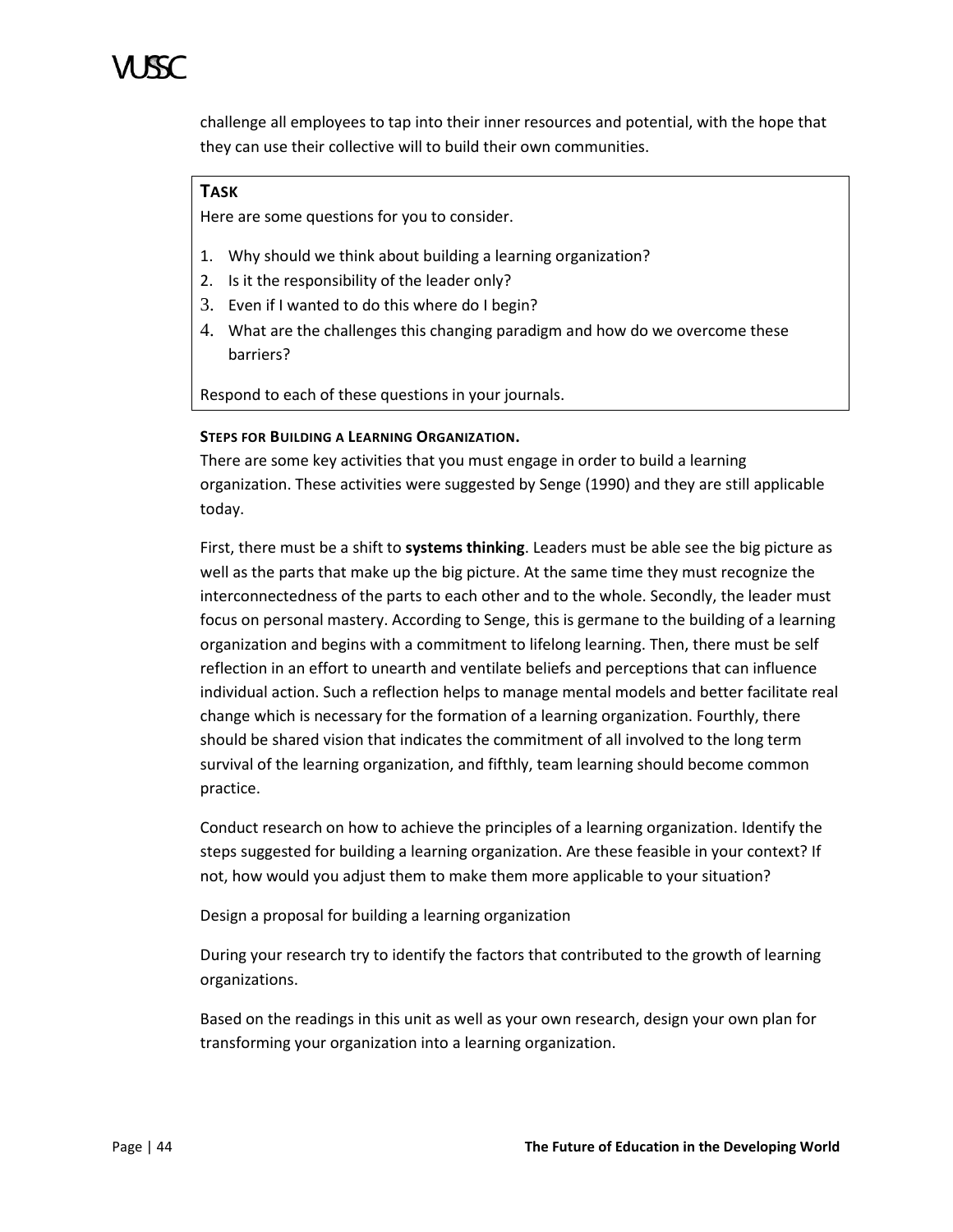challenge all employees to tap into their inner resources and potential, with the hope that they can use their collective will to build their own communities.

# **TASK**

Here are some questions for you to consider.

- 1. Why should we think about building a learning organization?
- 2. Is it the responsibility of the leader only?
- 3. Even if I wanted to do this where do I begin?
- 4. What are the challenges this changing paradigm and how do we overcome these barriers?

Respond to each of these questions in your journals.

# **STEPS FOR BUILDING A LEARNING ORGANIZATION.**

There are some key activities that you must engage in order to build a learning organization. These activities were suggested by Senge (1990) and they are still applicable today.

First, there must be a shift to **systems thinking**. Leaders must be able see the big picture as well as the parts that make up the big picture. At the same time they must recognize the interconnectedness of the parts to each other and to the whole. Secondly, the leader must focus on personal mastery. According to Senge, this is germane to the building of a learning organization and begins with a commitment to lifelong learning. Then, there must be self reflection in an effort to unearth and ventilate beliefs and perceptions that can influence individual action. Such a reflection helps to manage mental models and better facilitate real change which is necessary for the formation of a learning organization. Fourthly, there should be shared vision that indicates the commitment of all involved to the long term survival of the learning organization, and fifthly, team learning should become common practice.

Conduct research on how to achieve the principles of a learning organization. Identify the steps suggested for building a learning organization. Are these feasible in your context? If not, how would you adjust them to make them more applicable to your situation?

Design a proposal for building a learning organization

During your research try to identify the factors that contributed to the growth of learning organizations.

Based on the readings in this unit as well as your own research, design your own plan for transforming your organization into a learning organization.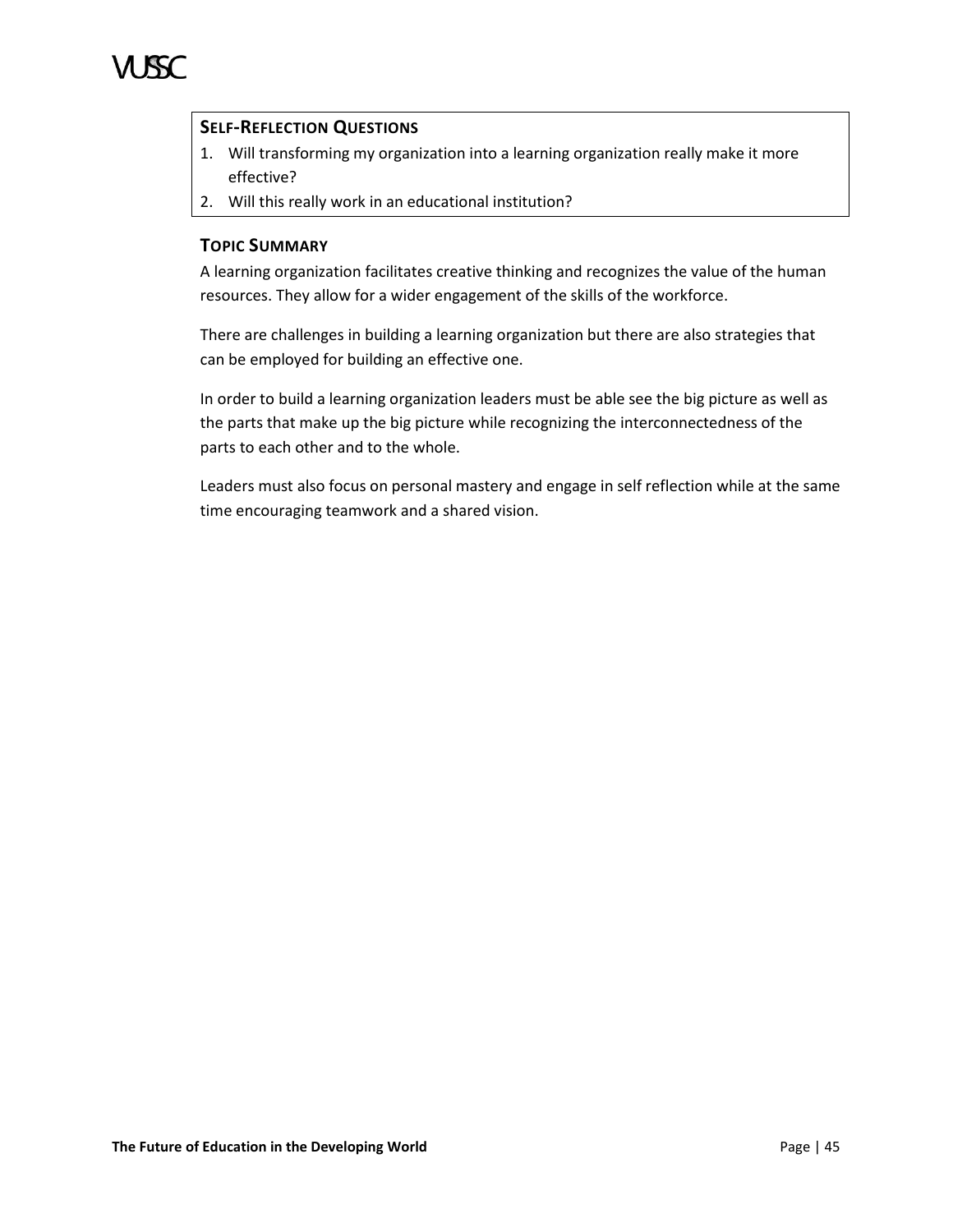# **SELF-REFLECTION QUESTIONS**

- 1. Will transforming my organization into a learning organization really make it more effective?
- 2. Will this really work in an educational institution?

# **TOPIC SUMMARY**

A learning organization facilitates creative thinking and recognizes the value of the human resources. They allow for a wider engagement of the skills of the workforce.

There are challenges in building a learning organization but there are also strategies that can be employed for building an effective one.

In order to build a learning organization leaders must be able see the big picture as well as the parts that make up the big picture while recognizing the interconnectedness of the parts to each other and to the whole.

Leaders must also focus on personal mastery and engage in self reflection while at the same time encouraging teamwork and a shared vision.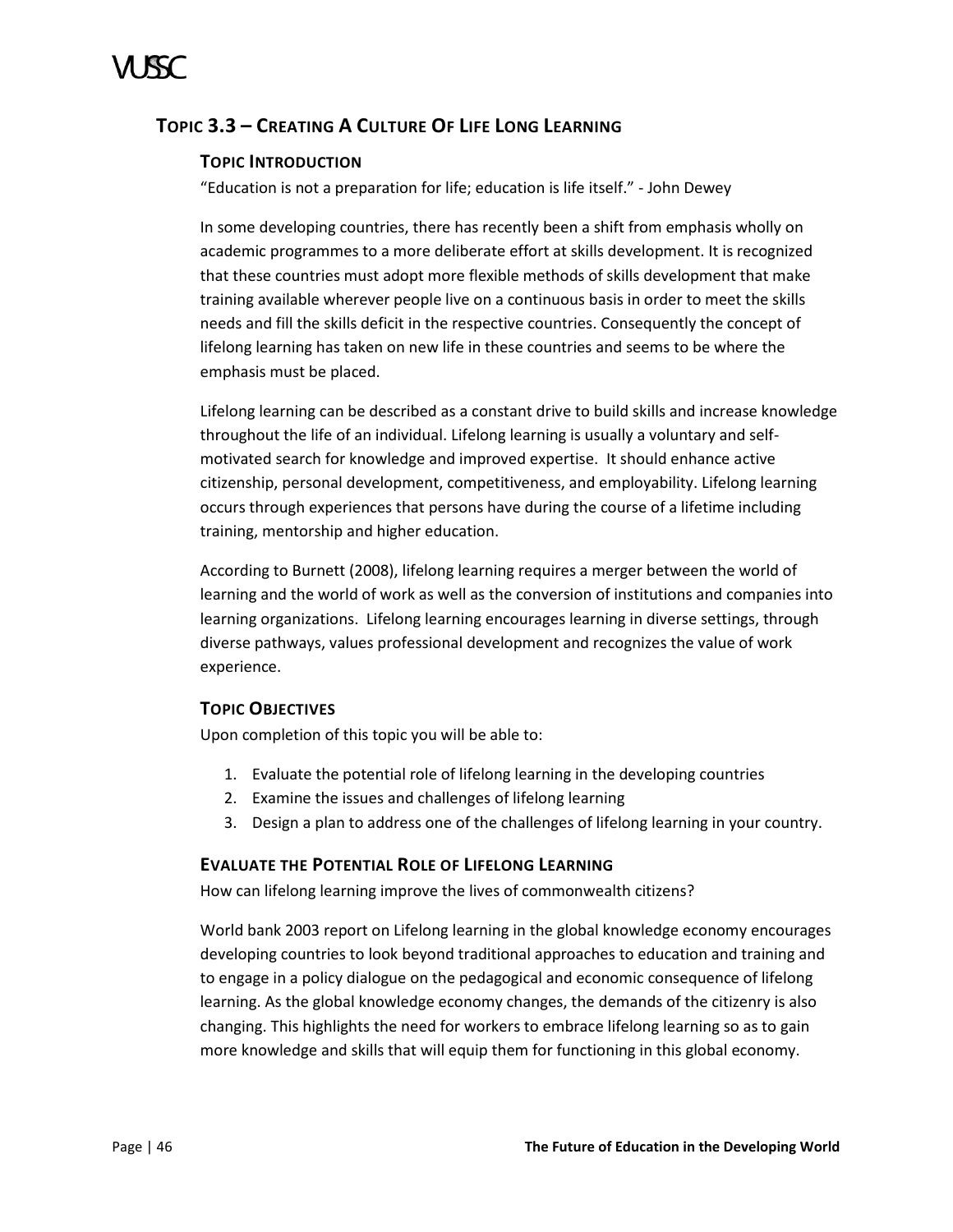# <span id="page-51-0"></span>**TOPIC 3.3 – CREATING A CULTURE OF LIFE LONG LEARNING**

# **TOPIC INTRODUCTION**

"Education is not a preparation for life; education is life itself." - John Dewey

In some developing countries, there has recently been a shift from emphasis wholly on academic programmes to a more deliberate effort at skills development. It is recognized that these countries must adopt more flexible methods of skills development that make training available wherever people live on a continuous basis in order to meet the skills needs and fill the skills deficit in the respective countries. Consequently the concept of lifelong learning has taken on new life in these countries and seems to be where the emphasis must be placed.

Lifelong learning can be described as a constant drive to build skills and increase knowledge throughout the life of an individual. Lifelong learning is usually a voluntary and selfmotivated search for knowledge and improved expertise. It should enhance active citizenship, personal development, competitiveness, and employability. Lifelong learning occurs through experiences that persons have during the course of a lifetime including training, mentorship and higher education.

According to Burnett (2008), lifelong learning requires a merger between the world of learning and the world of work as well as the conversion of institutions and companies into learning organizations. Lifelong learning encourages learning in diverse settings, through diverse pathways, values professional development and recognizes the value of work experience.

# **TOPIC OBJECTIVES**

Upon completion of this topic you will be able to:

- 1. Evaluate the potential role of lifelong learning in the developing countries
- 2. Examine the issues and challenges of lifelong learning
- 3. Design a plan to address one of the challenges of lifelong learning in your country.

# **EVALUATE THE POTENTIAL ROLE OF LIFELONG LEARNING**

How can lifelong learning improve the lives of commonwealth citizens?

World bank 2003 report on Lifelong learning in the global knowledge economy encourages developing countries to look beyond traditional approaches to education and training and to engage in a policy dialogue on the pedagogical and economic consequence of lifelong learning. As the global knowledge economy changes, the demands of the citizenry is also changing. This highlights the need for workers to embrace lifelong learning so as to gain more knowledge and skills that will equip them for functioning in this global economy.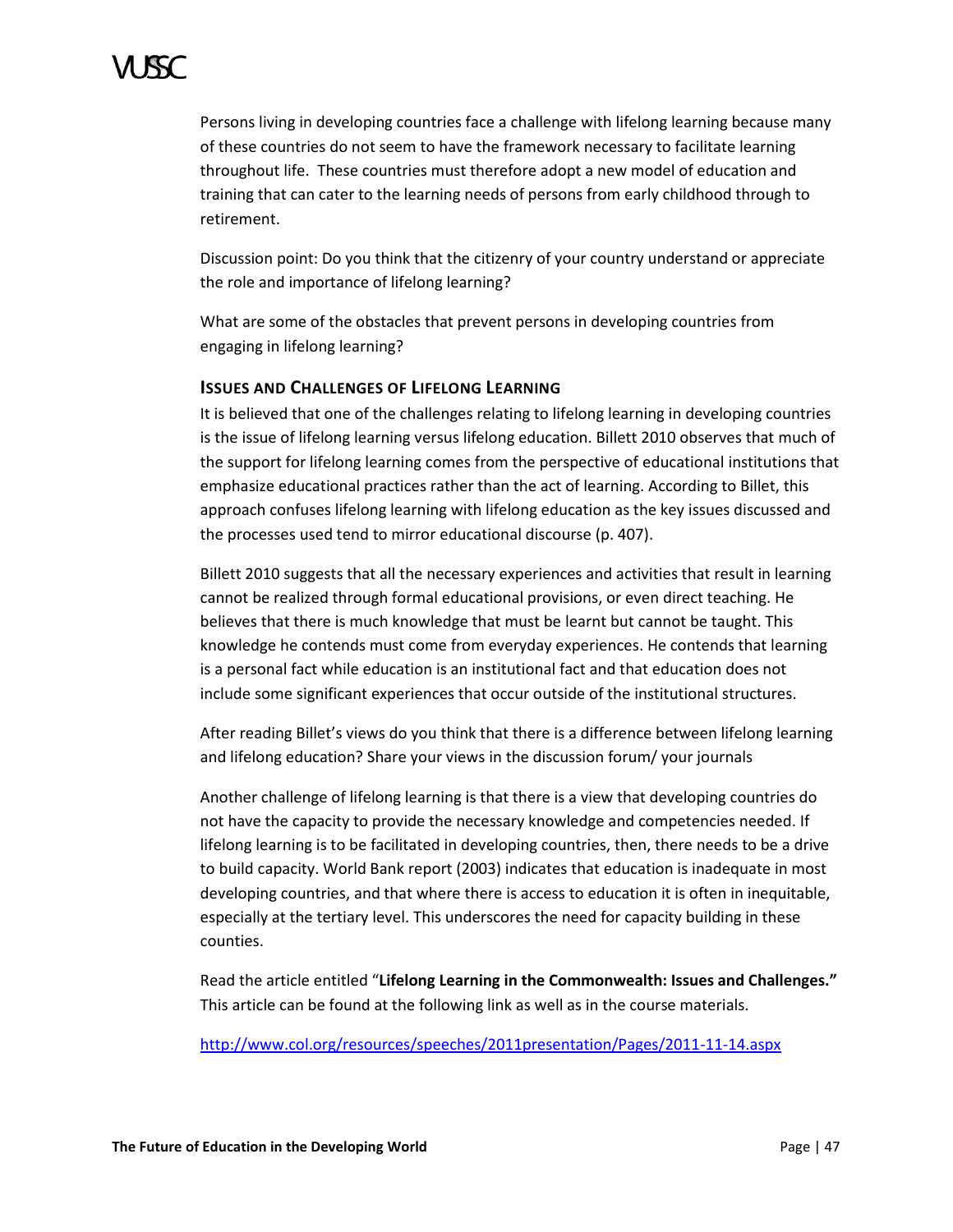Persons living in developing countries face a challenge with lifelong learning because many of these countries do not seem to have the framework necessary to facilitate learning throughout life. These countries must therefore adopt a new model of education and training that can cater to the learning needs of persons from early childhood through to retirement.

Discussion point: Do you think that the citizenry of your country understand or appreciate the role and importance of lifelong learning?

What are some of the obstacles that prevent persons in developing countries from engaging in lifelong learning?

# **ISSUES AND CHALLENGES OF LIFELONG LEARNING**

It is believed that one of the challenges relating to lifelong learning in developing countries is the issue of lifelong learning versus lifelong education. Billett 2010 observes that much of the support for lifelong learning comes from the perspective of educational institutions that emphasize educational practices rather than the act of learning. According to Billet, this approach confuses lifelong learning with lifelong education as the key issues discussed and the processes used tend to mirror educational discourse (p. 407).

Billett 2010 suggests that all the necessary experiences and activities that result in learning cannot be realized through formal educational provisions, or even direct teaching. He believes that there is much knowledge that must be learnt but cannot be taught. This knowledge he contends must come from everyday experiences. He contends that learning is a personal fact while education is an institutional fact and that education does not include some significant experiences that occur outside of the institutional structures.

After reading Billet's views do you think that there is a difference between lifelong learning and lifelong education? Share your views in the discussion forum/ your journals

Another challenge of lifelong learning is that there is a view that developing countries do not have the capacity to provide the necessary knowledge and competencies needed. If lifelong learning is to be facilitated in developing countries, then, there needs to be a drive to build capacity. World Bank report (2003) indicates that education is inadequate in most developing countries, and that where there is access to education it is often in inequitable, especially at the tertiary level. This underscores the need for capacity building in these counties.

Read the article entitled "**Lifelong Learning in the Commonwealth: Issues and Challenges."**  This article can be found at the following link as well as in the course materials.

<http://www.col.org/resources/speeches/2011presentation/Pages/2011-11-14.aspx>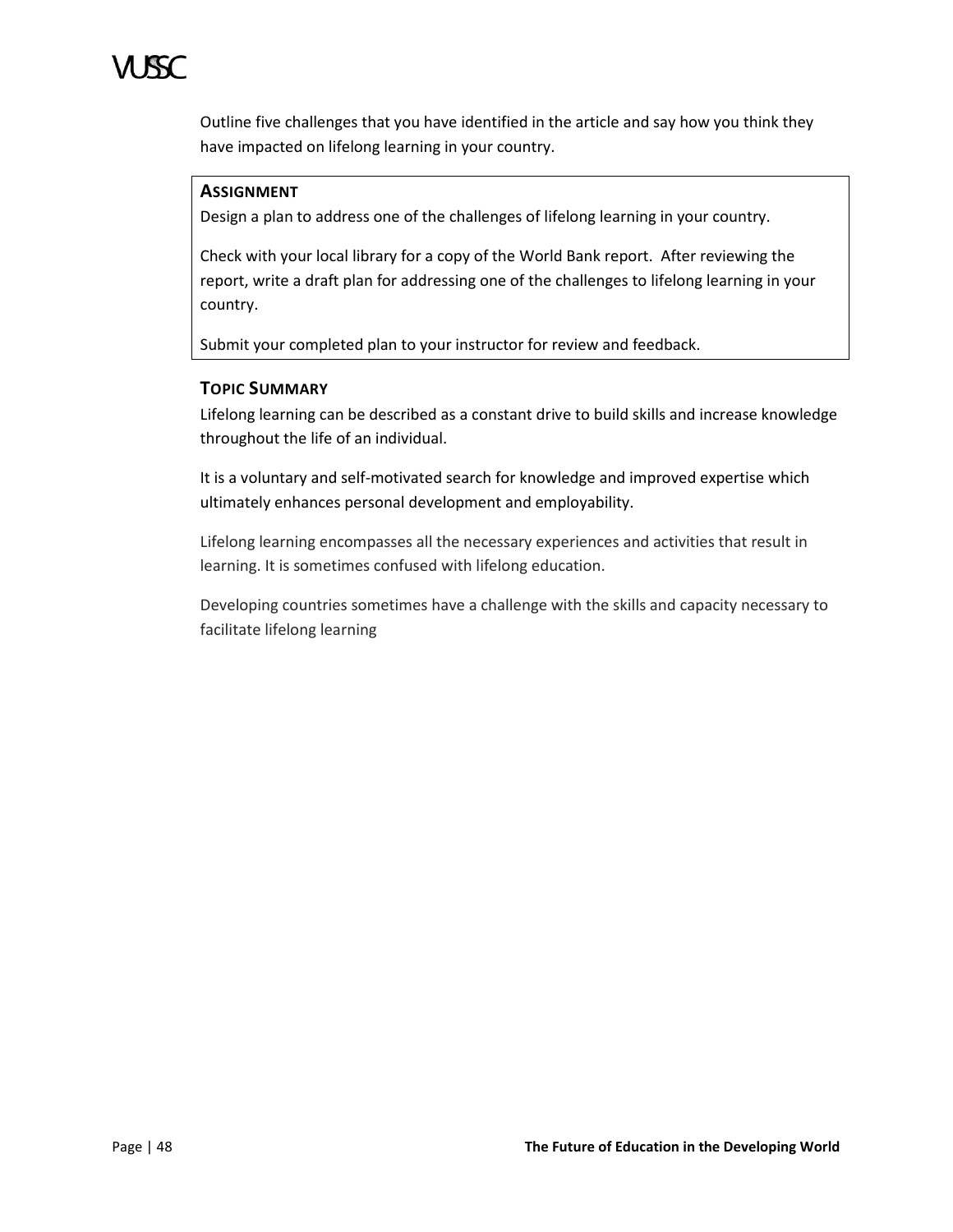

Outline five challenges that you have identified in the article and say how you think they have impacted on lifelong learning in your country.

# **ASSIGNMENT**

Design a plan to address one of the challenges of lifelong learning in your country.

Check with your local library for a copy of the World Bank report. After reviewing the report, write a draft plan for addressing one of the challenges to lifelong learning in your country.

Submit your completed plan to your instructor for review and feedback.

### **TOPIC SUMMARY**

Lifelong learning can be described as a constant drive to build skills and increase knowledge throughout the life of an individual.

It is a voluntary and self-motivated search for knowledge and improved expertise which ultimately enhances personal development and employability.

Lifelong learning encompasses all the necessary experiences and activities that result in learning. It is sometimes confused with lifelong education.

Developing countries sometimes have a challenge with the skills and capacity necessary to facilitate lifelong learning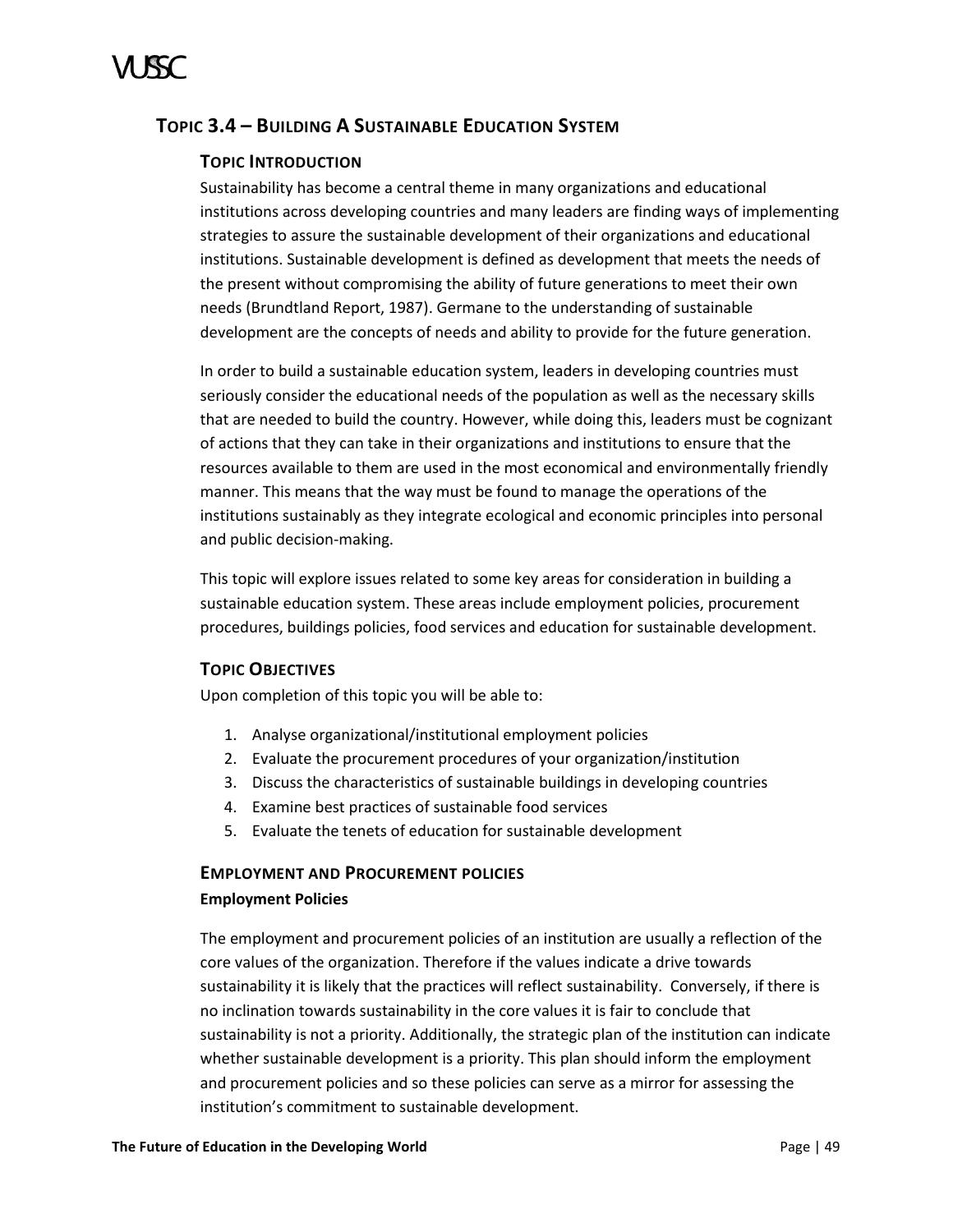# <span id="page-54-0"></span>**TOPIC 3.4 – BUILDING A SUSTAINABLE EDUCATION SYSTEM**

# **TOPIC INTRODUCTION**

Sustainability has become a central theme in many organizations and educational institutions across developing countries and many leaders are finding ways of implementing strategies to assure the sustainable development of their organizations and educational institutions. Sustainable development is defined as development that meets the needs of the present without compromising the ability of future generations to meet their own needs (Brundtland Report, 1987). Germane to the understanding of sustainable development are the concepts of needs and ability to provide for the future generation.

In order to build a sustainable education system, leaders in developing countries must seriously consider the educational needs of the population as well as the necessary skills that are needed to build the country. However, while doing this, leaders must be cognizant of actions that they can take in their organizations and institutions to ensure that the resources available to them are used in the most economical and environmentally friendly manner. This means that the way must be found to manage the operations of the institutions sustainably as they integrate ecological and economic principles into personal and public decision-making.

This topic will explore issues related to some key areas for consideration in building a sustainable education system. These areas include employment policies, procurement procedures, buildings policies, food services and education for sustainable development.

# **TOPIC OBJECTIVES**

Upon completion of this topic you will be able to:

- 1. Analyse organizational/institutional employment policies
- 2. Evaluate the procurement procedures of your organization/institution
- 3. Discuss the characteristics of sustainable buildings in developing countries
- 4. Examine best practices of sustainable food services
- 5. Evaluate the tenets of education for sustainable development

# **EMPLOYMENT AND PROCUREMENT POLICIES Employment Policies**

The employment and procurement policies of an institution are usually a reflection of the core values of the organization. Therefore if the values indicate a drive towards sustainability it is likely that the practices will reflect sustainability. Conversely, if there is no inclination towards sustainability in the core values it is fair to conclude that sustainability is not a priority. Additionally, the strategic plan of the institution can indicate whether sustainable development is a priority. This plan should inform the employment and procurement policies and so these policies can serve as a mirror for assessing the institution's commitment to sustainable development.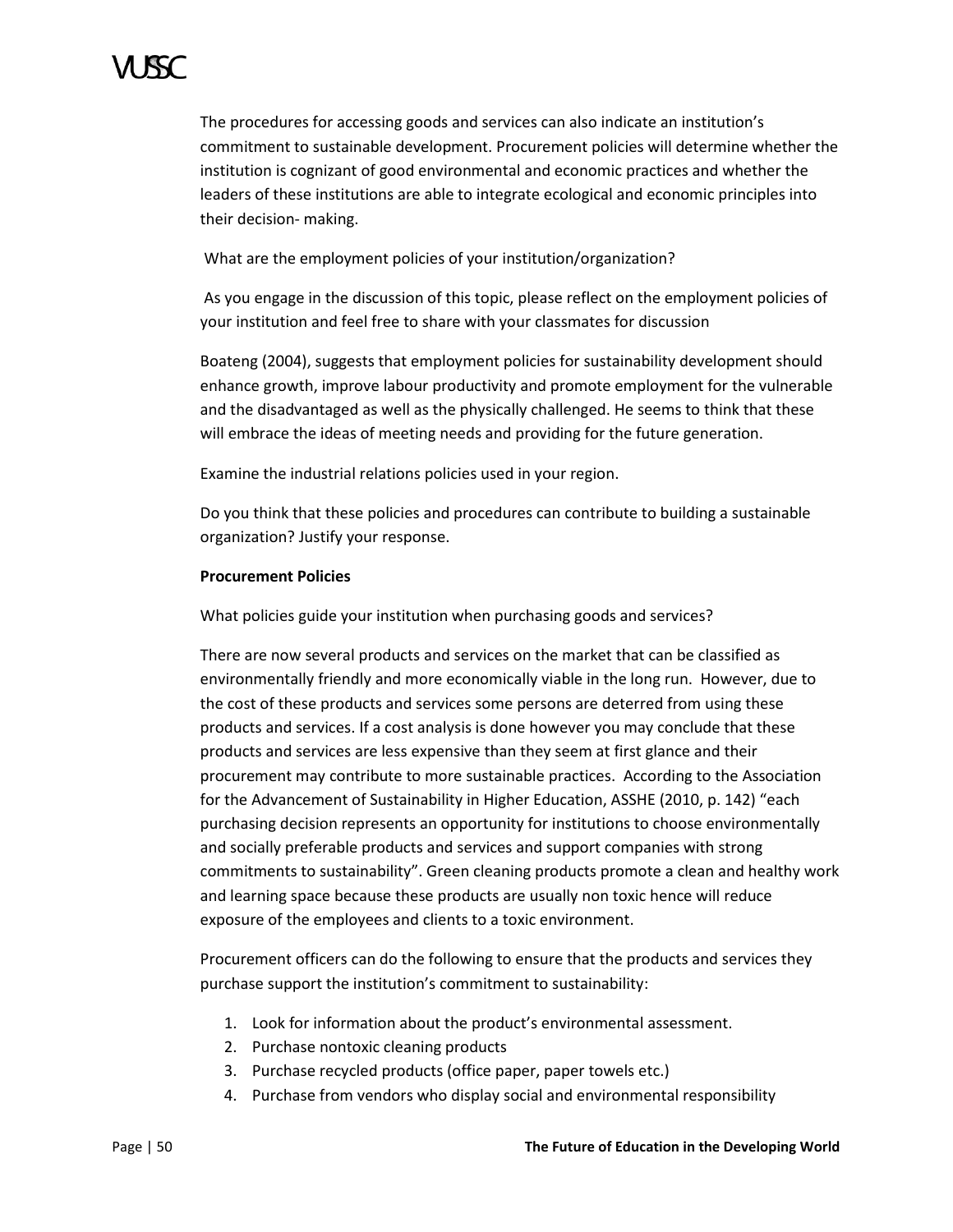The procedures for accessing goods and services can also indicate an institution's commitment to sustainable development. Procurement policies will determine whether the institution is cognizant of good environmental and economic practices and whether the leaders of these institutions are able to integrate ecological and economic principles into their decision- making.

What are the employment policies of your institution/organization?

As you engage in the discussion of this topic, please reflect on the employment policies of your institution and feel free to share with your classmates for discussion

Boateng (2004), suggests that employment policies for sustainability development should enhance growth, improve labour productivity and promote employment for the vulnerable and the disadvantaged as well as the physically challenged. He seems to think that these will embrace the ideas of meeting needs and providing for the future generation.

Examine the industrial relations policies used in your region.

Do you think that these policies and procedures can contribute to building a sustainable organization? Justify your response.

# **Procurement Policies**

What policies guide your institution when purchasing goods and services?

There are now several products and services on the market that can be classified as environmentally friendly and more economically viable in the long run. However, due to the cost of these products and services some persons are deterred from using these products and services. If a cost analysis is done however you may conclude that these products and services are less expensive than they seem at first glance and their procurement may contribute to more sustainable practices. According to the Association for the Advancement of Sustainability in Higher Education, ASSHE (2010, p. 142) "each purchasing decision represents an opportunity for institutions to choose environmentally and socially preferable products and services and support companies with strong commitments to sustainability". Green cleaning products promote a clean and healthy work and learning space because these products are usually non toxic hence will reduce exposure of the employees and clients to a toxic environment.

Procurement officers can do the following to ensure that the products and services they purchase support the institution's commitment to sustainability:

- 1. Look for information about the product's environmental assessment.
- 2. Purchase nontoxic cleaning products
- 3. Purchase recycled products (office paper, paper towels etc.)
- 4. Purchase from vendors who display social and environmental responsibility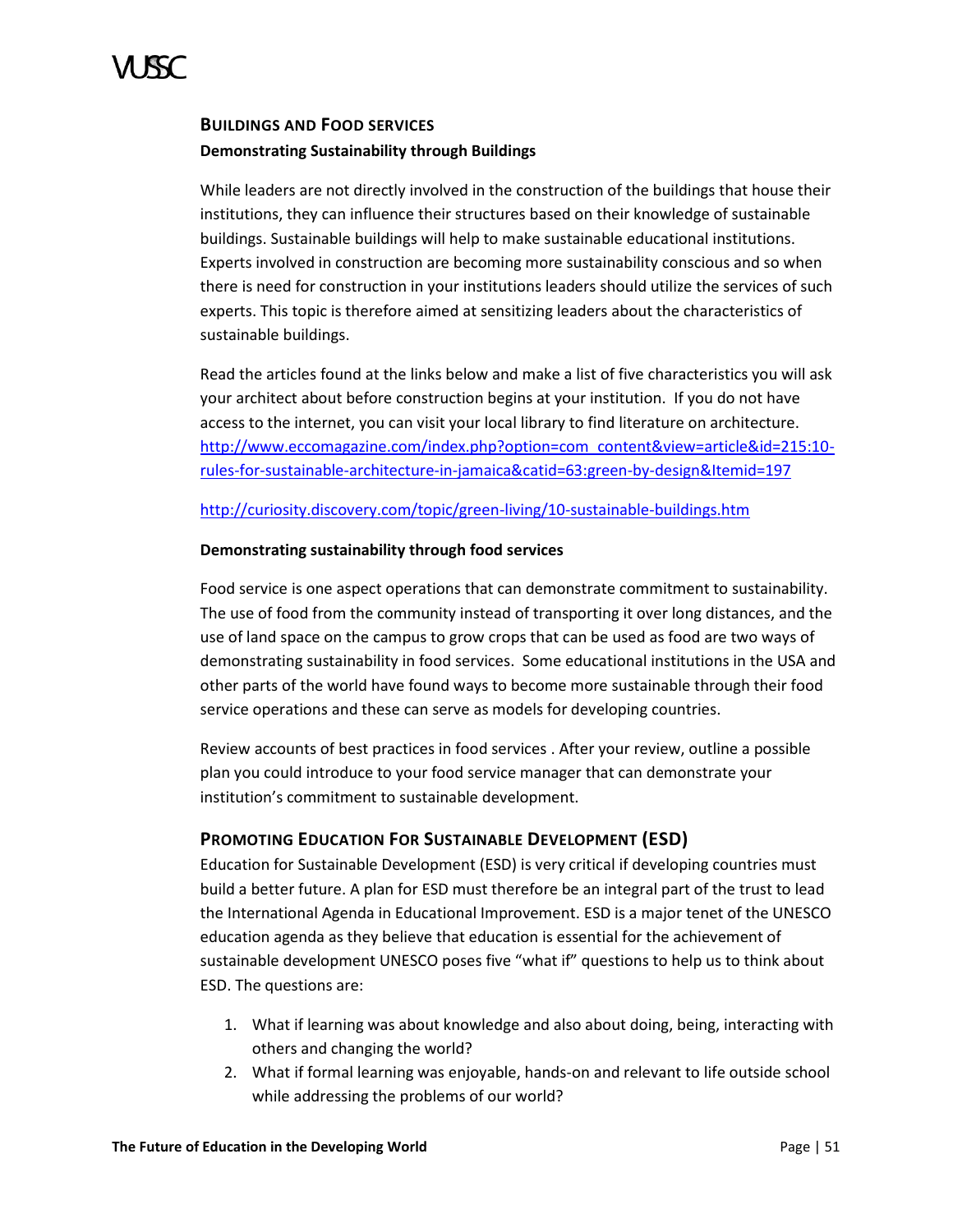

# **BUILDINGS AND FOOD SERVICES Demonstrating Sustainability through Buildings**

While leaders are not directly involved in the construction of the buildings that house their institutions, they can influence their structures based on their knowledge of sustainable buildings. Sustainable buildings will help to make sustainable educational institutions. Experts involved in construction are becoming more sustainability conscious and so when there is need for construction in your institutions leaders should utilize the services of such experts. This topic is therefore aimed at sensitizing leaders about the characteristics of sustainable buildings.

Read the articles found at the links below and make a list of five characteristics you will ask your architect about before construction begins at your institution. If you do not have access to the internet, you can visit your local library to find literature on architecture. [http://www.eccomagazine.com/index.php?option=com\\_content&view=article&id=215:10](http://www.eccomagazine.com/index.php?option=com_content&view=article&id=215:10-rules-for-sustainable-architecture-in-jamaica&catid=63:green-by-design&Itemid=197) [rules-for-sustainable-architecture-in-jamaica&catid=63:green-by-design&Itemid=197](http://www.eccomagazine.com/index.php?option=com_content&view=article&id=215:10-rules-for-sustainable-architecture-in-jamaica&catid=63:green-by-design&Itemid=197)

### <http://curiosity.discovery.com/topic/green-living/10-sustainable-buildings.htm>

### **Demonstrating sustainability through food services**

Food service is one aspect operations that can demonstrate commitment to sustainability. The use of food from the community instead of transporting it over long distances, and the use of land space on the campus to grow crops that can be used as food are two ways of demonstrating sustainability in food services. Some educational institutions in the USA and other parts of the world have found ways to become more sustainable through their food service operations and these can serve as models for developing countries.

Review accounts of best practices in food services . After your review, outline a possible plan you could introduce to your food service manager that can demonstrate your institution's commitment to sustainable development.

# **PROMOTING EDUCATION FOR SUSTAINABLE DEVELOPMENT (ESD)**

Education for Sustainable Development (ESD) is very critical if developing countries must build a better future. A plan for ESD must therefore be an integral part of the trust to lead the International Agenda in Educational Improvement. ESD is a major tenet of the UNESCO education agenda as they believe that education is essential for the achievement of sustainable development UNESCO poses five "what if" questions to help us to think about ESD. The questions are:

- 1. What if learning was about knowledge and also about doing, being, interacting with others and changing the world?
- 2. What if formal learning was enjoyable, hands-on and relevant to life outside school while addressing the problems of our world?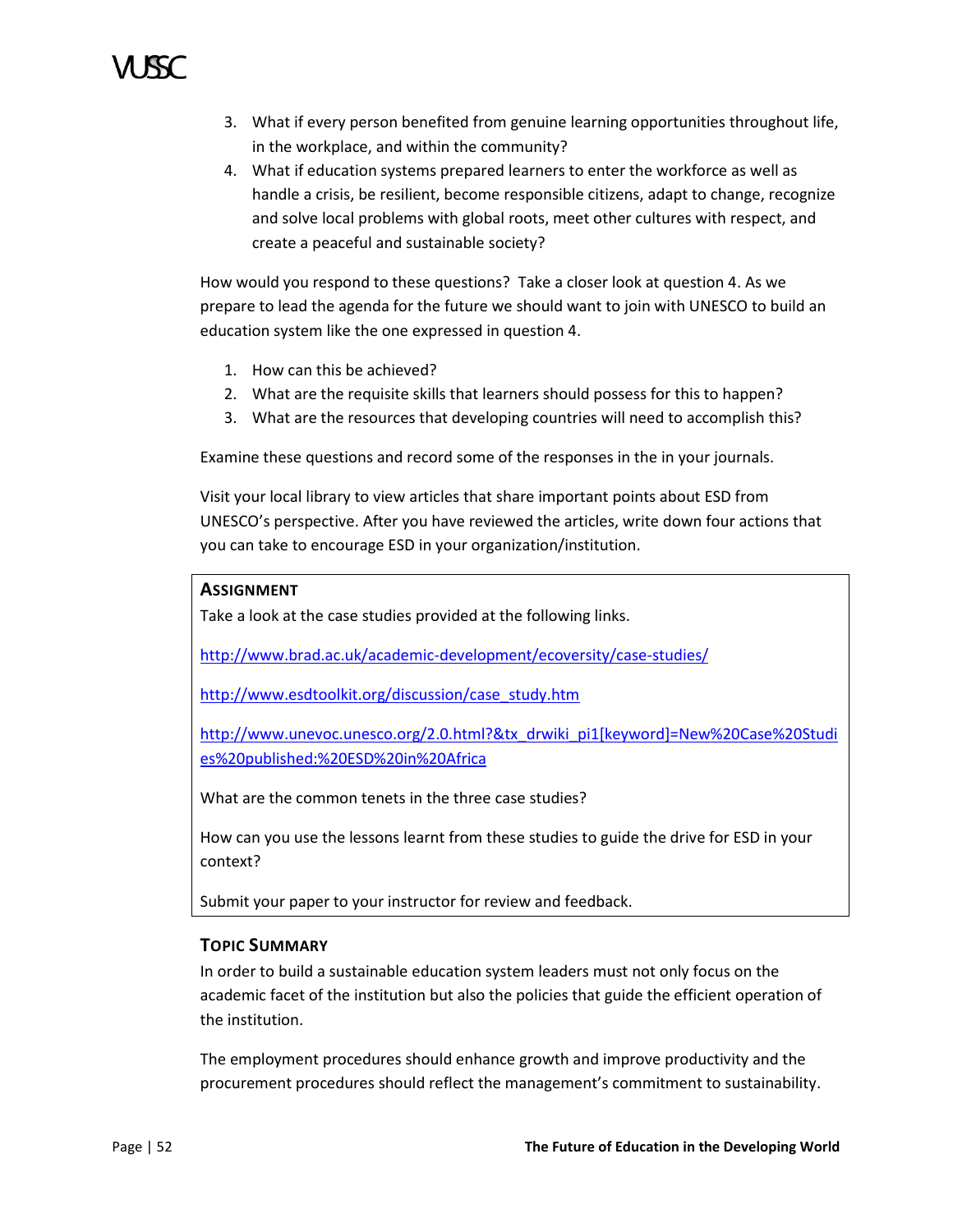- 3. What if every person benefited from genuine learning opportunities throughout life, in the workplace, and within the community?
- 4. What if education systems prepared learners to enter the workforce as well as handle a crisis, be resilient, become responsible citizens, adapt to change, recognize and solve local problems with global roots, meet other cultures with respect, and create a peaceful and sustainable society?

How would you respond to these questions? Take a closer look at question 4. As we prepare to lead the agenda for the future we should want to join with UNESCO to build an education system like the one expressed in question 4.

- 1. How can this be achieved?
- 2. What are the requisite skills that learners should possess for this to happen?
- 3. What are the resources that developing countries will need to accomplish this?

Examine these questions and record some of the responses in the in your journals.

Visit your local library to view articles that share important points about ESD from UNESCO's perspective. After you have reviewed the articles, write down four actions that you can take to encourage ESD in your organization/institution.

### **ASSIGNMENT**

Take a look at the case studies provided at the following links.

<http://www.brad.ac.uk/academic-development/ecoversity/case-studies/>

[http://www.esdtoolkit.org/discussion/case\\_study.htm](http://www.esdtoolkit.org/discussion/case_study.htm)

[http://www.unevoc.unesco.org/2.0.html?&tx\\_drwiki\\_pi1\[keyword\]=New%20Case%20Studi](http://www.unevoc.unesco.org/2.0.html?&tx_drwiki_pi1%5bkeyword%5d=New%20Case%20Studies%20published:%20ESD%20in%20Africa) [es%20published:%20ESD%20in%20Africa](http://www.unevoc.unesco.org/2.0.html?&tx_drwiki_pi1%5bkeyword%5d=New%20Case%20Studies%20published:%20ESD%20in%20Africa)

What are the common tenets in the three case studies?

How can you use the lessons learnt from these studies to guide the drive for ESD in your context?

Submit your paper to your instructor for review and feedback.

# **TOPIC SUMMARY**

In order to build a sustainable education system leaders must not only focus on the academic facet of the institution but also the policies that guide the efficient operation of the institution.

The employment procedures should enhance growth and improve productivity and the procurement procedures should reflect the management's commitment to sustainability.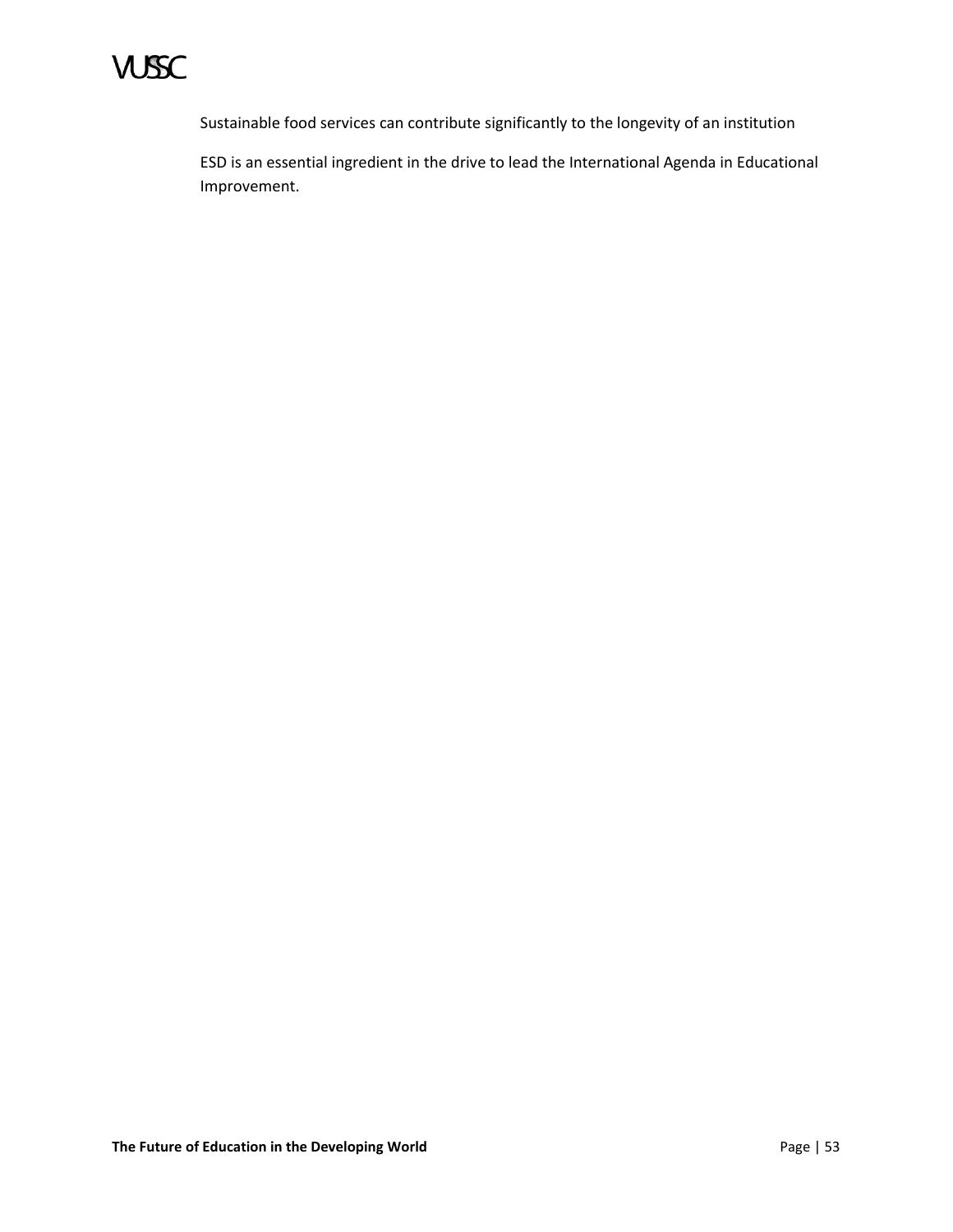

Sustainable food services can contribute significantly to the longevity of an institution

ESD is an essential ingredient in the drive to lead the International Agenda in Educational Improvement.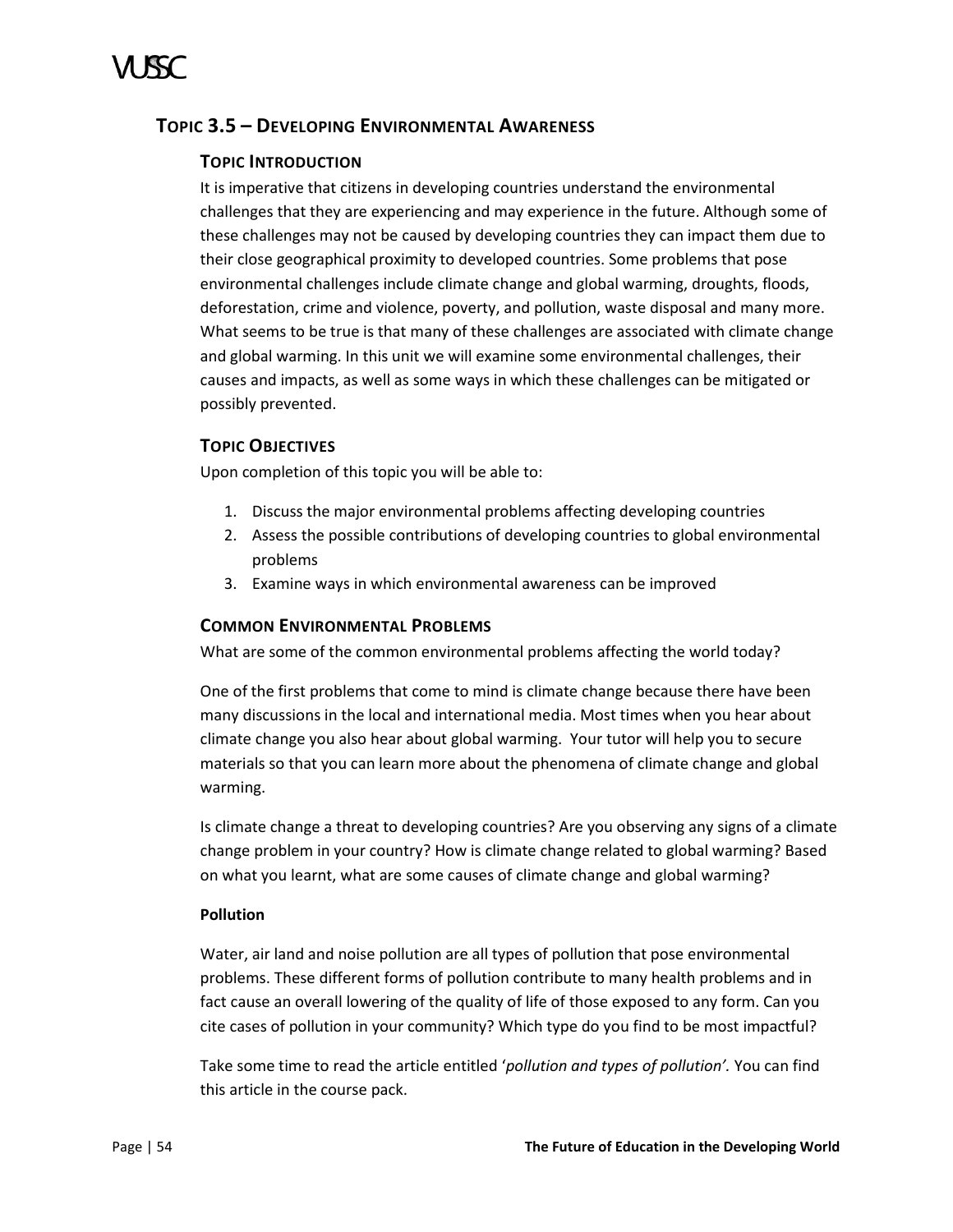# <span id="page-59-0"></span>**TOPIC 3.5 – DEVELOPING ENVIRONMENTAL AWARENESS**

# **TOPIC INTRODUCTION**

It is imperative that citizens in developing countries understand the environmental challenges that they are experiencing and may experience in the future. Although some of these challenges may not be caused by developing countries they can impact them due to their close geographical proximity to developed countries. Some problems that pose environmental challenges include climate change and global warming, droughts, floods, deforestation, crime and violence, poverty, and pollution, waste disposal and many more. What seems to be true is that many of these challenges are associated with climate change and global warming. In this unit we will examine some environmental challenges, their causes and impacts, as well as some ways in which these challenges can be mitigated or possibly prevented.

# **TOPIC OBJECTIVES**

Upon completion of this topic you will be able to:

- 1. Discuss the major environmental problems affecting developing countries
- 2. Assess the possible contributions of developing countries to global environmental problems
- 3. Examine ways in which environmental awareness can be improved

# **COMMON ENVIRONMENTAL PROBLEMS**

What are some of the common environmental problems affecting the world today?

One of the first problems that come to mind is climate change because there have been many discussions in the local and international media. Most times when you hear about climate change you also hear about global warming. Your tutor will help you to secure materials so that you can learn more about the phenomena of climate change and global warming.

Is climate change a threat to developing countries? Are you observing any signs of a climate change problem in your country? How is climate change related to global warming? Based on what you learnt, what are some causes of climate change and global warming?

# **Pollution**

Water, air land and noise pollution are all types of pollution that pose environmental problems. These different forms of pollution contribute to many health problems and in fact cause an overall lowering of the quality of life of those exposed to any form. Can you cite cases of pollution in your community? Which type do you find to be most impactful?

Take some time to read the article entitled '*pollution and types of pollution'.* You can find this article in the course pack.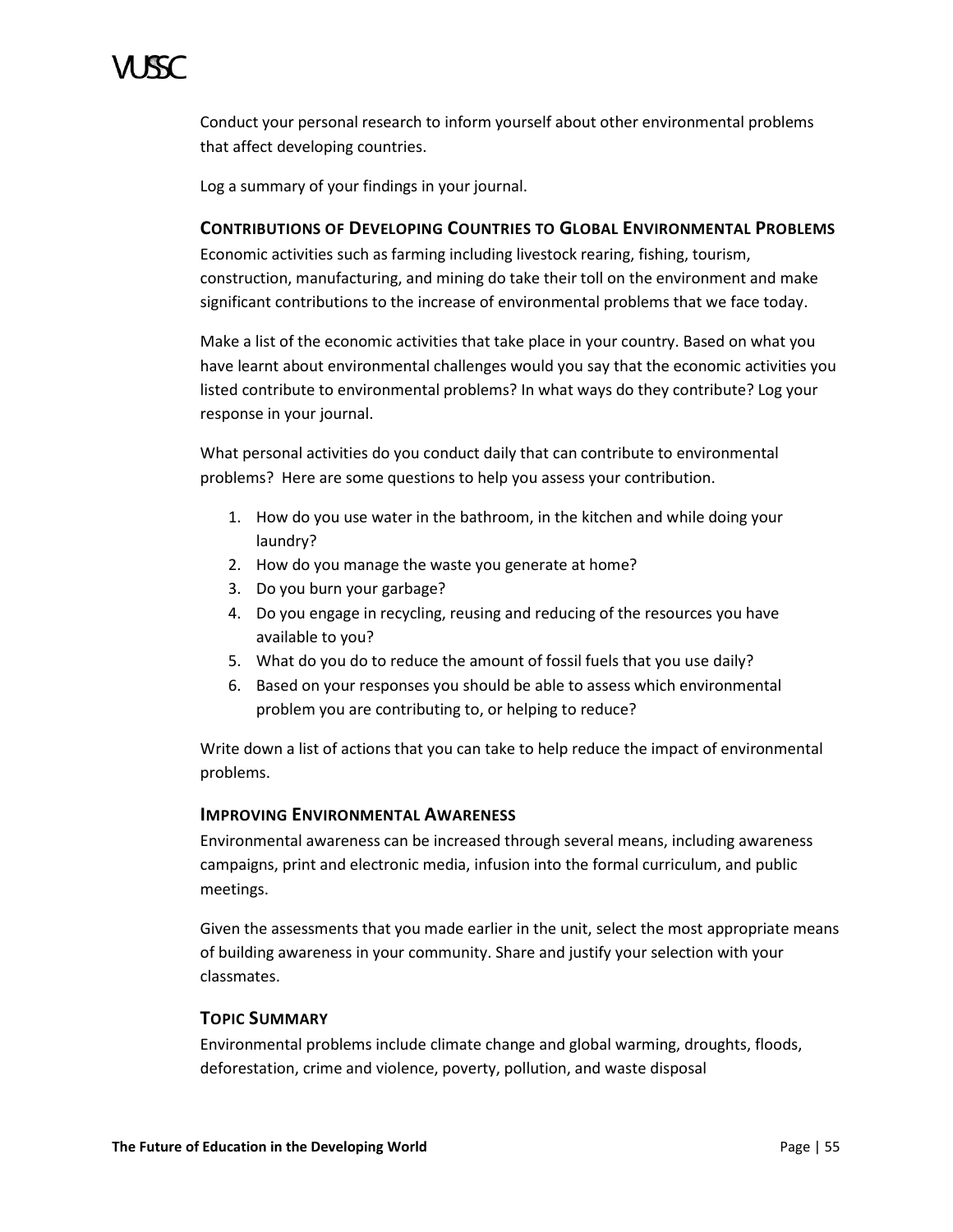

Conduct your personal research to inform yourself about other environmental problems that affect developing countries.

Log a summary of your findings in your journal.

### **CONTRIBUTIONS OF DEVELOPING COUNTRIES TO GLOBAL ENVIRONMENTAL PROBLEMS**

Economic activities such as farming including livestock rearing, fishing, tourism, construction, manufacturing, and mining do take their toll on the environment and make significant contributions to the increase of environmental problems that we face today.

Make a list of the economic activities that take place in your country. Based on what you have learnt about environmental challenges would you say that the economic activities you listed contribute to environmental problems? In what ways do they contribute? Log your response in your journal.

What personal activities do you conduct daily that can contribute to environmental problems? Here are some questions to help you assess your contribution.

- 1. How do you use water in the bathroom, in the kitchen and while doing your laundry?
- 2. How do you manage the waste you generate at home?
- 3. Do you burn your garbage?
- 4. Do you engage in recycling, reusing and reducing of the resources you have available to you?
- 5. What do you do to reduce the amount of fossil fuels that you use daily?
- 6. Based on your responses you should be able to assess which environmental problem you are contributing to, or helping to reduce?

Write down a list of actions that you can take to help reduce the impact of environmental problems.

### **IMPROVING ENVIRONMENTAL AWARENESS**

Environmental awareness can be increased through several means, including awareness campaigns, print and electronic media, infusion into the formal curriculum, and public meetings.

Given the assessments that you made earlier in the unit, select the most appropriate means of building awareness in your community. Share and justify your selection with your classmates.

# **TOPIC SUMMARY**

Environmental problems include climate change and global warming, droughts, floods, deforestation, crime and violence, poverty, pollution, and waste disposal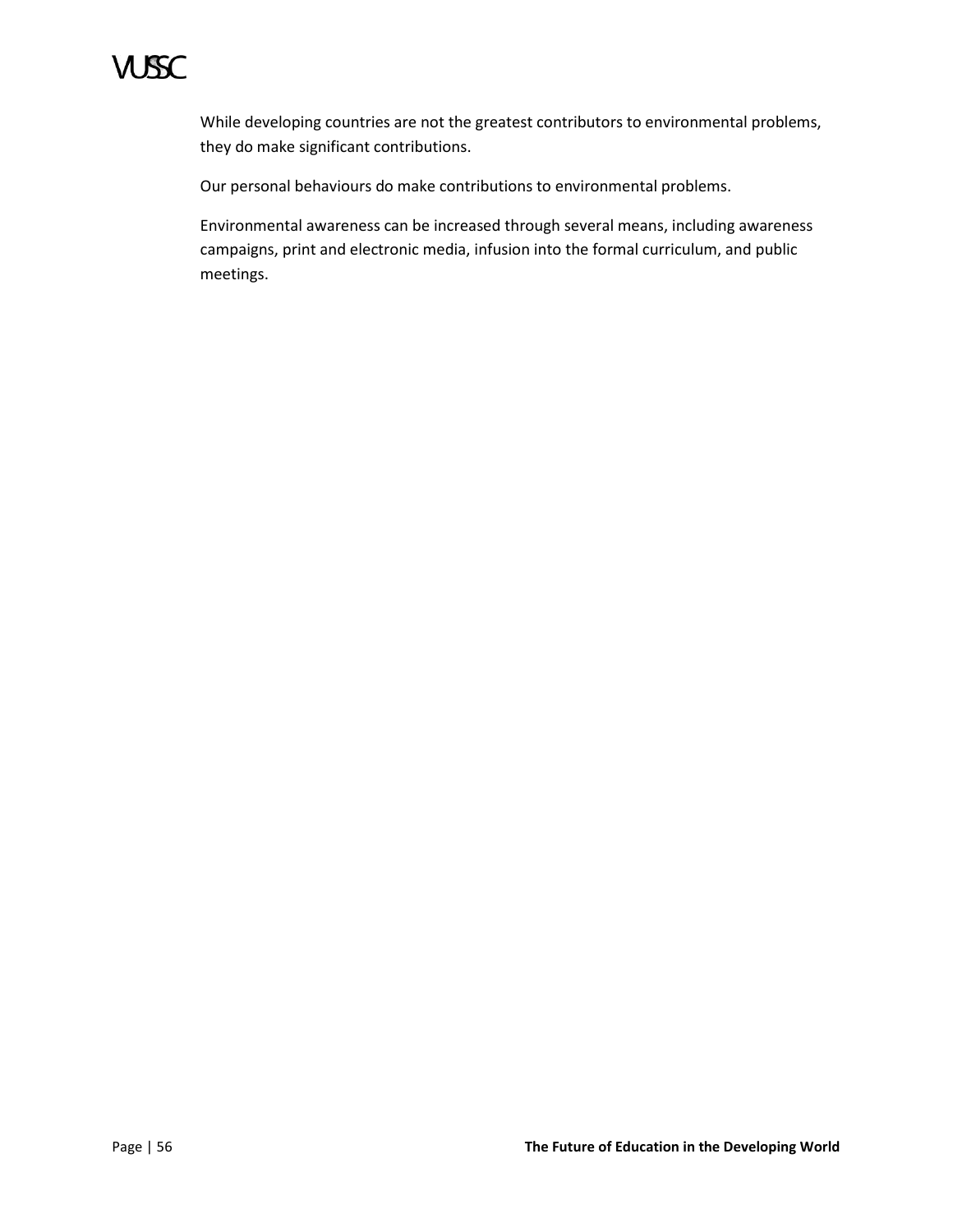

While developing countries are not the greatest contributors to environmental problems, they do make significant contributions.

Our personal behaviours do make contributions to environmental problems.

Environmental awareness can be increased through several means, including awareness campaigns, print and electronic media, infusion into the formal curriculum, and public meetings.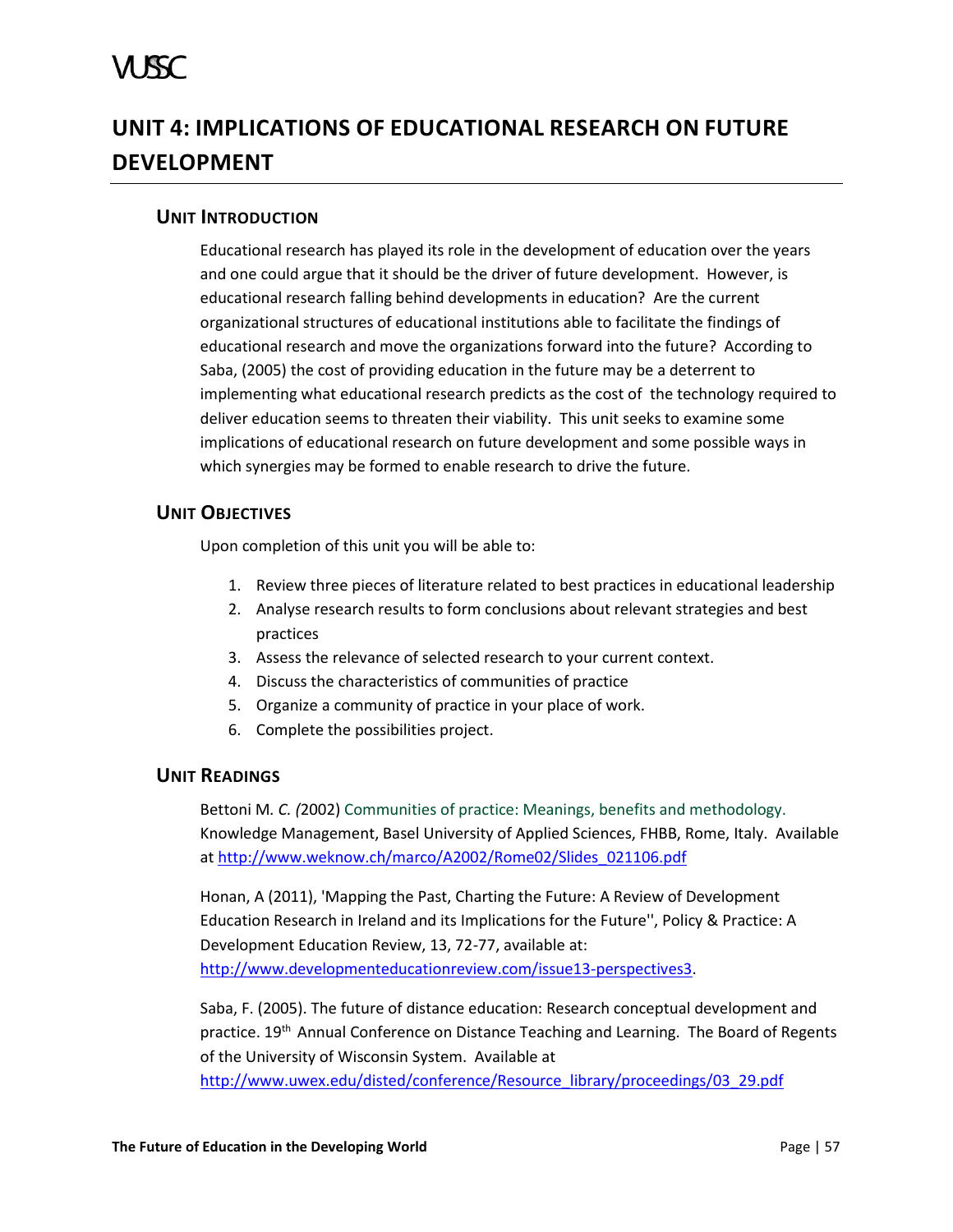# A ISC

# <span id="page-62-0"></span>**UNIT 4: IMPLICATIONS OF EDUCATIONAL RESEARCH ON FUTURE DEVELOPMENT**

# <span id="page-62-1"></span>**UNIT INTRODUCTION**

Educational research has played its role in the development of education over the years and one could argue that it should be the driver of future development. However, is educational research falling behind developments in education? Are the current organizational structures of educational institutions able to facilitate the findings of educational research and move the organizations forward into the future? According to Saba, (2005) the cost of providing education in the future may be a deterrent to implementing what educational research predicts as the cost of the technology required to deliver education seems to threaten their viability. This unit seeks to examine some implications of educational research on future development and some possible ways in which synergies may be formed to enable research to drive the future.

# <span id="page-62-2"></span>**UNIT OBJECTIVES**

Upon completion of this unit you will be able to:

- 1. Review three pieces of literature related to best practices in educational leadership
- 2. Analyse research results to form conclusions about relevant strategies and best practices
- 3. Assess the relevance of selected research to your current context.
- 4. Discuss the characteristics of communities of practice
- 5. Organize a community of practice in your place of work.
- 6. Complete the possibilities project.

# <span id="page-62-3"></span>**UNIT READINGS**

Bettoni M*. C. (*2002) Communities of practice: Meanings, benefits and methodology. Knowledge Management, Basel University of Applied Sciences, FHBB, Rome, Italy. Available at [http://www.weknow.ch/marco/A2002/Rome02/Slides\\_021106.pdf](http://www.weknow.ch/marco/A2002/Rome02/Slides_021106.pdf)

Honan, A (2011), 'Mapping the Past, Charting the Future: A Review of Development Education Research in Ireland and its Implications for the Future'', Policy & Practice: A Development Education Review, 13, 72-77, available at: [http://www.developmenteducationreview.com/issue13-perspectives3.](http://www.developmenteducationreview.com/issue13-perspectives3)

Saba, F. (2005). The future of distance education: Research conceptual development and practice. 19<sup>th</sup> Annual Conference on Distance Teaching and Learning. The Board of Regents of the University of Wisconsin System. Available at [http://www.uwex.edu/disted/conference/Resource\\_library/proceedings/03\\_29.pdf](http://www.uwex.edu/disted/conference/Resource_library/proceedings/03_29.pdf)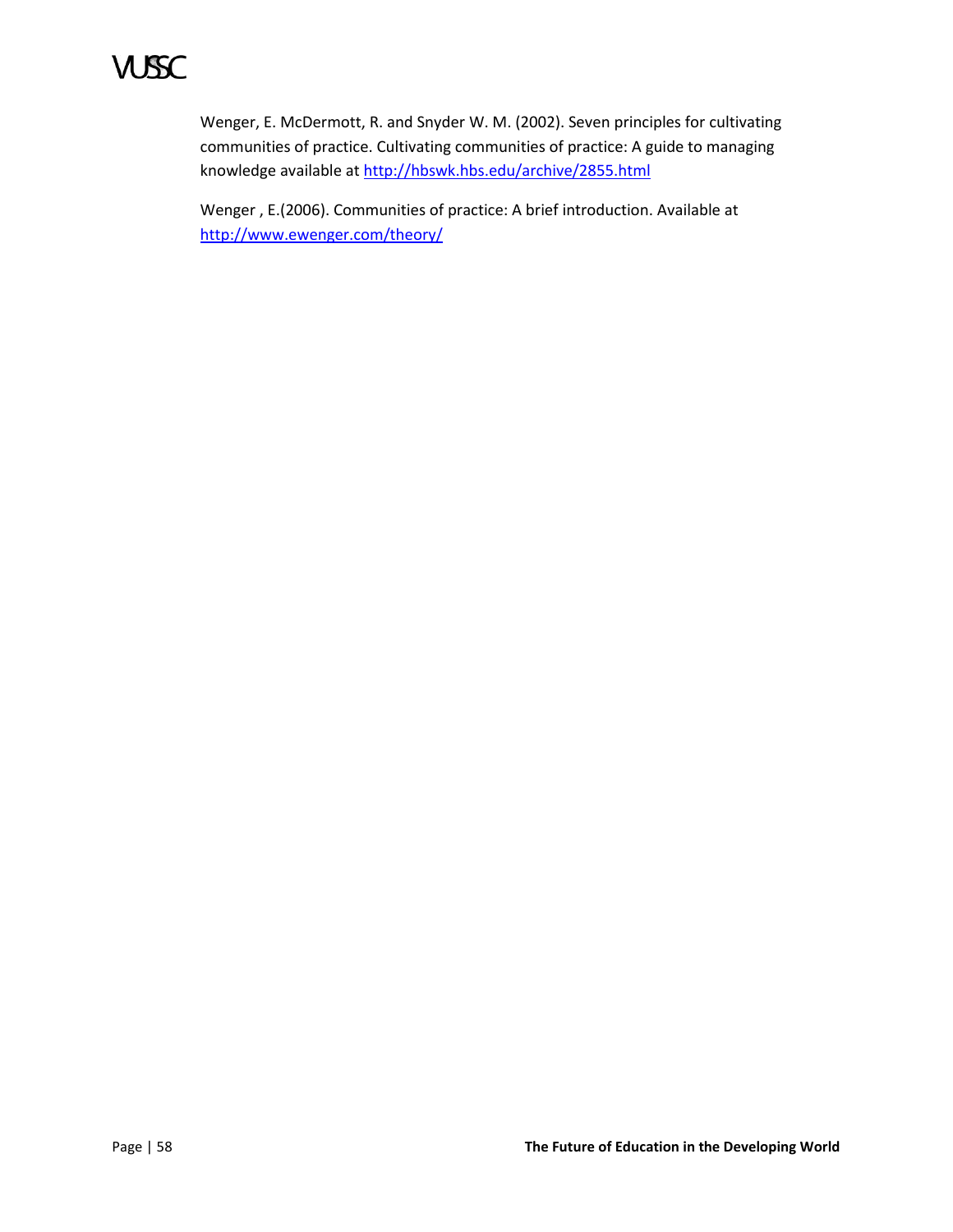# VUSSC

Wenger, E. McDermott, R. and Snyder W. M. (2002). Seven principles for cultivating communities of practice. Cultivating communities of practice: A guide to managing knowledge available a[t http://hbswk.hbs.edu/archive/2855.html](http://hbswk.hbs.edu/archive/2855.html)

Wenger , E.(2006). Communities of practice: A brief introduction. Available at <http://www.ewenger.com/theory/>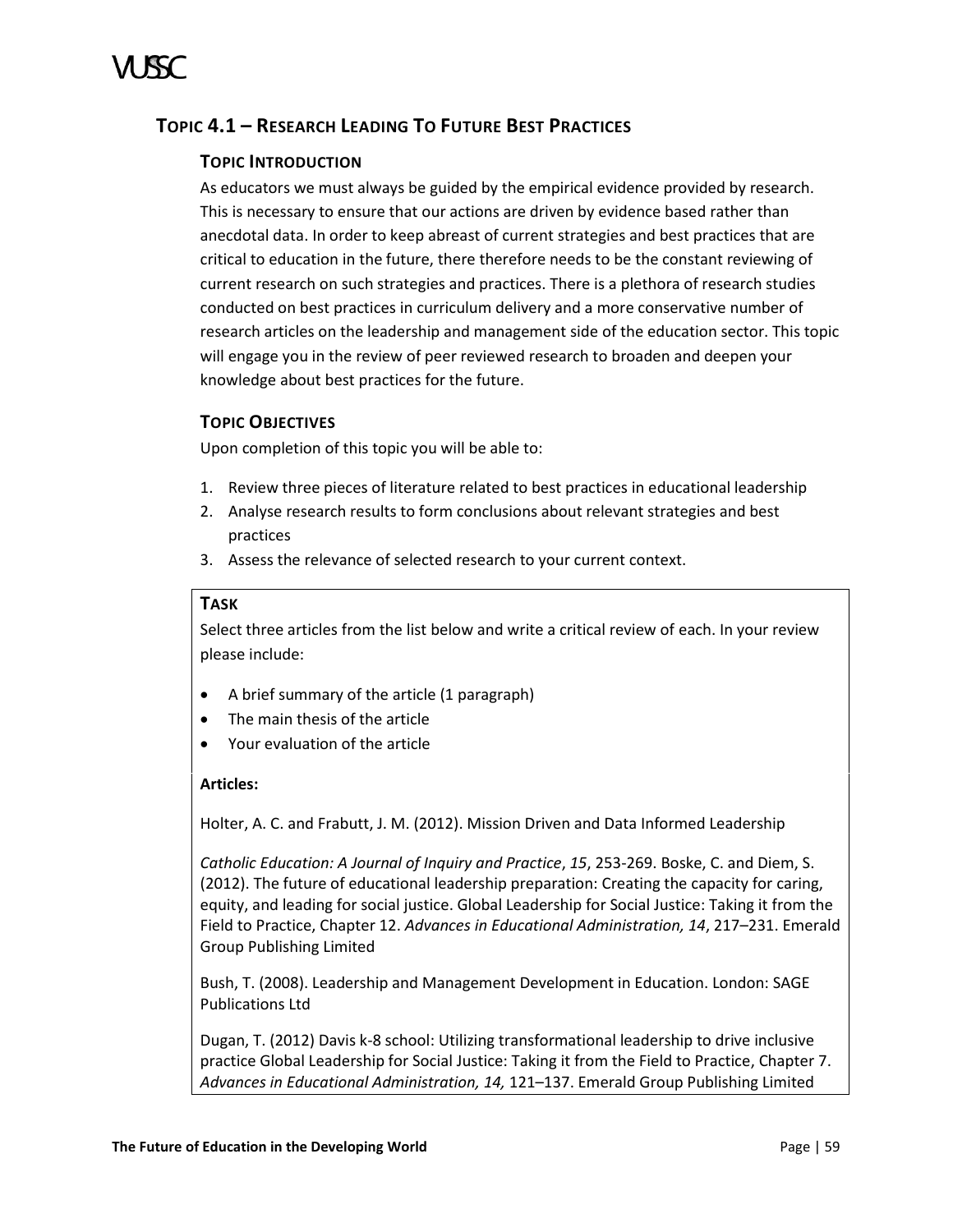# <span id="page-64-0"></span>**TOPIC 4.1 – RESEARCH LEADING TO FUTURE BEST PRACTICES**

# **TOPIC INTRODUCTION**

As educators we must always be guided by the empirical evidence provided by research. This is necessary to ensure that our actions are driven by evidence based rather than anecdotal data. In order to keep abreast of current strategies and best practices that are critical to education in the future, there therefore needs to be the constant reviewing of current research on such strategies and practices. There is a plethora of research studies conducted on best practices in curriculum delivery and a more conservative number of research articles on the leadership and management side of the education sector. This topic will engage you in the review of peer reviewed research to broaden and deepen your knowledge about best practices for the future.

# **TOPIC OBJECTIVES**

Upon completion of this topic you will be able to:

- 1. Review three pieces of literature related to best practices in educational leadership
- 2. Analyse research results to form conclusions about relevant strategies and best practices
- 3. Assess the relevance of selected research to your current context.

# **TASK**

Select three articles from the list below and write a critical review of each. In your review please include:

- A brief summary of the article (1 paragraph)
- The main thesis of the article
- Your evaluation of the article

### **Articles:**

Holter, A. C. and Frabutt, J. M. (2012). Mission Driven and Data Informed Leadership

*Catholic Education: A Journal of Inquiry and Practice*, *15*, 253-269. Boske, C. and Diem, S. (2012). The future of educational leadership preparation: Creating the capacity for caring, equity, and leading for social justice. Global Leadership for Social Justice: Taking it from the Field to Practice, Chapter 12. *Advances in Educational Administration, 14*, 217–231. Emerald Group Publishing Limited

Bush, T. (2008). Leadership and Management Development in Education. London: SAGE Publications Ltd

Dugan, T. (2012) Davis k-8 school: Utilizing transformational leadership to drive inclusive practice Global Leadership for Social Justice: Taking it from the Field to Practice, Chapter 7. *Advances in Educational Administration, 14,* 121–137. Emerald Group Publishing Limited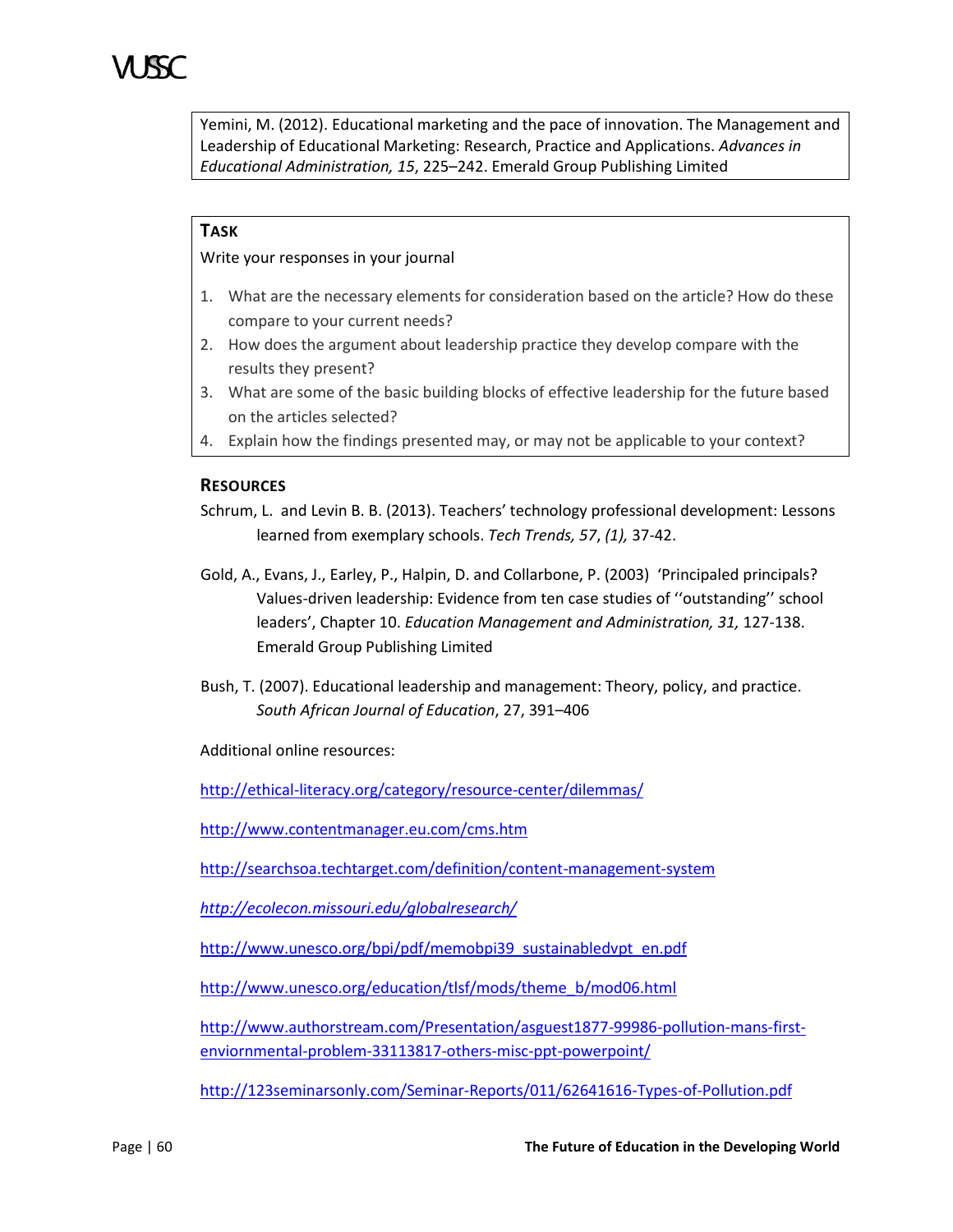Yemini, M. (2012). Educational marketing and the pace of innovation. The Management and Leadership of Educational Marketing: Research, Practice and Applications. *Advances in Educational Administration, 15*, 225–242. Emerald Group Publishing Limited

# **TASK**

Write your responses in your journal

- 1. What are the necessary elements for consideration based on the article? How do these compare to your current needs?
- 2. How does the argument about leadership practice they develop compare with the results they present?
- 3. What are some of the basic building blocks of effective leadership for the future based on the articles selected?
- 4. Explain how the findings presented may, or may not be applicable to your context?

### **RESOURCES**

- Schrum, L. and Levin B. B. (2013). Teachers' technology professional development: Lessons learned from exemplary schools. *Tech Trends, 57*, *(1),* 37-42.
- Gold, A., Evans, J., Earley, P., Halpin, D. and Collarbone, P. (2003) 'Principaled principals? Values-driven leadership: Evidence from ten case studies of ''outstanding'' school leaders', Chapter 10. *Education Management and Administration, 31,* 127-138. Emerald Group Publishing Limited
- Bush, T. (2007). Educational leadership and management: Theory, policy, and practice. *South African Journal of Education*, 27, 391–406

Additional online resources:

<http://ethical-literacy.org/category/resource-center/dilemmas/>

<http://www.contentmanager.eu.com/cms.htm>

<http://searchsoa.techtarget.com/definition/content-management-system>

*<http://ecolecon.missouri.edu/globalresearch/>*

[http://www.unesco.org/bpi/pdf/memobpi39\\_sustainabledvpt\\_en.pdf](http://www.unesco.org/bpi/pdf/memobpi39_sustainabledvpt_en.pdf)

[http://www.unesco.org/education/tlsf/mods/theme\\_b/mod06.html](http://www.unesco.org/education/tlsf/mods/theme_b/mod06.html)

[http://www.authorstream.com/Presentation/asguest1877-99986-pollution-mans-first](http://www.authorstream.com/Presentation/asguest1877-99986-pollution-mans-first-enviornmental-problem-33113817-others-misc-ppt-powerpoint/)[enviornmental-problem-33113817-others-misc-ppt-powerpoint/](http://www.authorstream.com/Presentation/asguest1877-99986-pollution-mans-first-enviornmental-problem-33113817-others-misc-ppt-powerpoint/)

<http://123seminarsonly.com/Seminar-Reports/011/62641616-Types-of-Pollution.pdf>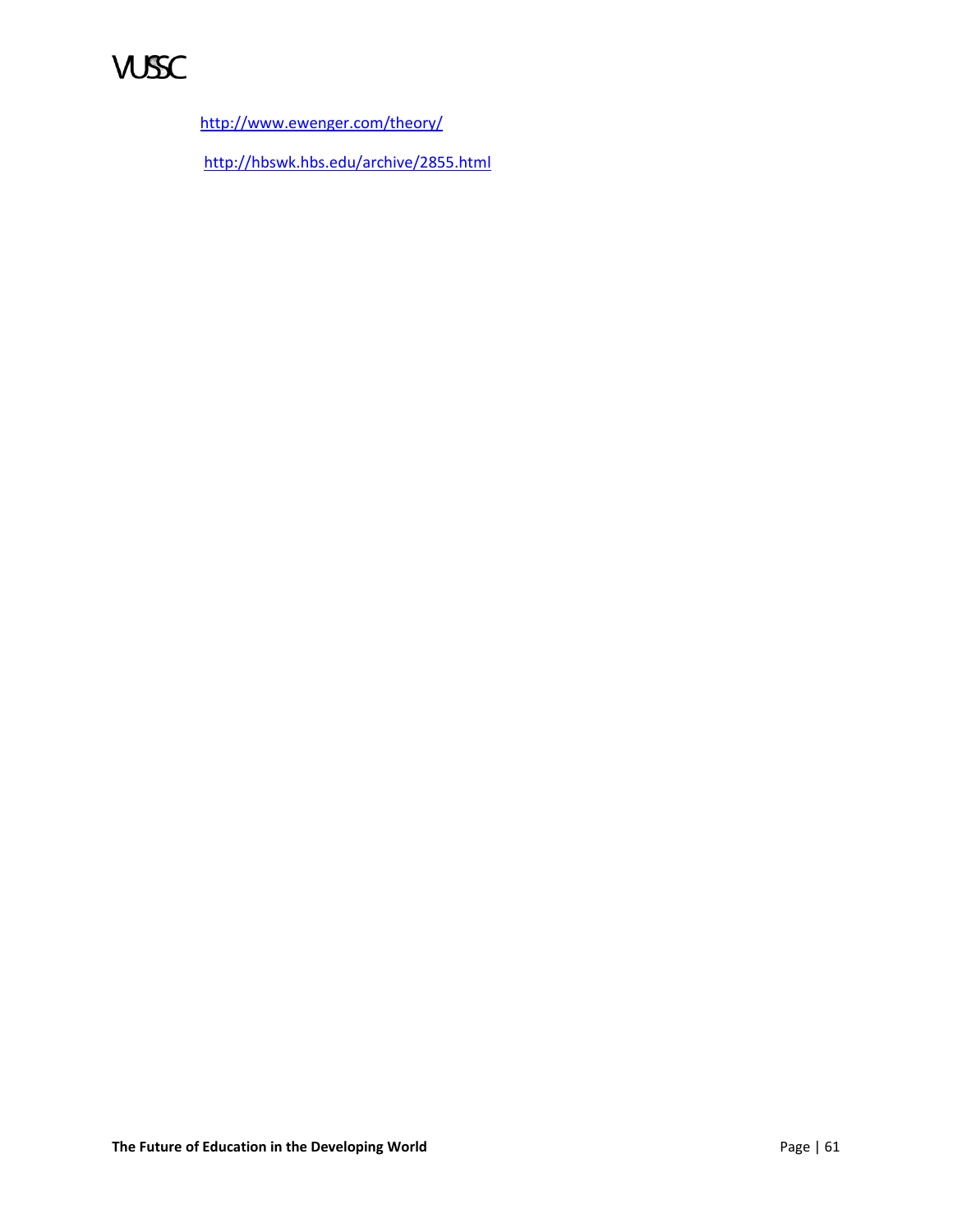

<http://www.ewenger.com/theory/>

<http://hbswk.hbs.edu/archive/2855.html>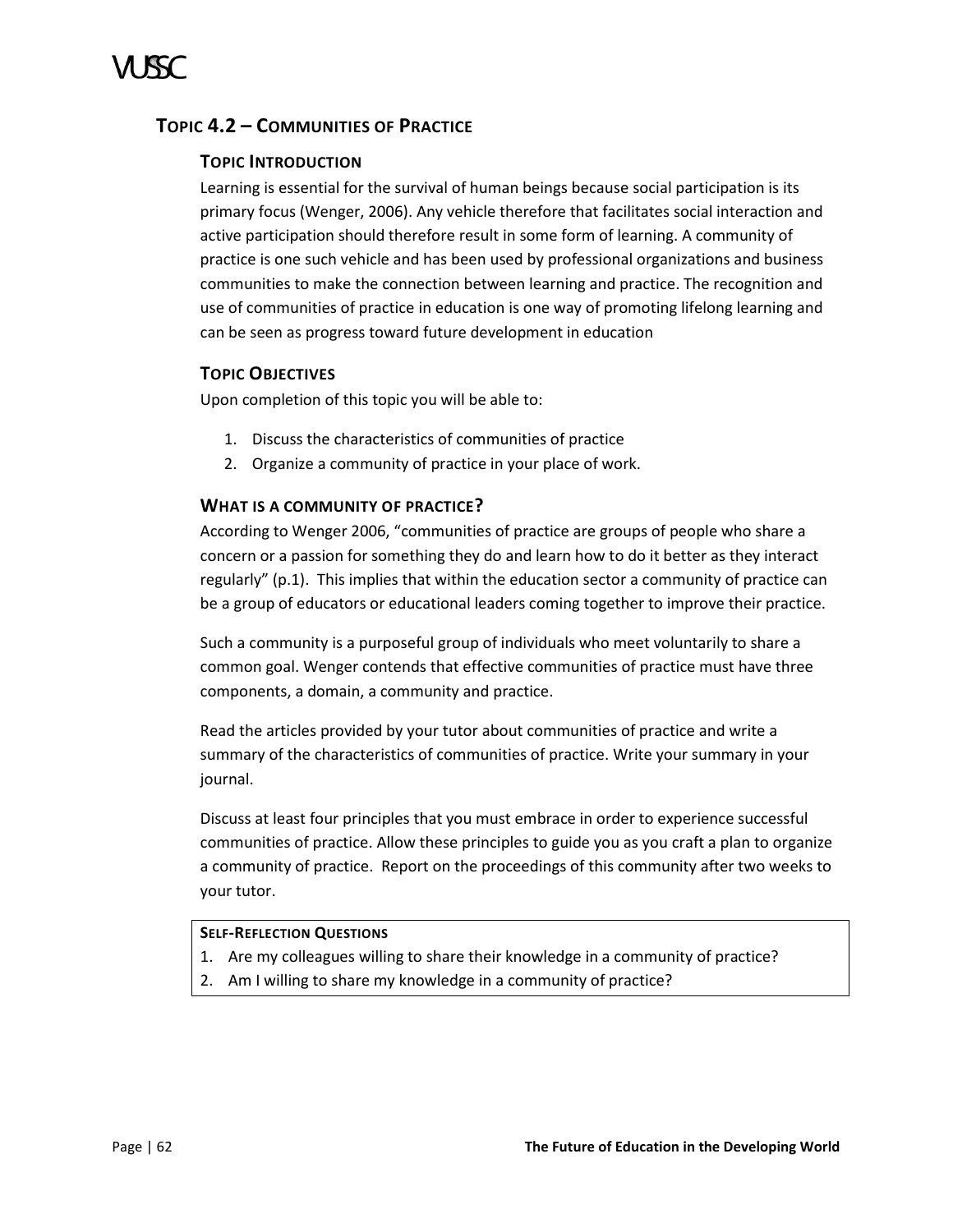# <span id="page-67-0"></span>**TOPIC 4.2 – COMMUNITIES OF PRACTICE**

# **TOPIC INTRODUCTION**

Learning is essential for the survival of human beings because social participation is its primary focus (Wenger, 2006). Any vehicle therefore that facilitates social interaction and active participation should therefore result in some form of learning. A community of practice is one such vehicle and has been used by professional organizations and business communities to make the connection between learning and practice. The recognition and use of communities of practice in education is one way of promoting lifelong learning and can be seen as progress toward future development in education

# **TOPIC OBJECTIVES**

Upon completion of this topic you will be able to:

- 1. Discuss the characteristics of communities of practice
- 2. Organize a community of practice in your place of work.

# **WHAT IS A COMMUNITY OF PRACTICE?**

According to Wenger 2006, "communities of practice are groups of people who share a concern or a passion for something they do and learn how to do it better as they interact regularly" (p.1). This implies that within the education sector a community of practice can be a group of educators or educational leaders coming together to improve their practice.

Such a community is a purposeful group of individuals who meet voluntarily to share a common goal. Wenger contends that effective communities of practice must have three components, a domain, a community and practice.

Read the articles provided by your tutor about communities of practice and write a summary of the characteristics of communities of practice. Write your summary in your journal.

Discuss at least four principles that you must embrace in order to experience successful communities of practice. Allow these principles to guide you as you craft a plan to organize a community of practice. Report on the proceedings of this community after two weeks to your tutor.

### **SELF-REFLECTION QUESTIONS**

- 1. Are my colleagues willing to share their knowledge in a community of practice?
- 2. Am I willing to share my knowledge in a community of practice?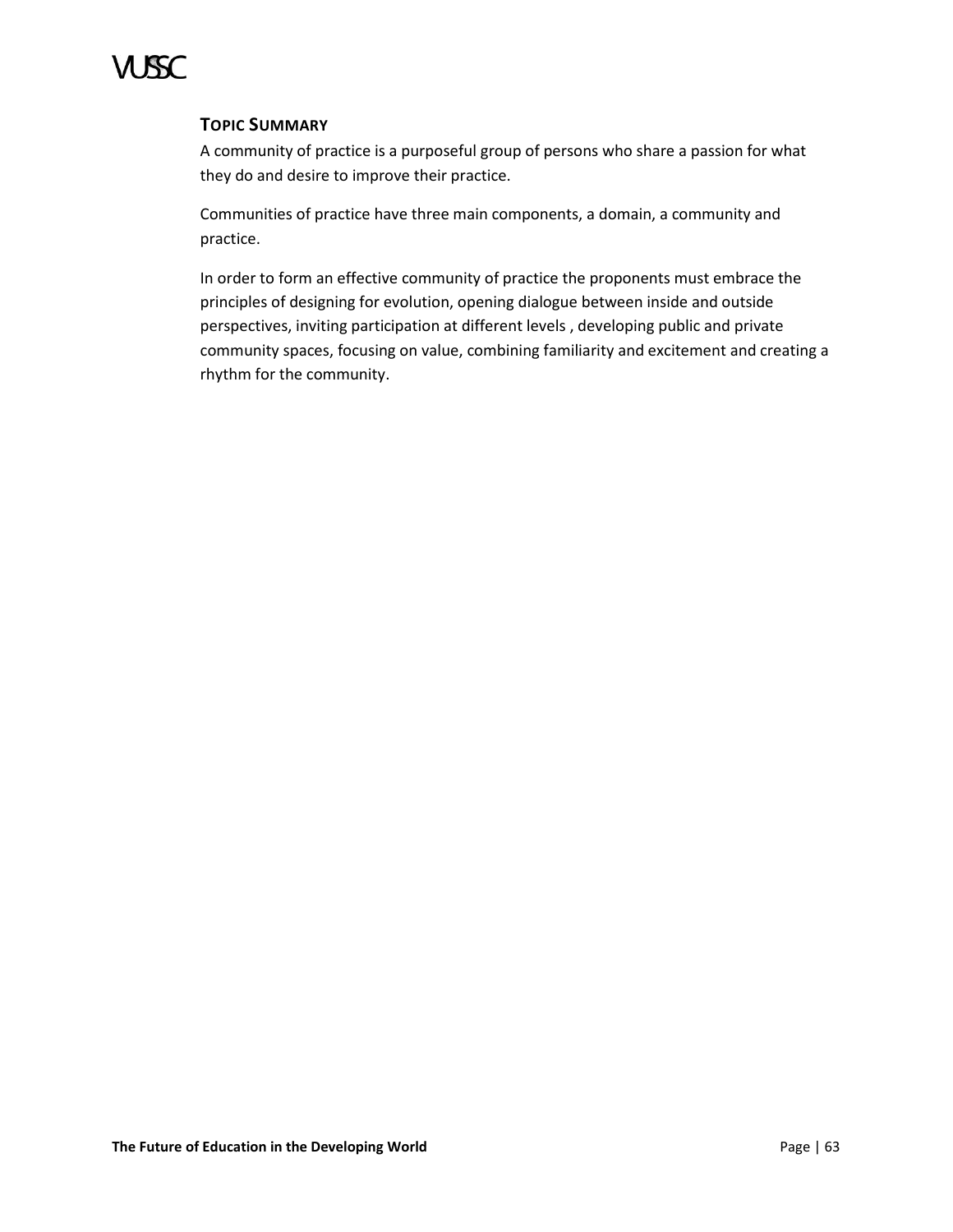# **TOPIC SUMMARY**

A community of practice is a purposeful group of persons who share a passion for what they do and desire to improve their practice.

Communities of practice have three main components, a domain, a community and practice.

In order to form an effective community of practice the proponents must embrace the principles of designing for evolution, opening dialogue between inside and outside perspectives, inviting participation at different levels , developing public and private community spaces, focusing on value, combining familiarity and excitement and creating a rhythm for the community.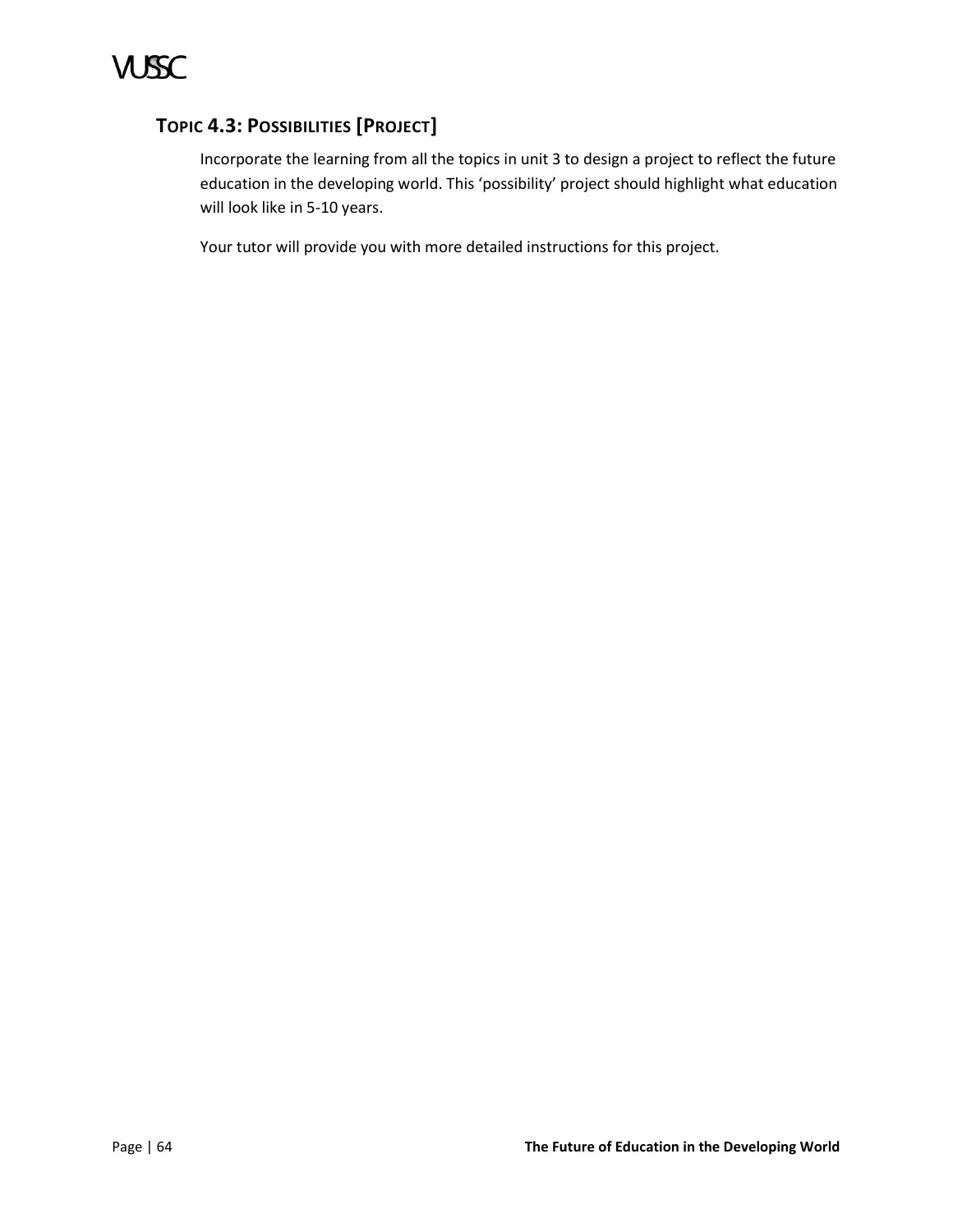# <span id="page-69-0"></span>**TOPIC 4.3: POSSIBILITIES [PROJECT]**

Incorporate the learning from all the topics in unit 3 to design a project to reflect the future education in the developing world. This 'possibility' project should highlight what education will look like in 5-10 years.

Your tutor will provide you with more detailed instructions for this project.